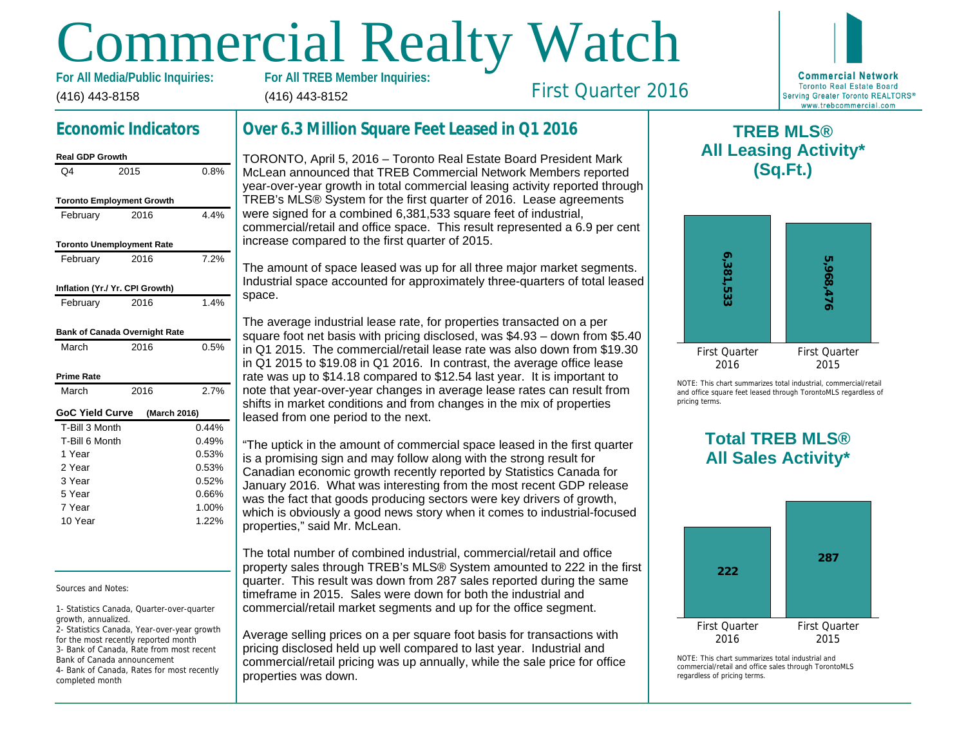# Commercial Realty Watch

(416) 443-8158 For All Media/Public Inquiries: (416) 443-8152

# Economic Indicators

| <b>Real GDP Growth</b>           |              |       |
|----------------------------------|--------------|-------|
| Q4                               | 2015         | 0.8%  |
| <b>Toronto Employment Growth</b> |              |       |
| February                         | 2016         | 4.4%  |
| <b>Toronto Unemployment Rate</b> |              |       |
| February                         | 2016         | 7.2%  |
| Inflation (Yr./ Yr. CPI Growth)  |              |       |
| February                         | 2016         | 1.4%  |
| Bank of Canada Overnight Rate    |              |       |
| March                            | 2016         | 0.5%  |
| Prime Rate                       |              |       |
| March                            | 2016         | 2.7%  |
| GoC Yield Curve                  | (March 2016) |       |
| T-Bill 3 Month                   |              | 0.44% |
| T-Bill 6 Month                   |              | 0.49% |
| 1 Year                           |              | 0.53% |
| 2 Year                           |              | 0.53% |
| 3 Year                           |              | 0.52% |
| 5 Year                           |              | 0.66% |
| 7 Year                           |              | 1.00% |
| 10 Year                          |              | 1.22% |

Sources and Notes:

1- Statistics Canada, Quarter-over-quarter growth, annualized.

2- Statistics Canada, Year-over-year growth for the most recently reported month 3- Bank of Canada, Rate from most recent Bank of Canada announcement 4- Bank of Canada, Rates for most recently completed month

## Over 6.3 Million Square Feet Leased in Q1 2016

TORONTO, April 5, 2016 – Toronto Real Estate Board President Mark McLean announced that TREB Commercial Network Members reported year-over-year growth in total commercial leasing activity reported through TREB's MLS® System for the first quarter of 2016. Lease agreements were signed for a combined 6,381,533 square feet of industrial, commercial/retail and office space. This result represented a 6.9 per cent increase compared to the first quarter of 2015.

The amount of space leased was up for all three major market segments. Industrial space accounted for approximately three-quarters of total leased space.

The average industrial lease rate, for properties transacted on a per square foot net basis with pricing disclosed, was \$4.93 – down from \$5.40 in Q1 2015. The commercial/retail lease rate was also down from \$19.30 in Q1 2015 to \$19.08 in Q1 2016. In contrast, the average office lease rate was up to \$14.18 compared to \$12.54 last year. It is important to note that year-over-year changes in average lease rates can result from shifts in market conditions and from changes in the mix of properties leased from one period to the next.

"The uptick in the amount of commercial space leased in the first quarter is a promising sign and may follow along with the strong result for Canadian economic growth recently reported by Statistics Canada for January 2016. What was interesting from the most recent GDP release was the fact that goods producing sectors were key drivers of growth, which is obviously a good news story when it comes to industrial-focused properties," said Mr. McLean.

The total number of combined industrial, commercial/retail and office property sales through TREB's MLS® System amounted to 222 in the first quarter. This result was down from 287 sales reported during the same timeframe in 2015. Sales were down for both the industrial and commercial/retail market segments and up for the office segment.

Average selling prices on a per square foot basis for transactions with pricing disclosed held up well compared to last year. Industrial and commercial/retail pricing was up annually, while the sale price for office properties was down.

 $\mathsf T$ All Lea

First Quarter 2016

NOTE: This chart sur and office square fee pricing terms.

# Total All Sa

 $NOTF: This chart sur$ commercial/retail and regardless of pricing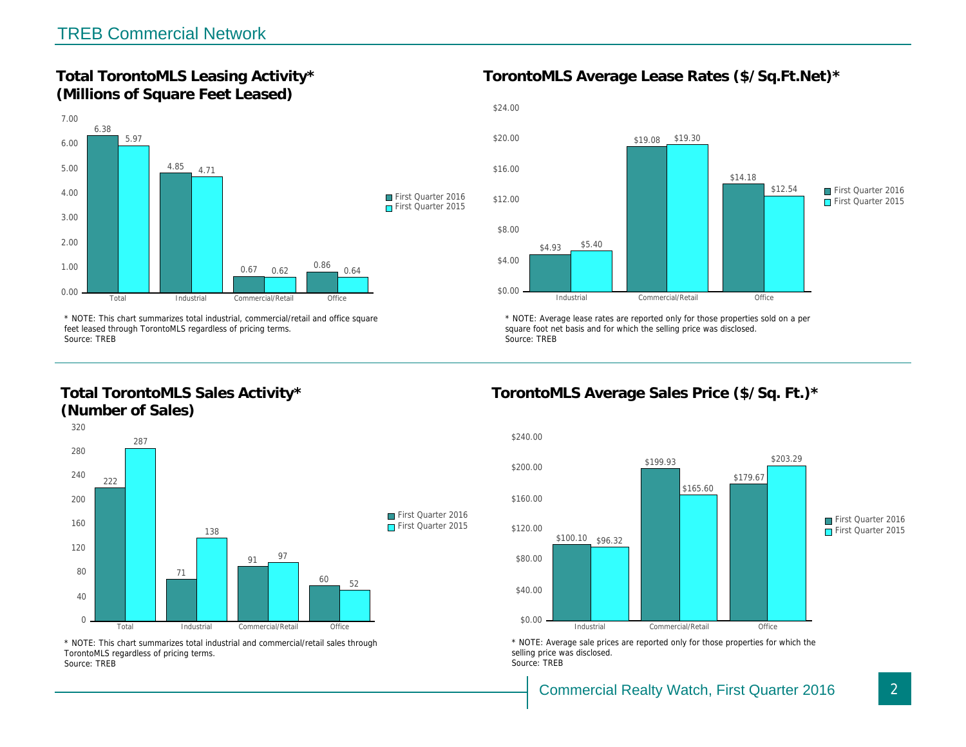Total TorontoMLS Leasing Activity\* (Millions of Square Feet Leased)

TorontoMLS Average Lease Rates (\$/Sq.

\* NOTE: This chart summarizes total industrial, commercial/retail and office square feet leased through TorontoMLS regardless of pricing terms. Source: TREB

Total TorontoMLS Sales Activity\* (Number of Sales)

\* NOTE: Average lease rates are reported only for those proper square foot net basis and for which the selling price was disclos Source: TREB

TorontoMLS Average Sales Price (\$/Sq.

\* NOTE: This chart summarizes total industrial and commercial/retail sales through TorontoMLS regardless of pricing terms. Source: TREB

\* NOTE: Average sale prices are reported only for those prope selling price was disclosed. Source: TREB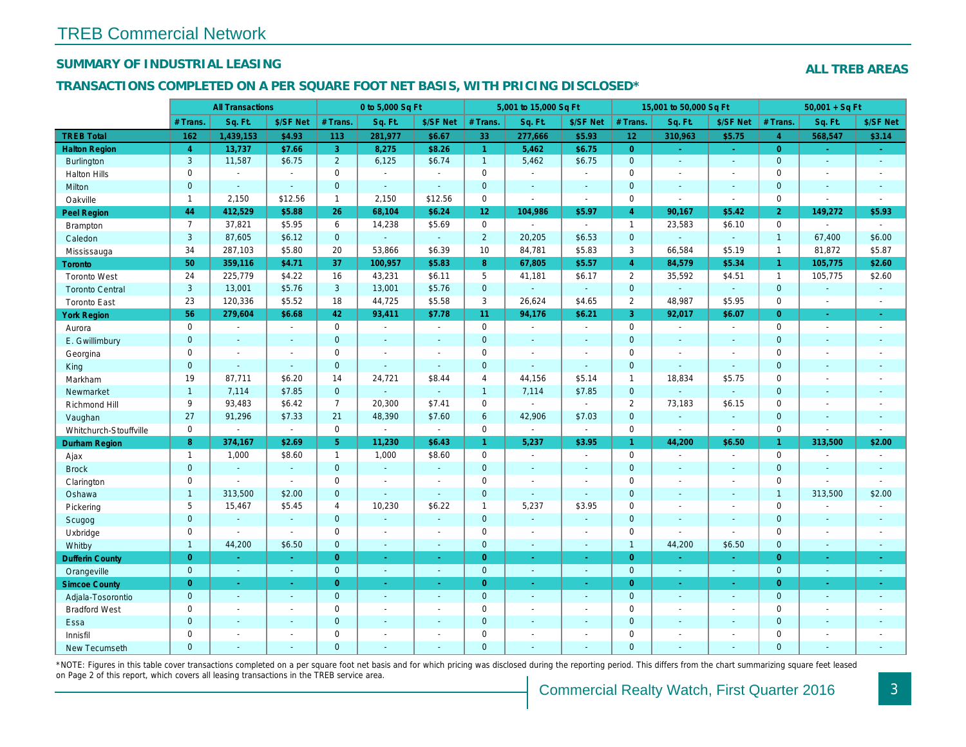## SUMMARY OF INDUSTRIAL LEASING

#### TRANSACTIONS COMPLETED ON A PER SQUARE FOOT NET BASIS, WITH PRICING DISCLOSED\*

|                        |                | <b>All Transactions</b> |                |                | 0 to 5,000 Sq Ft |                          |                 | 5,001 to 15,000 Sq Ft |                |                | 15,001 to 50,000 Sq Ft |                  |
|------------------------|----------------|-------------------------|----------------|----------------|------------------|--------------------------|-----------------|-----------------------|----------------|----------------|------------------------|------------------|
|                        | # Trans        | Sq. Ft.                 | \$/SF Net      | # Trans.       | Sq. Ft.          | \$/SF Net                | # Trans.        | Sq. Ft.               | \$/SF Net      | # Trans.       | Sq. Ft.                | \$/SF Ne         |
| <b>TREB Total</b>      | 162            | 1,439,153               | \$4.93         | 113            | 281,977          | \$6.67                   | 33              | 277,666               | \$5.93         | 12             | 310,963                | \$5.75           |
| <b>Halton Region</b>   | $\overline{4}$ | 13,737                  | \$7.66         | 3 <sup>°</sup> | 8,275            | \$8.26                   | $\mathbf{1}$    | 5,462                 | \$6.75         | $\overline{0}$ | $\omega$               | $\omega_{\rm c}$ |
| Burlington             | 3              | 11,587                  | \$6.75         | $\overline{2}$ | 6,125            | \$6.74                   | $\mathbf{1}$    | 5,462                 | \$6.75         | $\mathbf 0$    | $\mathbf{r}$           | $\sim$           |
| <b>Halton Hills</b>    | $\mathbf 0$    | $\blacksquare$          | $\blacksquare$ | $\mathbf 0$    | $\mathbf{r}$     | $\sim$                   | $\pmb{0}$       | $\omega$              | $\sim$         | $\mathbf 0$    | $\blacksquare$         | $\sim$           |
| Milton                 | $\mathbf{0}$   | $\Delta$                | $\Delta$       | $\mathbf{0}$   | $\omega$         | $\Delta$                 | $\mathbf 0$     | $\mathbf{r}$          | $\sim$         | $\mathbf{0}$   | $\mathbf{r}$           | $\sim$           |
| Oakville               | $\mathbf{1}$   | 2,150                   | \$12.56        | $\mathbf{1}$   | 2,150            | \$12.56                  | $\pmb{0}$       | $\blacksquare$        | $\mathbf{r}$   | $\mathbf 0$    | $\overline{a}$         | $\sim$           |
| <b>Peel Region</b>     | 44             | 412,529                 | \$5.88         | 26             | 68,104           | \$6.24                   | 12 <sub>2</sub> | 104,986               | \$5.97         | $\overline{4}$ | 90,167                 | \$5.42           |
| <b>Brampton</b>        | $\overline{7}$ | 37,821                  | \$5.95         | 6              | 14,238           | \$5.69                   | $\mathbf 0$     | $\blacksquare$        | $\sim$         | $\mathbf{1}$   | 23,583                 | \$6.10           |
| Caledon                | 3              | 87,605                  | \$6.12         | $\overline{0}$ | $\omega$         | $\blacksquare$           | $\overline{2}$  | 20,205                | \$6.53         | $\mathbf 0$    | $\omega$               | $\blacksquare$   |
| Mississauga            | 34             | 287,103                 | \$5.80         | 20             | 53,866           | \$6.39                   | 10              | 84,781                | \$5.83         | 3              | 66,584                 | \$5.19           |
| Toronto                | 50             | 359,116                 | \$4.71         | 37             | 100,957          | \$5.83                   | 8               | 67,805                | \$5.57         | $\overline{4}$ | 84,579                 | \$5.34           |
| <b>Toronto West</b>    | 24             | 225,779                 | \$4.22         | 16             | 43,231           | \$6.11                   | 5               | 41,181                | \$6.17         | $\overline{2}$ | 35,592                 | \$4.51           |
| <b>Toronto Central</b> | 3              | 13,001                  | \$5.76         | 3              | 13,001           | \$5.76                   | $\mathbf 0$     | $\omega_{\rm c}$      | ÷.             | $\mathbf 0$    | $\omega$               | $\sim$           |
| <b>Toronto East</b>    | 23             | 120,336                 | \$5.52         | 18             | 44,725           | \$5.58                   | 3               | 26,624                | \$4.65         | 2              | 48,987                 | \$5.95           |
| <b>York Region</b>     | 56             | 279,604                 | \$6.68         | 42             | 93,411           | \$7.78                   | 11              | 94,176                | \$6.21         | $\mathbf{3}$   | 92,017                 | \$6.07           |
| Aurora                 | $\mathbf 0$    | $\blacksquare$          | $\sim$         | $\Omega$       | $\sim$           | $\sim$                   | $\mathbf 0$     | $\blacksquare$        | $\sim$         | $\mathbf 0$    | $\blacksquare$         | $\sim$           |
| E. Gwillimbury         | $\mathbf{0}$   | $\blacksquare$          | $\blacksquare$ | $\mathbf 0$    | $\sim$           | $\blacksquare$           | $\mathbf 0$     | $\blacksquare$        | $\blacksquare$ | $\mathbf 0$    | $\blacksquare$         | $\blacksquare$   |
| Georgina               | $\mathbf 0$    | $\blacksquare$          | $\blacksquare$ | $\mathbf 0$    | $\sim$           | $\sim$                   | $\mathbf 0$     | $\blacksquare$        | $\blacksquare$ | $\mathbf 0$    | $\blacksquare$         | $\blacksquare$   |
| King                   | $\mathbf{0}$   | $\sim$                  | $\sim$         | $\mathbf{0}$   | $\sim$           | $\sim$                   | $\mathbf 0$     | $\blacksquare$        | $\blacksquare$ | $\mathbf 0$    | $\blacksquare$         | $\blacksquare$   |
| Markham                | 19             | 87,711                  | \$6.20         | 14             | 24,721           | \$8.44                   | 4               | 44,156                | \$5.14         | $\mathbf{1}$   | 18,834                 | \$5.75           |
| Newmarket              | $\mathbf{1}$   | 7,114                   | \$7.85         | $\mathbf 0$    |                  | $\sim$                   | $\mathbf{1}$    | 7,114                 | \$7.85         | $\mathbf{0}$   | ä,                     | $\blacksquare$   |
| Richmond Hill          | 9              | 93,483                  | \$6.42         | $\overline{7}$ | 20,300           | \$7.41                   | $\pmb{0}$       | $\blacksquare$        | $\blacksquare$ | 2              | 73,183                 | \$6.15           |
| Vaughan                | 27             | 91,296                  | \$7.33         | 21             | 48,390           | \$7.60                   | $6\phantom{a}$  | 42,906                | \$7.03         | $\mathbf 0$    | $\omega$               | $\blacksquare$   |
| Whitchurch-Stouffville | $\mathbf 0$    | $\omega$                | $\blacksquare$ | $\mathbf 0$    | $\blacksquare$   | $\sim$                   | 0               | $\blacksquare$        | $\blacksquare$ | $\mathbf 0$    | $\blacksquare$         | $\blacksquare$   |
| Durham Region          | 8              | 374,167                 | \$2.69         | 5              | 11,230           | \$6.43                   | $\mathbf{1}$    | 5,237                 | \$3.95         | $\mathbf{1}$   | 44,200                 | \$6.50           |
| Ajax                   | $\mathbf{1}$   | 1,000                   | \$8.60         | $\mathbf{1}$   | 1,000            | \$8.60                   | 0               | $\sim$                | $\blacksquare$ | $\mathbf 0$    | $\sim$                 | $\sim$           |
| <b>Brock</b>           | $\mathbf{0}$   | $\omega$                | $\omega$       | $\mathbf{0}$   | $\omega$         | $\blacksquare$           | $\mathbf{0}$    | $\blacksquare$        | $\omega$       | $\mathbf 0$    | $\omega$               | $\sim$           |
| Clarington             | $\mathbf 0$    | $\blacksquare$          | $\blacksquare$ | $\mathbf 0$    | $\sim$           | $\sim$                   | $\pmb{0}$       | $\blacksquare$        | $\blacksquare$ | $\mathbf 0$    | $\blacksquare$         | $\blacksquare$   |
| Oshawa                 | $\mathbf{1}$   | 313,500                 | \$2.00         | $\overline{0}$ | $\sim$           | $\sim$                   | $\pmb{0}$       | $\blacksquare$        | $\omega$       | $\mathbf 0$    | $\blacksquare$         | $\sim$           |
| Pickering              | 5              | 15,467                  | \$5.45         | 4              | 10,230           | \$6.22                   | $\mathbf{1}$    | 5,237                 | \$3.95         | $\mathbf 0$    | $\blacksquare$         | $\sim$           |
| Scugog                 | $\pmb{0}$      | $\sim$                  | $\Delta$       | $\mathbf 0$    | ÷.               | $\sim$                   | $\pmb{0}$       | $\omega$              | ä,             | $\mathbf 0$    | $\blacksquare$         | $\omega$         |
| Uxbridge               | $\mathbf 0$    | $\blacksquare$          | $\sim$         | $\mathbf 0$    | $\sim$           | $\sim$                   | $\pmb{0}$       | $\blacksquare$        | $\blacksquare$ | $\mathbf 0$    | $\blacksquare$         | $\blacksquare$   |
| Whitby                 | $\mathbf{1}$   | 44,200                  | \$6.50         | $\mathbf{0}$   | $\sim$           | $\sim$                   | $\pmb{0}$       | $\omega$              | $\sim$         | $\overline{1}$ | 44,200                 | \$6.50           |
| <b>Dufferin County</b> | $\overline{0}$ | $\omega$                | $\omega$       | $\overline{0}$ | $\bullet$        | $\blacksquare$           | $\overline{0}$  | $\blacksquare$        | $\omega$       | $\overline{0}$ | $\omega$               | $\sim$           |
| Orangeville            | $\mathbf{0}$   | $\omega$                | $\sim$         | $\overline{0}$ | $\sim$           | $\sim$                   | $\mathbf{0}$    | $\omega$              | $\sim$         | $\overline{0}$ | $\omega$               | $\sim$           |
| <b>Simcoe County</b>   | $\overline{0}$ | $\blacksquare$          | $\blacksquare$ | $\overline{0}$ | $\blacksquare$   | $\blacksquare$           | $\overline{0}$  | $\blacksquare$        | $\blacksquare$ | $\overline{0}$ | $\blacksquare$         | ÷                |
| Adjala-Tosorontio      | $\mathbf{0}$   | $\sim$                  | $\sim$         | $\mathbf{0}$   | $\Delta$         | $\sim$                   | $\mathbf{0}$    | $\mathbf{r}$          | $\omega$       | $\mathbf{0}$   | $\overline{a}$         | $\sim$           |
| <b>Bradford West</b>   | $\mathbf 0$    | $\blacksquare$          | $\blacksquare$ | $\mathbf 0$    | $\sim$           | $\overline{\phantom{a}}$ | $\pmb{0}$       | $\blacksquare$        | $\blacksquare$ | $\mathbf 0$    | $\overline{a}$         | $\sim$           |
| Essa                   | $\overline{0}$ | $\sim$                  | $\sim$         | $\Omega$       | $\sim$           | $\sim$                   | $\overline{0}$  | ä,                    | $\blacksquare$ | $\mathbf{0}$   | $\blacksquare$         | $\blacksquare$   |
| Innisfil               | $\mathbf 0$    | $\blacksquare$          | $\blacksquare$ | $\mathbf 0$    | $\sim$           |                          | $\pmb{0}$       | $\blacksquare$        | $\blacksquare$ | $\mathbf 0$    | $\blacksquare$         | $\blacksquare$   |
| New Tecumseth          | $\Omega$       | $\sim$                  |                | $\Omega$       | $\overline{a}$   |                          | $\overline{0}$  | ä,                    | ä,             | $\mathbf{0}$   | ä,                     | $\blacksquare$   |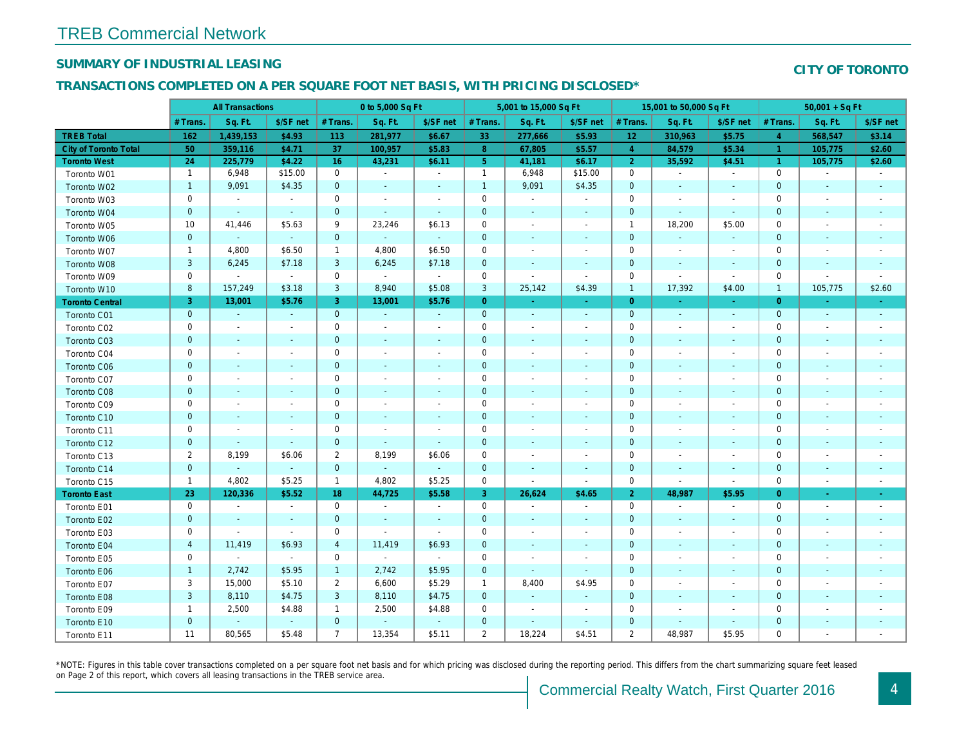## SUMMARY OF INDUSTRIAL LEASING

#### TRANSACTIONS COMPLETED ON A PER SQUARE FOOT NET BASIS, WITH PRICING DISCLOSED\*

|                        |                         | <b>All Transactions</b>  |                          |                | 0 to 5,000 Sq Ft         |                          |                     | 5,001 to 15,000 Sq Ft    |                          |                | 15,001 to 50,000 Sq Ft   |                          |
|------------------------|-------------------------|--------------------------|--------------------------|----------------|--------------------------|--------------------------|---------------------|--------------------------|--------------------------|----------------|--------------------------|--------------------------|
|                        | # Trans.                | Sq. Ft.                  | \$/SF net                | # Trans.       | Sq. Ft.                  | \$/SF net                | # Trans.            | Sq. Ft.                  | \$/SF net                | # Trans.       | Sq. Ft.                  | \$/SF ne                 |
| <b>TREB Total</b>      | 162                     | 1,439,153                | \$4.93                   | 113            | 281,977                  | \$6.67                   | 33                  | 277,666                  | \$5.93                   | 12             | 310,963                  | \$5.75                   |
| City of Toronto Total  | 50                      | 359,116                  | \$4.71                   | 37             | 100,957                  | \$5.83                   | 8 <sup>°</sup>      | 67,805                   | \$5.57                   | $\overline{4}$ | 84,579                   | \$5.34                   |
| <b>Toronto West</b>    | 24                      | 225,779                  | \$4.22                   | 16             | 43,231                   | \$6.11                   | 5 <sub>5</sub>      | 41,181                   | \$6.17                   | $\overline{2}$ | 35,592                   | \$4.51                   |
| Toronto W01            | $\mathbf{1}$            | 6,948                    | \$15.00                  | $\mathbf 0$    | $\blacksquare$           | $\blacksquare$           | $\mathbf{1}$        | 6,948                    | \$15.00                  | $\mathbf 0$    | $\blacksquare$           | $\sim$                   |
| Toronto W02            | $\mathbf{1}$            | 9,091                    | \$4.35                   | $\mathbf 0$    | $\overline{\phantom{a}}$ | $\blacksquare$           | $\overline{1}$      | 9,091                    | \$4.35                   | $\mathbf 0$    |                          | $\blacksquare$           |
| Toronto W03            | 0                       | $\blacksquare$           | $\sim$                   | $\mathbf 0$    | $\blacksquare$           | $\blacksquare$           | $\mathsf 0$         | $\blacksquare$           | $\blacksquare$           | 0              | $\sim$                   | $\sim$                   |
| Toronto W04            | $\pmb{0}$               | $\blacksquare$           | $\sim$                   | $\mathbf 0$    | ä,                       | $\blacksquare$           | $\pmb{0}$           | $\blacksquare$           | $\blacksquare$           | $\mathbf 0$    | $\sim$                   | $\sim$                   |
| Toronto W05            | 10                      | 41,446                   | \$5.63                   | 9              | 23,246                   | \$6.13                   | $\mathbf 0$         | $\blacksquare$           | $\blacksquare$           | $\overline{1}$ | 18,200                   | \$5.00                   |
| Toronto W06            | $\pmb{0}$               |                          | $\blacksquare$           | $\mathbf 0$    | $\omega$                 | $\frac{1}{2}$            | $\mathbf 0$         | $\blacksquare$           |                          | $\mathbf 0$    |                          | $\overline{\phantom{a}}$ |
| Toronto W07            | $\mathbf{1}$            | 4,800                    | \$6.50                   | $\mathbf{1}$   | 4,800                    | \$6.50                   | $\mathbf 0$         | $\blacksquare$           | $\blacksquare$           | 0              | $\overline{\phantom{a}}$ | $\sim$                   |
| Toronto W08            | $\mathbf{3}$            | 6,245                    | \$7.18                   | 3              | 6,245                    | \$7.18                   | $\pmb{0}$           | $\blacksquare$           | $\blacksquare$           | $\mathbf 0$    | $\overline{\phantom{a}}$ | $\overline{\phantom{a}}$ |
| Toronto W09            | $\mathbf 0$             | $\blacksquare$           | $\sim$                   | $\mathbf 0$    | $\sim$                   | $\blacksquare$           | $\mathbf 0$         | $\blacksquare$           | $\blacksquare$           | 0              | $\overline{\phantom{a}}$ | $\blacksquare$           |
| Toronto W10            | 8                       | 157,249                  | \$3.18                   | 3              | 8,940                    | \$5.08                   | $\mathbf{3}$        | 25,142                   | \$4.39                   | $\overline{1}$ | 17,392                   | \$4.00                   |
| <b>Toronto Central</b> | 3                       | 13,001                   | \$5.76                   | 3              | 13,001                   | \$5.76                   | $\overline{0}$      | $\sim$                   | $\sim$                   | $\overline{0}$ | $\sim$                   | $\sim$                   |
| Toronto C01            | $\pmb{0}$               | $\omega$                 | $\sim$                   | $\mathbf 0$    | $\sim$                   | $\blacksquare$           | $\mathbf 0$         | $\omega$                 | $\omega$                 | $\mathbf{0}$   | $\blacksquare$           | $\sim$                   |
| Toronto C02            | $\mathbf 0$             | $\blacksquare$           | $\blacksquare$           | $\mathbf 0$    | $\blacksquare$           | $\overline{\phantom{a}}$ | $\mathbf 0$         | $\blacksquare$           | $\blacksquare$           | 0              |                          | $\sim$                   |
| Toronto C03            | $\pmb{0}$               | $\overline{\phantom{a}}$ | $\blacksquare$           | $\mathbf 0$    | $\blacksquare$           | $\overline{\phantom{a}}$ | $\mathbf 0$         | $\blacksquare$           |                          | $\mathbf 0$    | $\sim$                   | $\sim$                   |
| Toronto C04            | $\mathbf 0$             | $\overline{\phantom{a}}$ | $\overline{\phantom{a}}$ | $\mathbf 0$    | $\blacksquare$           | $\overline{\phantom{a}}$ | 0                   | $\blacksquare$           | $\blacksquare$           | 0              |                          | $\overline{\phantom{a}}$ |
| Toronto C06            | $\pmb{0}$               | $\blacksquare$           | $\overline{\phantom{a}}$ | $\mathbf 0$    | $\blacksquare$           | ٠                        | $\pmb{0}$           | $\blacksquare$           | $\blacksquare$           | 0              | $\overline{\phantom{a}}$ | $\overline{\phantom{a}}$ |
| Toronto C07            | 0                       | $\blacksquare$           | $\overline{a}$           | $\mathsf 0$    | $\blacksquare$           | $\blacksquare$           | $\mathbf 0$         | $\blacksquare$           | $\blacksquare$           | 0              |                          | $\overline{\phantom{a}}$ |
| Toronto C08            | $\pmb{0}$               | $\blacksquare$           | $\blacksquare$           | $\mathbf 0$    | $\blacksquare$           | $\frac{1}{2}$            | $\mathbf 0$         | $\blacksquare$           |                          | $\mathbf 0$    | $\sim$                   | $\sim$                   |
| Toronto C09            | 0                       | $\overline{\phantom{a}}$ | $\overline{a}$           | $\mathbf 0$    | $\blacksquare$           | $\blacksquare$           | $\mathbf 0$         | $\blacksquare$           | $\overline{a}$           | 0              |                          | $\overline{a}$           |
| Toronto C10            | $\pmb{0}$               | $\blacksquare$           | $\sim$                   | $\mathbf 0$    | $\blacksquare$           | $\blacksquare$           | $\mathbf 0$         | $\blacksquare$           | $\blacksquare$           | $\mathbf 0$    | $\blacksquare$           | $\overline{\phantom{a}}$ |
| Toronto C11            | 0                       | $\overline{\phantom{a}}$ | $\overline{a}$           | $\mathbf 0$    | $\blacksquare$           | $\blacksquare$           | $\mathbf 0$         | $\blacksquare$           | $\blacksquare$           | 0              |                          | $\overline{\phantom{a}}$ |
| Toronto C12            | $\pmb{0}$               | $\blacksquare$           | $\blacksquare$           | $\mathbf 0$    | $\blacksquare$           | $\blacksquare$           | 0                   | $\blacksquare$           | $\blacksquare$           | 0              |                          |                          |
| Toronto C13            | $\overline{c}$          | 8,199                    | \$6.06                   | $\overline{2}$ | 8,199                    | \$6.06                   | 0                   | $\overline{\phantom{a}}$ |                          | $\mathbf 0$    |                          |                          |
| Toronto C14            | $\mathbf 0$             | $\omega$                 | $\omega$                 | $\mathbf{0}$   | $\omega$                 | $\blacksquare$           | $\pmb{0}$           | $\blacksquare$           | $\blacksquare$           | $\mathbf 0$    | $\blacksquare$           | $\blacksquare$           |
| Toronto C15            | $\mathbf{1}$            | 4,802                    | \$5.25                   | $\mathbf{1}$   | 4,802                    | \$5.25                   | $\mathbf 0$         | $\sim$                   | $\blacksquare$           | $\mathbf 0$    | $\overline{\phantom{a}}$ | $\blacksquare$           |
| <b>Toronto East</b>    | 23                      | 120,336                  | \$5.52                   | 18             | 44,725                   | \$5.58                   | $\mathbf{3}$        | 26,624                   | \$4.65                   | $\overline{2}$ | 48,987                   | \$5.95                   |
| Toronto E01            | $\mathbf 0$             | $\sim$                   | $\sim$                   | $\mathbf 0$    | $\blacksquare$           | $\overline{\phantom{a}}$ | $\mathbf 0$         | $\blacksquare$           | $\blacksquare$           | $\mathbf 0$    | $\overline{\phantom{a}}$ | $\blacksquare$           |
| Toronto E02            | $\pmb{0}$               | $\blacksquare$           | $\blacksquare$           | $\mathbf 0$    | $\blacksquare$           | $\blacksquare$           | $\mathbf 0$         | $\blacksquare$           | $\blacksquare$           | $\pmb{0}$      | $\blacksquare$           | $\blacksquare$           |
| Toronto E03            | $\mathbf 0$             | $\overline{\phantom{a}}$ | $\blacksquare$           | $\mathbf 0$    | $\overline{a}$           | $\blacksquare$           | $\mathbf 0$         | $\overline{\phantom{a}}$ |                          | 0              |                          | $\overline{\phantom{a}}$ |
| Toronto E04            | $\overline{\mathbf{4}}$ | 11,419                   | \$6.93                   | $\overline{4}$ | 11,419                   | \$6.93                   | $\mathbf 0$         | $\blacksquare$           | $\blacksquare$           | 0              | $\overline{\phantom{a}}$ | $\overline{\phantom{a}}$ |
| Toronto E05            | $\mathsf 0$             | $\blacksquare$           | $\sim$                   | $\mathbf 0$    | $\sim$                   | $\blacksquare$           | $\mathsf{O}\xspace$ | $\blacksquare$           | L.                       | $\mathbf 0$    | $\sim$                   | $\overline{\phantom{a}}$ |
| Toronto E06            | $\mathbf{1}$            | 2,742                    | \$5.95                   | $\mathbf{1}$   | 2,742                    | \$5.95                   | $\mathbf 0$         | $\omega$                 | $\omega$                 | $\mathbf 0$    | $\sim$                   | $\overline{\phantom{a}}$ |
| Toronto E07            | 3                       | 15,000                   | \$5.10                   | $\overline{2}$ | 6,600                    | \$5.29                   | $\mathbf{1}$        | 8,400                    | \$4.95                   | 0              |                          | $\overline{\phantom{a}}$ |
| Toronto E08            | $\mathsf 3$             | 8,110                    | \$4.75                   | $\mathbf{3}$   | 8,110                    | \$4.75                   | $\mathbf 0$         | $\blacksquare$           | $\blacksquare$           | $\mathbf 0$    | ٠                        | $\overline{\phantom{a}}$ |
| Toronto E09            | 1                       | 2,500                    | \$4.88                   | $\mathbf{1}$   | 2,500                    | \$4.88                   | 0                   | $\overline{\phantom{a}}$ | $\overline{\phantom{a}}$ | 0              |                          | $\overline{\phantom{a}}$ |
| Toronto E10            | $\mathbf 0$             | $\blacksquare$           | $\omega$                 | $\mathbf 0$    | $\omega$                 | $\overline{\phantom{a}}$ | $\mathbf 0$         | $\blacksquare$           | $\sim$                   | $\pmb{0}$      | $\blacksquare$           | ٠                        |
| Toronto E11            | 11                      | 80,565                   | \$5.48                   | $\overline{7}$ | 13,354                   | \$5.11                   | $\overline{2}$      | 18,224                   | \$4.51                   | $\overline{2}$ | 48,987                   | \$5.95                   |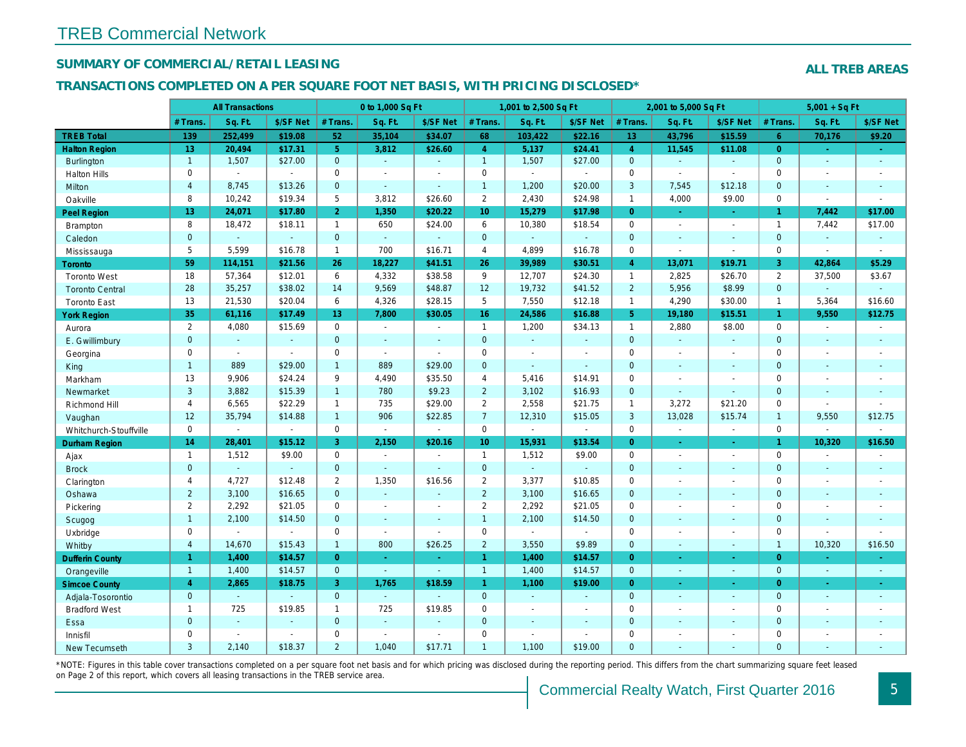## SUMMARY OF COMMERCIAL/RETAIL LEASING

#### TRANSACTIONS COMPLETED ON A PER SQUARE FOOT NET BASIS, WITH PRICING DISCLOSED\*

|                        |                | <b>All Transactions</b> |                |                | 0 to 1,000 Sq Ft |                |                     | 1,001 to 2,500 Sq Ft |                |                 | 2,001 to 5,000 Sq Ft |                  |
|------------------------|----------------|-------------------------|----------------|----------------|------------------|----------------|---------------------|----------------------|----------------|-----------------|----------------------|------------------|
|                        | # Trans.       | Sq. Ft.                 | \$/SF Net      | # Trans.       | Sq. Ft.          | \$/SF Net      | # Trans.            | Sq. Ft.              | \$/SF Net      | # Trans.        | Sq. Ft.              | \$/SF Ne         |
| <b>TREB Total</b>      | 139            | 252,499                 | \$19.08        | 52             | 35,104           | \$34.07        | 68                  | 103,422              | \$22.16        | 13 <sub>1</sub> | 43,796               | \$15.59          |
| <b>Halton Region</b>   | 13             | 20,494                  | \$17.31        | 5 <sup>1</sup> | 3,812            | \$26.60        | $\overline{4}$      | 5,137                | \$24.41        | $\overline{4}$  | 11,545               | \$11.08          |
| <b>Burlington</b>      | $\mathbf{1}$   | 1,507                   | \$27.00        | $\mathbf{0}$   | $\sim$           | $\blacksquare$ | $\mathbf{1}$        | 1,507                | \$27.00        | $\mathbf{0}$    | $\omega$             | $\blacksquare$   |
| <b>Halton Hills</b>    | 0              | $\blacksquare$          | $\omega$       | 0              | $\sim$           | $\blacksquare$ | $\mathsf{O}$        | $\blacksquare$       | $\omega$       | $\mathbf 0$     | $\mathbf{r}$         | $\blacksquare$   |
| Milton                 | $\overline{4}$ | 8,745                   | \$13.26        | $\mathbf 0$    | $\omega$         | $\mathbf{r}$   | $\mathbf{1}$        | 1,200                | \$20.00        | 3               | 7,545                | \$12.18          |
| Oakville               | 8              | 10,242                  | \$19.34        | 5              | 3,812            | \$26.60        | $\overline{2}$      | 2,430                | \$24.98        | $\mathbf{1}$    | 4,000                | \$9.00           |
| Peel Region            | 13             | 24,071                  | \$17.80        | 2 <sup>1</sup> | 1,350            | \$20.22        | 10                  | 15,279               | \$17.98        | $\overline{0}$  | $\omega$             | $\omega_{\rm c}$ |
| <b>Brampton</b>        | 8              | 18,472                  | \$18.11        | $\mathbf{1}$   | 650              | \$24.00        | 6                   | 10,380               | \$18.54        | $\mathbf 0$     | $\blacksquare$       | $\blacksquare$   |
| Caledon                | $\overline{0}$ | $\mathbf{r}$            | $\omega$       | $\mathbf{0}$   | $\omega$         | $\blacksquare$ | $\mathbf{0}$        | $\Box$               | $\omega$       | $\mathbf{0}$    | $\omega$             | $\blacksquare$   |
| Mississauga            | 5              | 5,599                   | \$16.78        | $\mathbf{1}$   | 700              | \$16.71        | $\overline{4}$      | 4,899                | \$16.78        | $\mathbf 0$     | $\blacksquare$       | $\blacksquare$   |
| <b>Toronto</b>         | 59             | 114,151                 | \$21.56        | 26             | 18,227           | \$41.51        | 26                  | 39,989               | \$30.51        | $\overline{4}$  | 13,071               | \$19.71          |
| <b>Toronto West</b>    | 18             | 57,364                  | \$12.01        | 6              | 4,332            | \$38.58        | 9                   | 12,707               | \$24.30        | $\mathbf{1}$    | 2,825                | \$26.70          |
| <b>Toronto Central</b> | 28             | 35,257                  | \$38.02        | 14             | 9,569            | \$48.87        | 12                  | 19,732               | \$41.52        | $\overline{2}$  | 5,956                | \$8.99           |
| <b>Toronto East</b>    | 13             | 21,530                  | \$20.04        | 6              | 4,326            | \$28.15        | 5                   | 7,550                | \$12.18        | $\overline{1}$  | 4,290                | \$30.00          |
| <b>York Region</b>     | 35             | 61,116                  | \$17.49        | 13             | 7,800            | \$30.05        | 16                  | 24,586               | \$16.88        | 5 <sup>5</sup>  | 19,180               | \$15.51          |
| Aurora                 | $\overline{2}$ | 4,080                   | \$15.69        | $\mathbf 0$    | $\omega$         | $\blacksquare$ | $\mathbf{1}$        | 1,200                | \$34.13        | $\mathbf{1}$    | 2,880                | \$8.00           |
| E. Gwillimbury         | $\mathbf{0}$   | $\omega$                | $\omega$       | $\mathbf{0}$   | $\blacksquare$   | $\blacksquare$ | $\mathbf{0}$        | $\omega$             | $\blacksquare$ | $\mathbf{0}$    | $\omega$             | $\sim$           |
| Georgina               | 0              | $\sim$                  | $\blacksquare$ | 0              | $\sim$           | $\sim$         | $\mathsf 0$         | $\blacksquare$       | $\overline{a}$ | $\mathbf 0$     | $\blacksquare$       | $\sim$           |
| King                   | $\mathbf{1}$   | 889                     | \$29.00        | $\mathbf{1}$   | 889              | \$29.00        | $\mathbf{0}$        | $\blacksquare$       | $\omega$       | $\mathbf{0}$    | $\blacksquare$       | $\blacksquare$   |
| Markham                | 13             | 9,906                   | \$24.24        | 9              | 4,490            | \$35.50        | $\overline{4}$      | 5,416                | \$14.91        | $\mathbf 0$     | $\blacksquare$       | $\blacksquare$   |
| Newmarket              | 3              | 3,882                   | \$15.39        | 1              | 780              | \$9.23         | $\overline{2}$      | 3,102                | \$16.93        | $\mathbf{0}$    | $\Delta$             |                  |
| Richmond Hill          | 4              | 6,565                   | \$22.29        | $\mathbf{1}$   | 735              | \$29.00        | $\overline{2}$      | 2,558                | \$21.75        | $\mathbf{1}$    | 3,272                | \$21.20          |
| Vaughan                | 12             | 35,794                  | \$14.88        | 1              | 906              | \$22.85        | $\overline{7}$      | 12,310               | \$15.05        | $\mathbf{3}$    | 13,028               | \$15.74          |
| Whitchurch-Stouffville | 0              | $\blacksquare$          | $\omega$       | 0              | $\blacksquare$   | $\blacksquare$ | $\mathsf{O}\xspace$ | $\blacksquare$       | $\bullet$      | $\mathsf{O}$    | $\blacksquare$       | $\blacksquare$   |
| Durham Region          | 14             | 28,401                  | \$15.12        | 3              | 2,150            | \$20.16        | 10 <sup>°</sup>     | 15,931               | \$13.54        | $\overline{0}$  | $\blacksquare$       | $\sim$           |
| Ajax                   | $\mathbf{1}$   | 1,512                   | \$9.00         | $\mathbf 0$    | $\sim$           | $\overline{a}$ | $\mathbf{1}$        | 1,512                | \$9.00         | $\mathbf 0$     | $\blacksquare$       | $\sim$           |
| <b>Brock</b>           | $\mathbf{0}$   | $\sim$                  | $\sim$         | $\mathbf 0$    | $\sim$           | $\mathbf{r}$   | $\mathbf{0}$        | $\omega_{\rm c}$     | ÷.             | $\mathbf{0}$    | $\omega$             | $\blacksquare$   |
| Clarington             | $\overline{4}$ | 4,727                   | \$12.48        | $\mathbf{2}$   | 1,350            | \$16.56        | $\overline{2}$      | 3,377                | \$10.85        | $\mathbf 0$     | $\blacksquare$       | $\blacksquare$   |
| Oshawa                 | $\overline{2}$ | 3,100                   | \$16.65        | $\mathbf{0}$   | $\omega$         | ٠              | $\overline{2}$      | 3,100                | \$16.65        | $\mathbf{0}$    | $\omega$             | $\sim$           |
| Pickering              | $\overline{2}$ | 2,292                   | \$21.05        | 0              | $\sim$           | $\blacksquare$ | $\overline{2}$      | 2,292                | \$21.05        | $\mathbf 0$     | $\blacksquare$       | $\blacksquare$   |
| Scugog                 | $\mathbf{1}$   | 2,100                   | \$14.50        | $\mathbf 0$    | $\mathbf{r}$     | $\blacksquare$ | $\mathbf{1}$        | 2,100                | \$14.50        | $\mathbf{0}$    | $\blacksquare$       | $\blacksquare$   |
| Uxbridge               | 0              | $\blacksquare$          | $\blacksquare$ | 0              | $\sim$           | $\blacksquare$ | $\mathsf{O}$        | $\blacksquare$       | $\sim$         | $\mathbf 0$     | $\blacksquare$       | $\blacksquare$   |
| Whitby                 | $\overline{4}$ | 14,670                  | \$15.43        | $\mathbf{1}$   | 800              | \$26.25        | $\overline{2}$      | 3,550                | \$9.89         | $\mathbf{0}$    | $\blacksquare$       | $\blacksquare$   |
| <b>Dufferin County</b> | $\mathbf{1}$   | 1,400                   | \$14.57        | $\overline{0}$ | $\omega$         | $\omega$       | $\mathbf{1}$        | 1,400                | \$14.57        | $\overline{0}$  | $\omega$             | $\bullet$        |
| Orangeville            | $\overline{1}$ | 1,400                   | \$14.57        | $\overline{0}$ | $\omega$         | $\sim$         | $\mathbf{1}$        | 1,400                | \$14.57        | $\overline{0}$  | $\omega$             | $\sim$           |
| <b>Simcoe County</b>   | $\overline{4}$ | 2,865                   | \$18.75        | 3              | 1,765            | \$18.59        | $\mathbf{1}$        | 1,100                | \$19.00        | $\overline{0}$  | $\blacksquare$       | ÷                |
| Adjala-Tosorontio      | $\mathbf{0}$   | $\Delta$                | $\sim$         | $\mathbf{0}$   | $\omega$         | ÷.             | $\overline{0}$      | $\omega$             | ÷.             | $\overline{0}$  | $\Delta$             | $\sim$           |
| <b>Bradford West</b>   | $\mathbf{1}$   | 725                     | \$19.85        | $\mathbf{1}$   | 725              | \$19.85        | $\mathbf 0$         | $\blacksquare$       | $\blacksquare$ | $\mathbf 0$     | $\blacksquare$       | $\sim$           |
| Essa                   | $\mathbf 0$    | $\sim$                  | $\sim$         | $\mathbf{0}$   | $\omega$         | $\sim$         | $\mathbf{0}$        | ä,                   | $\sim$         | $\mathbf{0}$    | $\sim$               | $\blacksquare$   |
| Innisfil               | $\mathbf 0$    | $\sim$                  | $\sim$         | $\mathbf 0$    | $\sim$           | $\sim$         | $\mathsf 0$         | ä,                   | $\overline{a}$ | $\mathbf 0$     | $\blacksquare$       | $\blacksquare$   |
| <b>New Tecumseth</b>   | 3              | 2,140                   | \$18.37        | $\overline{2}$ | 1,040            | \$17.71        | $\overline{1}$      | 1,100                | \$19.00        | $\Omega$        | $\Delta$             | $\blacksquare$   |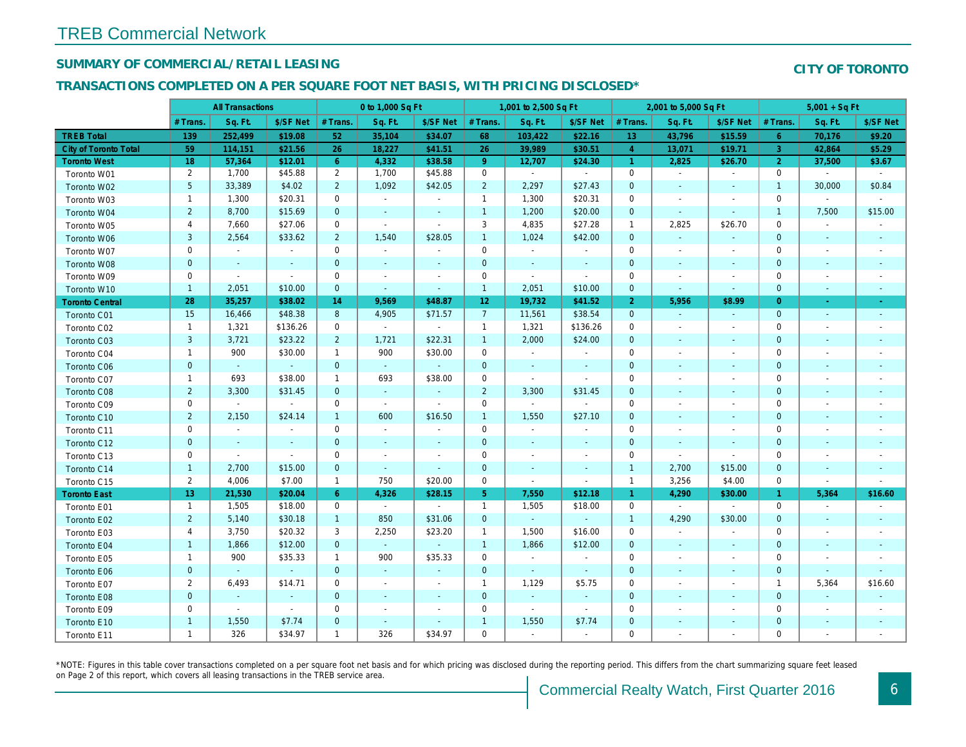## SUMMARY OF COMMERCIAL/RETAIL LEASING

## TRANSACTIONS COMPLETED ON A PER SQUARE FOOT NET BASIS, WITH PRICING DISCLOSED\*

|                              |                | <b>All Transactions</b> |                          |                | 0 to 1,000 Sq Ft         |                          |                 | 1,001 to 2,500 Sq Ft  |                          |                      | 2,001 to 5,000 Sq Ft     |                          |
|------------------------------|----------------|-------------------------|--------------------------|----------------|--------------------------|--------------------------|-----------------|-----------------------|--------------------------|----------------------|--------------------------|--------------------------|
|                              | # Trans.       | Sq. Ft.                 | \$/SF Net                | # Trans.       | Sq. Ft.                  | \$/SF Net                | # Trans.        | Sq. Ft.               | \$/SF Net                | # Trans.             | Sq. Ft.                  | \$/SF Ne                 |
| <b>TREB Total</b>            | 139            | 252,499                 | \$19.08                  | 52             | 35,104                   | \$34.07                  | 68              | 103,422               | \$22.16                  | 13 <sup>°</sup>      | 43,796                   | \$15.59                  |
| <b>City of Toronto Total</b> | 59             | 114,151                 | \$21.56                  | 26             | 18,227                   | \$41.51                  | 26              | 39,989                | \$30.51                  | $\overline{4}$       | 13,071                   | \$19.71                  |
| <b>Toronto West</b>          | 18             | 57,364                  | \$12.01                  | 6 <sup>1</sup> | 4,332                    | \$38.58                  | 9 <sup>°</sup>  | 12,707                | \$24.30                  | $\blacktriangleleft$ | 2,825                    | \$26.70                  |
| Toronto W01                  | $\overline{2}$ | 1,700                   | \$45.88                  | $\overline{2}$ | 1,700                    | \$45.88                  | $\mathbf 0$     | $\sim$                | $\sim$                   | $\mathbf 0$          | $\blacksquare$           | $\blacksquare$           |
| Toronto W02                  | 5              | 33,389                  | \$4.02                   | $\overline{2}$ | 1,092                    | \$42.05                  | $\overline{2}$  | 2,297                 | \$27.43                  | $\mathbf 0$          | $\blacksquare$           | $\sim$                   |
| Toronto W03                  | $\mathbf{1}$   | 1,300                   | \$20.31                  | $\mathbf 0$    | $\blacksquare$           | $\blacksquare$           | $\mathbf{1}$    | 1,300                 | \$20.31                  | $\mathbf 0$          | $\overline{\phantom{a}}$ | $\blacksquare$           |
| Toronto W04                  | $\overline{2}$ | 8,700                   | \$15.69                  | $\mathbf{0}$   | $\omega$                 | $\overline{\phantom{a}}$ | $\overline{1}$  | 1,200                 | \$20.00                  | $\mathbf{0}$         | $\blacksquare$           | $\blacksquare$           |
| Toronto W05                  | 4              | 7,660                   | \$27.06                  | 0              | $\blacksquare$           | $\sim$                   | 3               | 4,835                 | \$27.28                  | $\mathbf{1}$         | 2,825                    | \$26.70                  |
| Toronto W06                  | 3              | 2,564                   | \$33.62                  | $2^{\circ}$    | 1,540                    | \$28.05                  | $\overline{1}$  | 1,024                 | \$42.00                  | $\mathbf{0}$         | $\sim$                   | $\sim$                   |
| Toronto W07                  | 0              | $\blacksquare$          | $\blacksquare$           | $\mathbf 0$    | $\blacksquare$           | $\overline{\phantom{a}}$ | $\mathbf 0$     | $\blacksquare$        | $\blacksquare$           | $\mathbf 0$          | $\overline{\phantom{a}}$ | $\blacksquare$           |
| Toronto W08                  | $\pmb{0}$      | $\sim$                  | $\sim$                   | $\mathbf 0$    | $\blacksquare$           | $\blacksquare$           | $\mathbf{0}$    | $\blacksquare$        | $\sim$                   | $\mathbf{0}$         | $\blacksquare$           | $\blacksquare$           |
| Toronto W09                  | 0              | $\blacksquare$          | $\overline{\phantom{a}}$ | 0              | $\overline{\phantom{a}}$ | $\overline{\phantom{a}}$ | $\mathbf 0$     | $\blacksquare$        | $\blacksquare$           | 0                    | $\overline{\phantom{a}}$ | $\blacksquare$           |
| Toronto W10                  | $\mathbf{1}$   | 2,051                   | \$10.00                  | $\overline{0}$ | $\blacksquare$           | $\blacksquare$           | $\overline{1}$  | 2,051                 | \$10.00                  | $\mathbf{0}$         | $\blacksquare$           | $\sim$                   |
| <b>Toronto Central</b>       | 28             | 35,257                  | \$38.02                  | 14             | 9,569                    | \$48.87                  | 12 <sub>1</sub> | 19,732                | \$41.52                  | $\overline{2}$       | 5,956                    | \$8.99                   |
| Toronto C01                  | 15             | 16,466                  | \$48.38                  | 8              | 4,905                    | \$71.57                  | $\overline{7}$  | 11,561                | \$38.54                  | $\mathbf{0}$         | $\blacksquare$           | $\blacksquare$           |
| Toronto C02                  | $\mathbf{1}$   | 1,321                   | \$136.26                 | $\mathbf 0$    | $\sim$                   | $\sim$                   | $\mathbf{1}$    | 1,321                 | \$136.26                 | $\mathbf 0$          | $\blacksquare$           | $\sim$                   |
| Toronto C03                  | 3              | 3,721                   | \$23.22                  | $\overline{2}$ | 1,721                    | \$22.31                  | $\overline{1}$  | 2,000                 | \$24.00                  | $\mathbf{0}$         | $\sim$                   | $\blacksquare$           |
| Toronto C04                  | $\mathbf{1}$   | 900                     | \$30.00                  | $\mathbf{1}$   | 900                      | \$30.00                  | $\mathbf 0$     | $\omega$              | $\blacksquare$           | $\mathbf 0$          | $\blacksquare$           | $\overline{\phantom{a}}$ |
| Toronto C06                  | $\pmb{0}$      | $\omega$                | $\sim$                   | $\mathbf 0$    | $\sim$                   | $\sim$                   | $\mathbf 0$     | $\blacksquare$        | $\blacksquare$           | $\mathbf 0$          | $\blacksquare$           | $\blacksquare$           |
| Toronto C07                  | $\mathbf{1}$   | 693                     | \$38.00                  | $\mathbf{1}$   | 693                      | \$38.00                  | $\mathbf 0$     | $\omega$              | $\blacksquare$           | 0                    | $\blacksquare$           | $\blacksquare$           |
| Toronto C08                  | $\overline{2}$ | 3,300                   | \$31.45                  | $\mathbf 0$    | $\sim$                   | $\blacksquare$           | $\overline{2}$  | 3,300                 | \$31.45                  | $\mathbf 0$          | $\sim$                   | $\blacksquare$           |
| Toronto C09                  | 0              | $\blacksquare$          | $\sim$                   | 0              | $\sim$                   | $\sim$                   | $\mathbf 0$     | $\blacksquare$        | $\blacksquare$           | 0                    | $\sim$                   | $\blacksquare$           |
| Toronto C10                  | $\overline{2}$ | 2,150                   | \$24.14                  | $\mathbf{1}$   | 600                      | \$16.50                  | $\overline{1}$  | 1,550                 | \$27.10                  | $\mathbf{0}$         | $\blacksquare$           | $\blacksquare$           |
| Toronto C11                  | 0              | $\sim$                  | ÷.                       | $\mathbf 0$    | $\blacksquare$           | $\tilde{\phantom{a}}$    | $\mathsf 0$     | $\tilde{\phantom{a}}$ | $\blacksquare$           | $\mathbf 0$          | $\blacksquare$           | $\blacksquare$           |
| Toronto C12                  | $\pmb{0}$      | $\blacksquare$          | $\blacksquare$           | $\mathbf 0$    | $\blacksquare$           | $\blacksquare$           | $\mathbf{0}$    | $\blacksquare$        | $\blacksquare$           | $\mathbf 0$          | $\blacksquare$           | $\blacksquare$           |
| Toronto C13                  | $\mathbf 0$    | $\blacksquare$          | $\blacksquare$           | $\mathbf 0$    | $\blacksquare$           | $\overline{\phantom{a}}$ | $\mathbf 0$     | $\blacksquare$        | $\overline{\phantom{a}}$ | 0                    | $\omega$                 | $\blacksquare$           |
| Toronto C14                  | $\mathbf{1}$   | 2,700                   | \$15.00                  | $\mathbf 0$    | $\omega$                 | $\sim$                   | $\mathbf 0$     | $\omega$              | $\sim$                   | $\overline{1}$       | 2,700                    | \$15.00                  |
| Toronto C15                  | $\overline{2}$ | 4,006                   | \$7.00                   | $\mathbf{1}$   | 750                      | \$20.00                  | $\mathbf 0$     | $\mathbf{r}$          | $\omega$                 | $\overline{1}$       | 3,256                    | \$4.00                   |
| <b>Toronto East</b>          | 13             | 21,530                  | \$20.04                  | $6^{\circ}$    | 4,326                    | \$28.15                  | 5 <sub>5</sub>  | 7,550                 | \$12.18                  | $\mathbf{1}$         | 4,290                    | \$30.00                  |
| Toronto E01                  | $\mathbf{1}$   | 1,505                   | \$18.00                  | 0              | $\sim$                   | $\blacksquare$           | $\mathbf{1}$    | 1,505                 | \$18.00                  | $\mathbf 0$          | $\sim$                   | $\sim$                   |
| Toronto E02                  | $\overline{2}$ | 5,140                   | \$30.18                  | $\mathbf{1}$   | 850                      | \$31.06                  | $\mathbf{0}$    | $\omega$              | $\omega$                 | $\overline{1}$       | 4,290                    | \$30.00                  |
| Toronto E03                  | 4              | 3,750                   | \$20.32                  | 3              | 2,250                    | \$23.20                  | $\mathbf{1}$    | 1,500                 | \$16.00                  | $\mathbf 0$          | $\tilde{\phantom{a}}$    | $\blacksquare$           |
| Toronto E04                  | $\mathbf{1}$   | 1,866                   | \$12.00                  | $\mathbf{0}$   | $\sim$                   | $\blacksquare$           | $\overline{1}$  | 1,866                 | \$12.00                  | $\mathbf 0$          | $\blacksquare$           | $\sim$                   |
| Toronto E05                  | $\mathbf{1}$   | 900                     | \$35.33                  | $\mathbf{1}$   | 900                      | \$35.33                  | $\mathbf 0$     | $\blacksquare$        | $\sim$                   | $\mathbf 0$          | $\tilde{\phantom{a}}$    | $\blacksquare$           |
| Toronto E06                  | $\mathbf 0$    | $\omega$                | $\Delta$                 | $\mathbf{0}$   | $\sim$                   | $\blacksquare$           | $\mathbf{0}$    | $\blacksquare$        | $\blacksquare$           | $\mathbf{0}$         | $\sim$                   | $\sim$                   |
| Toronto E07                  | $\overline{2}$ | 6,493                   | \$14.71                  | $\mathbf 0$    | $\blacksquare$           | $\overline{\phantom{a}}$ | $\mathbf{1}$    | 1,129                 | \$5.75                   | 0                    | $\overline{\phantom{a}}$ | $\overline{\phantom{a}}$ |
| Toronto E08                  | $\mathbf 0$    | $\omega$                | $\sim$                   | $\mathbf{0}$   | $\blacksquare$           | $\blacksquare$           | $\mathbf{0}$    | $\sim$                | $\sim$                   | $\overline{0}$       | $\sim$                   | $\blacksquare$           |
| Toronto E09                  | 0              | $\blacksquare$          | $\sim$                   | $\mathbf 0$    | $\blacksquare$           | $\blacksquare$           | $\mathbf 0$     | $\omega$              | $\blacksquare$           | 0                    | $\blacksquare$           | $\blacksquare$           |
| Toronto E10                  | $\mathbf{1}$   | 1,550                   | \$7.74                   | $\pmb{0}$      | $\sim$                   | $\overline{\phantom{a}}$ | $\overline{1}$  | 1,550                 | \$7.74                   | $\mathbf{0}$         | $\sim$                   | $\blacksquare$           |
| Toronto E11                  | $\mathbf{1}$   | 326                     | \$34.97                  | $\mathbf{1}$   | 326                      | \$34.97                  | $\mathbf 0$     | $\blacksquare$        | $\blacksquare$           | $\mathbf 0$          | $\blacksquare$           | $\blacksquare$           |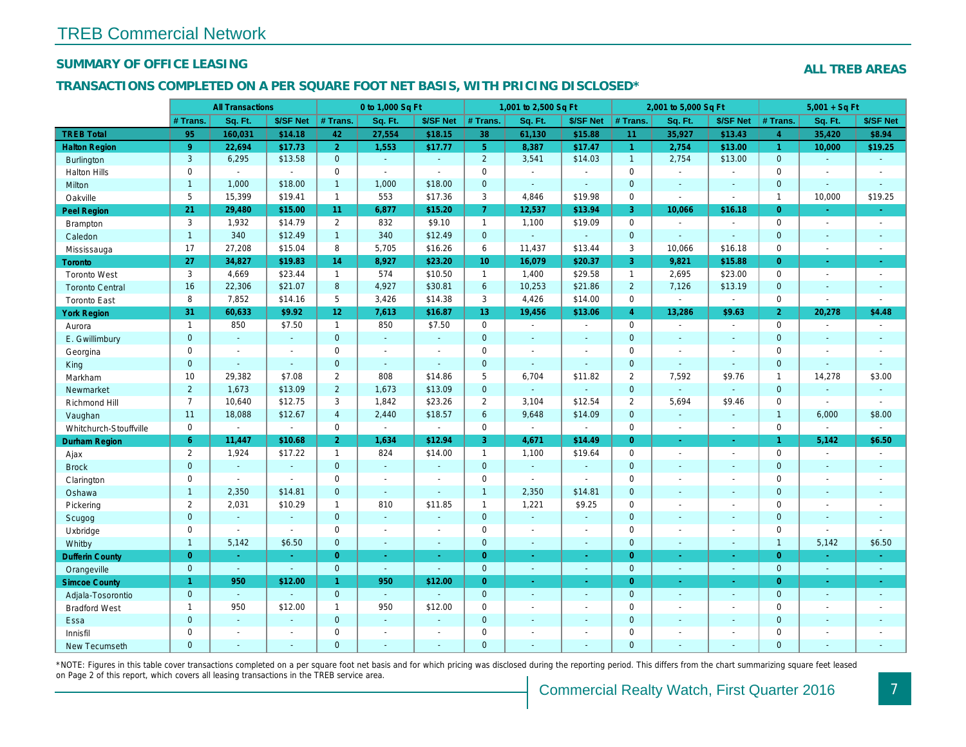## SUMMARY OF OFFICE LEASING

#### TRANSACTIONS COMPLETED ON A PER SQUARE FOOT NET BASIS, WITH PRICING DISCLOSED\*

|                        |                | <b>All Transactions</b> |                          |                 | 0 to 1,000 Sq Ft            |                          |                 | 1,001 to 2,500 Sq Ft |                          |                | 2,001 to 5,000 Sq Ft  |                          |
|------------------------|----------------|-------------------------|--------------------------|-----------------|-----------------------------|--------------------------|-----------------|----------------------|--------------------------|----------------|-----------------------|--------------------------|
|                        | # Trans.       | Sq. Ft.                 | \$/SF Net                | # Trans.        | Sq. Ft.                     | \$/SF Net                | # Trans.        | Sq. Ft.              | \$/SF Net                | # Trans.       | Sq. Ft.               | \$/SF Ne                 |
| <b>TREB Total</b>      | 95             | 160,031                 | \$14.18                  | 42              | 27,554                      | \$18.15                  | 38              | 61,130               | \$15.88                  | 11             | 35,927                | \$13.43                  |
| <b>Halton Region</b>   | 9              | 22,694                  | \$17.73                  | $\overline{2}$  | 1,553                       | \$17.77                  | 5 <sup>5</sup>  | 8,387                | \$17.47                  | $\mathbf{1}$   | 2,754                 | \$13.00                  |
| <b>Burlington</b>      | 3              | 6,295                   | \$13.58                  | $\mathbf{0}$    | $\sim$                      | $\sim$                   | $\overline{2}$  | 3,541                | \$14.03                  | $\overline{1}$ | 2,754                 | \$13.00                  |
| <b>Halton Hills</b>    | 0              | $\blacksquare$          | $\sim$                   | $\mathbf 0$     | $\bullet$                   | $\blacksquare$           | $\mathbf 0$     | $\blacksquare$       | $\sim$                   | $\mathbf 0$    | $\blacksquare$        | $\blacksquare$           |
| Milton                 | $\mathbf{1}$   | 1,000                   | \$18.00                  | $\overline{1}$  | 1,000                       | \$18.00                  | $\mathbf{0}$    | $\blacksquare$       | $\sim$                   | $\mathbf{0}$   | $\blacksquare$        | $\sim$                   |
| Oakville               | 5              | 15,399                  | \$19.41                  | $\mathbf{1}$    | 553                         | \$17.36                  | 3               | 4,846                | \$19.98                  | $\mathbf 0$    | $\tilde{\phantom{a}}$ | $\sim$                   |
| <b>Peel Region</b>     | 21             | 29,480                  | \$15.00                  | 11              | 6,877                       | \$15.20                  | $\overline{7}$  | 12,537               | \$13.94                  | 3              | 10,066                | \$16.18                  |
| <b>Brampton</b>        | 3              | 1,932                   | \$14.79                  | $\overline{2}$  | 832                         | \$9.10                   | $\mathbf{1}$    | 1,100                | \$19.09                  | $\mathbf 0$    | $\omega$              | $\blacksquare$           |
| Caledon                | $\mathbf{1}$   | 340                     | \$12.49                  | $\mathbf{1}$    | 340                         | \$12.49                  | $\mathbf{0}$    | $\omega$             | $\omega$                 | $\mathbf{0}$   | $\sim$                | $\blacksquare$           |
| Mississauga            | 17             | 27,208                  | \$15.04                  | 8               | 5,705                       | \$16.26                  | 6               | 11,437               | \$13.44                  | 3              | 10,066                | \$16.18                  |
| Toronto                | 27             | 34,827                  | \$19.83                  | 14              | 8,927                       | \$23.20                  | 10 <sup>°</sup> | 16,079               | \$20.37                  | 3 <sup>°</sup> | 9,821                 | \$15.88                  |
| <b>Toronto West</b>    | 3              | 4,669                   | \$23.44                  | $\mathbf{1}$    | 574                         | \$10.50                  | $\mathbf{1}$    | 1,400                | \$29.58                  | $\mathbf{1}$   | 2,695                 | \$23.00                  |
| <b>Toronto Central</b> | 16             | 22,306                  | \$21.07                  | 8               | 4,927                       | \$30.81                  | 6               | 10,253               | \$21.86                  | $\overline{2}$ | 7,126                 | \$13.19                  |
| <b>Toronto East</b>    | 8              | 7,852                   | \$14.16                  | 5               | 3,426                       | \$14.38                  | 3               | 4,426                | \$14.00                  | $\Omega$       | $\sim$                | $\sim$                   |
| <b>York Region</b>     | 31             | 60,633                  | \$9.92                   | 12 <sub>2</sub> | 7,613                       | \$16.87                  | 13 <sup>°</sup> | 19,456               | \$13.06                  | $\overline{4}$ | 13,286                | \$9.63                   |
| Aurora                 | $\mathbf{1}$   | 850                     | \$7.50                   | $\mathbf{1}$    | 850                         | \$7.50                   | $\mathbf 0$     | $\omega$             | $\blacksquare$           | $\mathbf 0$    | $\blacksquare$        | $\sim$                   |
| E. Gwillimbury         | $\mathbf 0$    | $\omega$                | $\blacksquare$           | $\overline{0}$  | $\omega$                    | $\blacksquare$           | $\mathbf{0}$    | $\blacksquare$       | $\blacksquare$           | $\mathbf{0}$   | $\blacksquare$        | $\blacksquare$           |
| Georgina               | $\mathsf 0$    | $\sim$                  | $\sim$                   | $\mathbf 0$     | $\blacksquare$              | $\overline{\phantom{a}}$ | $\mathbf 0$     | $\blacksquare$       | $\sim$                   | $\mathbf 0$    | $\blacksquare$        | $\blacksquare$           |
| King                   | $\mathbf{0}$   | $\omega$                | $\Delta$                 | $\mathbf{0}$    | $\omega$ .                  | $\omega$                 | $\mathbf{0}$    | $\blacksquare$       | $\omega$                 | $\overline{0}$ | $\omega$              | $\sim$                   |
| Markham                | 10             | 29,382                  | \$7.08                   | $\overline{2}$  | 808                         | \$14.86                  | $5\phantom{.0}$ | 6,704                | \$11.82                  | $\overline{2}$ | 7,592                 | \$9.76                   |
| Newmarket              | $\overline{2}$ | 1,673                   | \$13.09                  | $2^{\circ}$     | 1,673                       | \$13.09                  | $\mathbf{0}$    | $\omega$             | $\mathbf{r}$             | $\mathbf{0}$   | $\omega$              | $\sim$                   |
| Richmond Hill          | $\overline{7}$ | 10,640                  | \$12.75                  | 3               | 1,842                       | \$23.26                  | 2               | 3,104                | \$12.54                  | $\overline{2}$ | 5,694                 | \$9.46                   |
| Vaughan                | 11             | 18,088                  | \$12.67                  | $\overline{4}$  | 2,440                       | \$18.57                  | $6\phantom{1}$  | 9,648                | \$14.09                  | $\overline{0}$ | $\omega$              | $\blacksquare$           |
| Whitchurch-Stouffville | 0              | $\blacksquare$          | $\blacksquare$           | 0               | $\blacksquare$              | $\blacksquare$           | $\mathbf 0$     | $\blacksquare$       | $\blacksquare$           | 0              | $\blacksquare$        | $\blacksquare$           |
| <b>Durham Region</b>   | 6              | 11,447                  | \$10.68                  | $\overline{2}$  | 1,634                       | \$12.94                  | 3               | 4,671                | \$14.49                  | $\overline{0}$ | $\omega$              | $\sigma_{\rm c}$         |
| Ajax                   | $\overline{2}$ | 1,924                   | \$17.22                  | $\mathbf{1}$    | 824                         | \$14.00                  | $\mathbf{1}$    | 1,100                | \$19.64                  | $\mathbf{0}$   | $\blacksquare$        | $\sim$                   |
| <b>Brock</b>           | $\mathbf 0$    | $\omega$                | $\Delta$                 | $\overline{0}$  | $\omega$                    | $\blacksquare$           | $\mathbf{0}$    | $\omega$             | $\Delta$                 | $\mathbf{0}$   | $\Delta$              | $\sim$                   |
| Clarington             | 0              | $\sim$                  | $\sim$                   | $\mathbf 0$     | $\mathbf{r}$                | $\blacksquare$           | $\mathbf 0$     | $\omega$             | $\blacksquare$           | $\mathbf 0$    | $\blacksquare$        | $\blacksquare$           |
| Oshawa                 | $\mathbf{1}$   | 2,350                   | \$14.81                  | $\mathbf 0$     | $\sim$                      | $\blacksquare$           | $\overline{1}$  | 2,350                | \$14.81                  | $\mathbf{0}$   | $\sim$                | $\blacksquare$           |
| Pickering              | 2              | 2,031                   | \$10.29                  | $\mathbf{1}$    | 810                         | \$11.85                  | $\mathbf{1}$    | 1,221                | \$9.25                   | $\mathbf 0$    | $\blacksquare$        | $\blacksquare$           |
| Scugog                 | $\mathbf 0$    | $\omega$                |                          | $\overline{0}$  | $\blacksquare$              | $\blacksquare$           | $\mathbf{0}$    | $\omega$             | $\blacksquare$           | $\mathbf{0}$   | $\blacksquare$        | $\blacksquare$           |
| Uxbridge               | 0              | $\blacksquare$          | $\sim$                   | $\mathbf 0$     | $\blacksquare$              | $\blacksquare$           | $\mathbf 0$     | $\omega$             | $\blacksquare$           | $\mathbf 0$    | $\tilde{\phantom{a}}$ | $\blacksquare$           |
| Whitby                 | $\mathbf{1}$   | 5,142                   | \$6.50                   | $\mathbf{0}$    | ä,                          | $\blacksquare$           | $\mathbf{0}$    | ä,                   | $\blacksquare$           | $\mathbf{0}$   | $\blacksquare$        | $\blacksquare$           |
| <b>Dufferin County</b> | $\overline{0}$ | $\sim$                  | $\omega$                 | $\overline{0}$  | $\omega$                    | $\bullet$                | $\overline{0}$  | $\omega$             | $\omega$                 | $\overline{0}$ | $\blacksquare$        | $\sim$                   |
| Orangeville            | $\mathbf{0}$   | $\sim$                  | $\omega$                 | $\overline{0}$  | $\sim$                      | $\blacksquare$           | $\mathbf{0}$    | $\blacksquare$       | $\blacksquare$           | $\overline{0}$ | $\sim$                | $\blacksquare$           |
| <b>Simcoe County</b>   | 1 <sup>1</sup> | 950                     | \$12.00                  | $\mathbf{1}$    | 950                         | \$12.00                  | $\overline{0}$  | $\omega$             | $\omega$                 | $\overline{0}$ | $\omega$              | $\frac{1}{\sqrt{2}}$     |
| Adjala-Tosorontio      | $\mathbf{0}$   | $\omega$                | ш.                       | $\overline{0}$  | $\mathcal{L}_{\mathcal{A}}$ | $\sim$                   | $\mathbf 0$     | $\Delta$             | $\sim$                   | $\overline{0}$ | $\sim$                | $\blacksquare$           |
| <b>Bradford West</b>   | $\mathbf{1}$   | 950                     | \$12.00                  | $\mathbf{1}$    | 950                         | \$12.00                  | $\mathbf 0$     | $\blacksquare$       | $\blacksquare$           | 0              | $\blacksquare$        | $\blacksquare$           |
| Essa                   | $\mathbf 0$    | $\sim$                  | $\omega$                 | $\overline{0}$  | $\omega$                    | $\blacksquare$           | $\mathbf{0}$    | $\sim$               | $\overline{\phantom{a}}$ | $\overline{0}$ | $\sim$                | $\sim$                   |
| Innisfil               | 0              | $\sim$                  | $\sim$                   | $\mathbf 0$     | $\blacksquare$              | $\blacksquare$           | $\mathbf 0$     | $\blacksquare$       | $\sim$                   | $\mathbf 0$    | $\blacksquare$        | $\overline{\phantom{a}}$ |
| <b>New Tecumseth</b>   | $\Omega$       | $\sim$                  | $\overline{\phantom{a}}$ | $\mathbf{0}$    | $\overline{a}$              | $\overline{\phantom{a}}$ | $\mathbf{0}$    | ÷.                   | $\blacksquare$           | $\Omega$       | ÷.                    | $\sim$                   |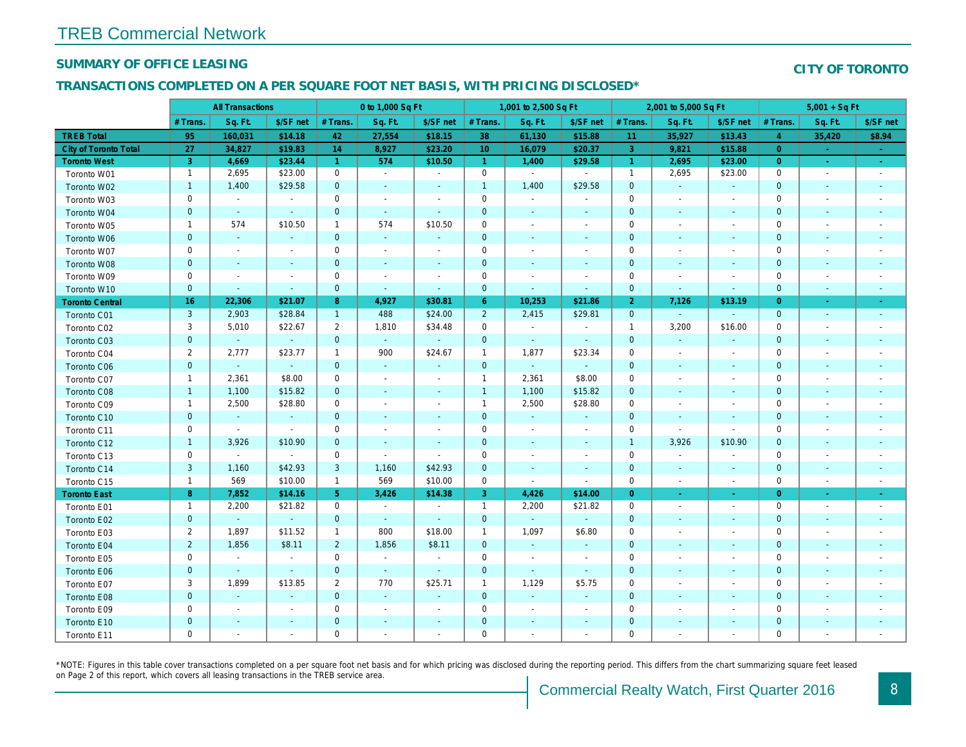## SUMMARY OF OFFICE LEASING

#### TRANSACTIONS COMPLETED ON A PER SQUARE FOOT NET BASIS, WITH PRICING DISCLOSED\*

|                        | <b>All Transactions</b> |                          |                          | 0 to 1,000 Sq Ft     |                       |                          |                 | 1,001 to 2,500 Sq Ft     |                          |                | 2,001 to 5,000 Sq Ft     |                          |
|------------------------|-------------------------|--------------------------|--------------------------|----------------------|-----------------------|--------------------------|-----------------|--------------------------|--------------------------|----------------|--------------------------|--------------------------|
|                        | # Trans.                | Sq. Ft.                  | \$/SF net                | # Trans.             | Sq. Ft.               | \$/SF net                | # Trans.        | Sq. Ft.                  | \$/SF net                | # Trans.       | Sq. Ft.                  | \$/SF ne                 |
| <b>TREB Total</b>      | 95                      | 160,031                  | \$14.18                  | 42                   | 27,554                | \$18.15                  | 38              | 61,130                   | \$15.88                  | 11             | 35,927                   | \$13.43                  |
| City of Toronto Total  | 27                      | 34,827                   | \$19.83                  | 14                   | 8,927                 | \$23.20                  | 10 <sup>°</sup> | 16,079                   | \$20.37                  | 3              | 9,821                    | \$15.88                  |
| <b>Toronto West</b>    | 3 <sup>°</sup>          | 4,669                    | \$23.44                  | $\blacktriangleleft$ | 574                   | \$10.50                  | $\vert$ 1       | 1,400                    | \$29.58                  | $\vert$ 1      | 2,695                    | \$23.00                  |
| Toronto W01            | $\mathbf{1}$            | 2,695                    | \$23.00                  | $\mathbf{0}$         | $\sim$                | $\sim$                   | $\mathbf 0$     | $\sim$                   | $\blacksquare$           | $\overline{1}$ | 2,695                    | \$23.00                  |
| Toronto W02            | $\mathbf{1}$            | 1,400                    | \$29.58                  | $\mathbf{0}$         | $\sim$                | $\omega$                 | $\mathbf{1}$    | 1,400                    | \$29.58                  | $\mathbf{0}$   | $\sim$                   | $\sim$                   |
| Toronto W03            | $\pmb{0}$               | $\sim$                   | $\sim$                   | $\mathbf 0$          | $\blacksquare$        | $\blacksquare$           | $\mathbf 0$     | $\blacksquare$           | $\blacksquare$           | $\mathbf 0$    | $\blacksquare$           | $\sim$                   |
| Toronto W04            | $\pmb{0}$               | $\sim$                   | $\sim$                   | $\mathbf{0}$         | $\sim$                | $\blacksquare$           | $\mathbf 0$     | $\sim$                   | $\blacksquare$           | $\mathbf{0}$   | $\blacksquare$           | $\blacksquare$           |
| Toronto W05            | $\mathbf{1}$            | 574                      | \$10.50                  | $\mathbf{1}$         | 574                   | \$10.50                  | $\mathbf 0$     | $\overline{\phantom{a}}$ | $\blacksquare$           | 0              |                          | $\overline{\phantom{a}}$ |
| Toronto W06            | $\pmb{0}$               | $\overline{\phantom{a}}$ | $\frac{1}{2}$            | $\mathbf{0}$         | $\blacksquare$        | ÷,                       | $\mathbf 0$     | $\blacksquare$           |                          | $\mathbf 0$    |                          |                          |
| Toronto W07            | $\mathbf 0$             | $\overline{\phantom{a}}$ | $\overline{\phantom{a}}$ | $\mathbf 0$          | $\blacksquare$        | $\blacksquare$           | 0               | $\blacksquare$           | $\overline{\phantom{a}}$ | 0              | $\overline{\phantom{a}}$ | $\overline{\phantom{a}}$ |
| Toronto W08            | $\mathbf 0$             | $\sim$                   | $\sim$                   | $\mathbf{0}$         | ä,                    | $\omega$                 | $\mathbf{0}$    | $\omega$                 | $\omega$                 | $\overline{0}$ |                          |                          |
| Toronto W09            | $\mathbf 0$             | $\blacksquare$           | $\overline{\phantom{a}}$ | $\mathbf 0$          | $\blacksquare$        | $\blacksquare$           | $\mathbf 0$     | $\blacksquare$           | $\blacksquare$           | $\mathbf 0$    | $\sim$                   | $\blacksquare$           |
| Toronto W10            | $\pmb{0}$               | $\sim$                   | $\sim$                   | $\mathbf{0}$         | $\blacksquare$        | $\blacksquare$           | $\mathbf 0$     | $\blacksquare$           | $\omega$                 | $\mathbf 0$    | $\sim$                   | $\blacksquare$           |
| <b>Toronto Central</b> | 16                      | 22,306                   | \$21.07                  | 8                    | 4,927                 | \$30.81                  | $6^{\circ}$     | 10,253                   | \$21.86                  | $\overline{2}$ | 7,126                    | \$13.19                  |
| Toronto C01            | 3                       | 2,903                    | \$28.84                  | $\mathbf{1}$         | 488                   | \$24.00                  | $\overline{2}$  | 2,415                    | \$29.81                  | $\mathbf 0$    | $\omega$                 | $\sim$                   |
| Toronto C02            | 3                       | 5,010                    | \$22.67                  | $\overline{2}$       | 1,810                 | \$34.48                  | 0               | $\blacksquare$           | $\blacksquare$           | $\overline{1}$ | 3,200                    | \$16.00                  |
| Toronto C03            | $\mathbf 0$             | $\sim$                   | $\omega$                 | $\mathbf{0}$         | $\omega$              |                          | $\mathbf{0}$    | $\omega$                 | $\sim$                   | $\mathbf{0}$   | $\sim$                   |                          |
| Toronto C04            | $\overline{2}$          | 2,777                    | \$23.77                  | $\mathbf{1}$         | 900                   | \$24.67                  | $\overline{1}$  | 1,877                    | \$23.34                  | $\mathbf 0$    | $\sim$                   | $\blacksquare$           |
| Toronto C06            | $\mathbf 0$             | $\omega$                 | $\sim$                   | $\mathbf{0}$         | $\omega$              | $\blacksquare$           | $\mathbf 0$     | $\omega$                 | $\blacksquare$           | $\mathbf 0$    | $\blacksquare$           | $\sim$                   |
| Toronto C07            | $\mathbf{1}$            | 2,361                    | \$8.00                   | $\mathbf 0$          | $\blacksquare$        | $\blacksquare$           | $\mathbf{1}$    | 2,361                    | \$8.00                   | 0              | $\overline{\phantom{a}}$ | $\sim$                   |
| Toronto C08            | $\mathbf{1}$            | 1,100                    | \$15.82                  | $\mathbf 0$          | $\frac{1}{2}$         | ٠                        | $\mathbf{1}$    | 1,100                    | \$15.82                  | $\mathbf 0$    | $\sim$                   | $\sim$                   |
| Toronto C09            | $\mathbf{1}$            | 2,500                    | \$28.80                  | 0                    | ä,                    | $\overline{\phantom{a}}$ | $\overline{1}$  | 2,500                    | \$28.80                  | 0              | $\overline{\phantom{a}}$ | $\overline{\phantom{a}}$ |
| Toronto C10            | $\mathbf 0$             | ◆                        | $\omega$                 | $\mathbf{0}$         | $\sim$                | $\sim$                   | $\mathbf{0}$    | $\blacksquare$           | $\sim$                   | $\mathbf{0}$   | $\sim$                   | $\sim$                   |
| Toronto C11            | $\mathbf 0$             | $\blacksquare$           | $\blacksquare$           | $\mathbf 0$          | ÷.                    | $\blacksquare$           | $\mathbf 0$     | $\blacksquare$           | $\sim$                   | $\mathbf 0$    | $\sim$                   |                          |
| Toronto C12            | $\mathbf{1}$            | 3,926                    | \$10.90                  | $\mathbf{0}$         | $\blacksquare$        | $\blacksquare$           | $\mathbf 0$     | $\blacksquare$           | $\blacksquare$           | $\mathbf{1}$   | 3,926                    | \$10.90                  |
| Toronto C13            | $\mathbf 0$             | $\blacksquare$           | $\sim$                   | $\mathbf 0$          | $\tilde{\phantom{a}}$ | $\blacksquare$           | 0               | $\blacksquare$           | $\overline{\phantom{a}}$ | $\mathbf 0$    | $\overline{\phantom{a}}$ |                          |
| Toronto C14            | $\mathbf{3}$            | 1,160                    | \$42.93                  | 3                    | 1,160                 | \$42.93                  | $\mathbf 0$     | $\blacksquare$           | $\blacksquare$           | $\mathbf{0}$   | $\blacksquare$           | $\sim$                   |
| Toronto C15            | $\mathbf{1}$            | 569                      | \$10.00                  | $\mathbf{1}$         | 569                   | \$10.00                  | 0               | $\blacksquare$           | $\blacksquare$           | $\mathbf 0$    | $\blacksquare$           | $\sim$                   |
| <b>Toronto East</b>    | 8                       | 7,852                    | \$14.16                  | 5 <sup>5</sup>       | 3,426                 | \$14.38                  | 3               | 4,426                    | \$14.00                  | $\overline{0}$ | $\sim$                   | $\frac{1}{\sqrt{2}}$     |
| Toronto E01            | $\mathbf{1}$            | 2,200                    | \$21.82                  | $\mathbf{0}$         | $\sim$                | $\sim$                   | $\overline{1}$  | 2,200                    | \$21.82                  | $\mathbf 0$    | $\overline{\phantom{a}}$ | $\blacksquare$           |
| Toronto E02            | $\mathbf{0}$            | $\omega$                 | $\sim$                   | $\mathbf{0}$         | $\omega$              | $\blacksquare$           | $\mathbf 0$     | $\blacksquare$           | $\blacksquare$           | $\mathbf 0$    | $\blacksquare$           | $\blacksquare$           |
| Toronto E03            | $\overline{2}$          | 1,897                    | \$11.52                  | $\mathbf{1}$         | 800                   | \$18.00                  | $\mathbf{1}$    | 1,097                    | \$6.80                   | $\mathbf 0$    |                          | $\overline{\phantom{a}}$ |
| Toronto E04            | $\overline{2}$          | 1,856                    | \$8.11                   | $\overline{2}$       | 1,856                 | \$8.11                   | $\mathbf 0$     | $\blacksquare$           | $\blacksquare$           | $\mathbf 0$    |                          | $\blacksquare$           |
| Toronto E05            | $\pmb{0}$               | $\overline{\phantom{a}}$ | $\blacksquare$           | $\mathbf 0$          | $\sim$                | $\blacksquare$           | $\mathbf 0$     | $\blacksquare$           | $\blacksquare$           | 0              |                          |                          |
| Toronto E06            | $\mathbf 0$             | $\blacksquare$           | $\omega$                 | $\overline{0}$       | $\omega$              | $\omega$                 | $\mathbf{0}$    | $\omega$                 | $\omega$                 | $\overline{0}$ | $\sim$                   | $\sim$                   |
| Toronto E07            | 3                       | 1,899                    | \$13.85                  | $\overline{2}$       | 770                   | \$25.71                  | $\mathbf{1}$    | 1,129                    | \$5.75                   | $\mathbf 0$    |                          | $\overline{\phantom{a}}$ |
| Toronto E08            | $\mathbf 0$             | $\sim$                   | $\blacksquare$           | $\mathbf{0}$         | $\blacksquare$        | $\blacksquare$           | $\mathbf 0$     | $\blacksquare$           | $\sim$                   | $\mathbf 0$    | $\sim$                   | $\sim$                   |
| Toronto E09            | $\pmb{0}$               | $\blacksquare$           | $\blacksquare$           | 0                    | $\blacksquare$        | $\blacksquare$           | $\mathbf 0$     | $\blacksquare$           | $\blacksquare$           | 0              | $\overline{\phantom{a}}$ |                          |
| Toronto E10            | $\pmb{0}$               | $\sim$                   | $\blacksquare$           | $\mathbf{0}$         | $\blacksquare$        | $\blacksquare$           | $\mathbf 0$     | $\sim$                   | $\blacksquare$           | $\pmb{0}$      | $\blacksquare$           | $\sim$                   |
| Toronto E11            | $\mathbf 0$             | $\blacksquare$           | $\blacksquare$           | $\mathbf 0$          | ä,                    | $\blacksquare$           | $\mathbf 0$     | $\blacksquare$           | $\blacksquare$           | $\mathbf 0$    |                          |                          |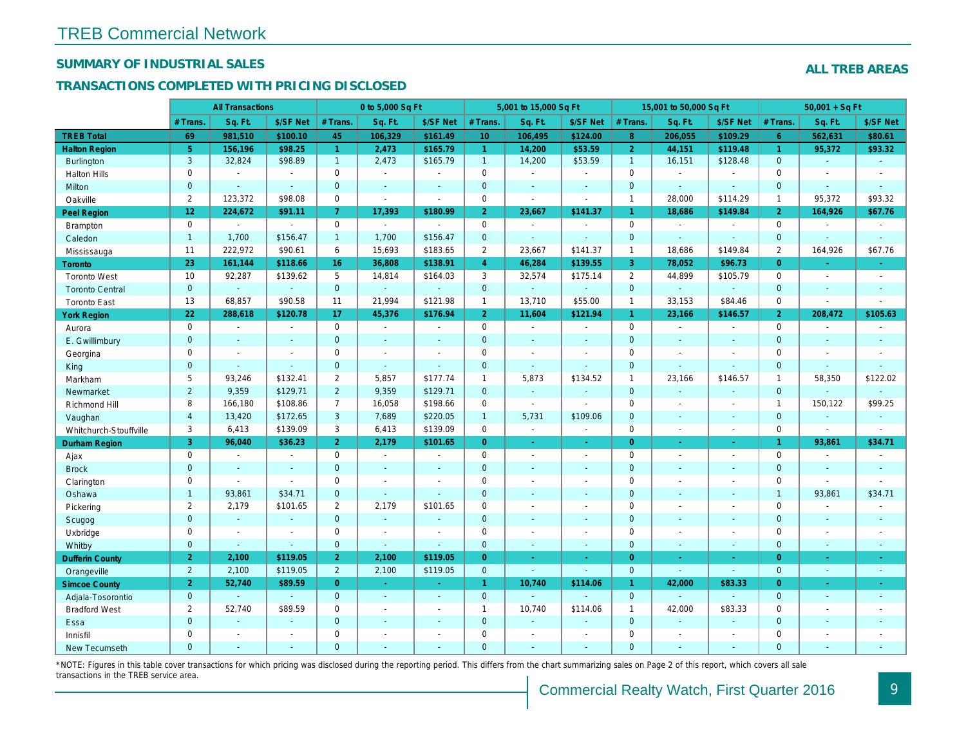## SUMMARY OF INDUSTRIAL SALES

## TRANSACTIONS COMPLETED WITH PRICING DISCLOSED

|                        |                       | <b>All Transactions</b>  |                          |                | 0 to 5,000 Sq Ft |                          |                 | 5,001 to 15,000 Sq Ft    |                          |                | 15,001 to 50,000 Sq Ft   |                          |
|------------------------|-----------------------|--------------------------|--------------------------|----------------|------------------|--------------------------|-----------------|--------------------------|--------------------------|----------------|--------------------------|--------------------------|
|                        | # Trans.              | Sq. Ft.                  | \$/SF Net                | # Trans.       | Sq. Ft.          | \$/SF Net                | # Trans.        | Sq. Ft.                  | \$/SF Net                | # Trans.       | Sq. Ft.                  | \$/SF Ne                 |
| <b>TREB Total</b>      | 69                    | 981,510                  | \$100.10                 | 45             | 106,329          | \$161.49                 | 10 <sup>°</sup> | 106,495                  | \$124.00                 | 8 <sup>°</sup> | 206,055                  | \$109.29                 |
| <b>Halton Region</b>   | 5 <sup>5</sup>        | 156,196                  | \$98.25                  | $\mathbf{1}$   | 2,473            | \$165.79                 | $\mathbf{1}$    | 14,200                   | \$53.59                  | $\overline{2}$ | 44,151                   | \$119.48                 |
| <b>Burlington</b>      | 3                     | 32,824                   | \$98.89                  | 1              | 2,473            | \$165.79                 | $\mathbf{1}$    | 14,200                   | \$53.59                  | $\overline{1}$ | 16,151                   | \$128.48                 |
| <b>Halton Hills</b>    | 0                     | $\sim$                   | $\sim$                   | $\Omega$       | $\blacksquare$   |                          | $\mathbf 0$     | $\blacksquare$           | ä,                       | $\Omega$       | $\blacksquare$           | $\blacksquare$           |
| Milton                 | $\mathbf{0}$          | $\blacksquare$           | $\omega$                 | $\mathbf{0}$   | $\omega$         | $\blacksquare$           | $\overline{0}$  | $\blacksquare$           | $\blacksquare$           | $\mathbf{0}$   | $\omega$                 | $\blacksquare$           |
| Oakville               | $\mathbf{2}^{\prime}$ | 123,372                  | \$98.08                  | $\mathbf 0$    | $\sim$           | $\blacksquare$           | $\mathsf{O}$    | $\overline{\phantom{a}}$ | $\sim$                   | $\mathbf{1}$   | 28,000                   | \$114.29                 |
| Peel Region            | 12                    | 224,672                  | \$91.11                  | $\overline{7}$ | 17,393           | \$180.99                 | 2 <sup>1</sup>  | 23,667                   | \$141.37                 | $\mathbf{1}$   | 18,686                   | \$149.8                  |
| <b>Brampton</b>        | 0                     | $\overline{\phantom{a}}$ | $\overline{\phantom{a}}$ | $\mathbf 0$    | $\sim$           | $\overline{\phantom{a}}$ | $\mathbf 0$     | $\blacksquare$           | $\overline{a}$           | $\mathbf 0$    | $\overline{\phantom{a}}$ | $\blacksquare$           |
| Caledon                | $\overline{1}$        | 1,700                    | \$156.47                 | 1              | 1,700            | \$156.47                 | $\mathbf{0}$    | $\omega$                 | $\omega$                 | $\mathbf{0}$   | $\Delta$                 | $\omega$                 |
| Mississauga            | 11                    | 222,972                  | \$90.61                  | 6              | 15,693           | \$183.65                 | $\overline{2}$  | 23,667                   | \$141.37                 | $\mathbf{1}$   | 18,686                   | \$149.84                 |
| Toronto                | 23                    | 161,144                  | \$118.66                 | 16             | 36,808           | \$138.91                 | $\overline{4}$  | 46,284                   | \$139.55                 | 3              | 78,052                   | \$96.73                  |
| <b>Toronto West</b>    | 10                    | 92,287                   | \$139.62                 | 5              | 14,814           | \$164.03                 | 3               | 32,574                   | \$175.14                 | 2              | 44,899                   | \$105.79                 |
| <b>Toronto Central</b> | $\mathbf{0}$          | $\omega$                 | $\omega$                 | $\mathbf 0$    | $\omega$         | $\blacksquare$           | $\mathbf{0}$    | ¥.                       | ¥.                       | $\mathbf{0}$   | $\Delta$                 | $\blacksquare$           |
| <b>Toronto East</b>    | 13                    | 68,857                   | \$90.58                  | 11             | 21,994           | \$121.98                 | $\mathbf{1}$    | 13,710                   | \$55.00                  | $\mathbf{1}$   | 33,153                   | \$84.46                  |
| <b>York Region</b>     | 22                    | 288,618                  | \$120.78                 | 17             | 45,376           | \$176.94                 | 2 <sup>1</sup>  | 11,604                   | \$121.94                 | $\mathbf{1}$   | 23,166                   | \$146.57                 |
| Aurora                 | $\mathbf 0$           | $\sim$                   | $\sim$                   | $\Omega$       | $\sim$           | $\blacksquare$           | $\mathbf 0$     | $\omega$ .               | $\sim$                   | $\Omega$       | $\blacksquare$           | $\sim$                   |
| E. Gwillimbury         | $\mathbf{0}$          | $\sim$                   | $\blacksquare$           | $\mathbf 0$    | $\blacksquare$   | ٠                        | $\pmb{0}$       | $\blacksquare$           | $\overline{\phantom{a}}$ | $\mathbf{0}$   | $\blacksquare$           | $\blacksquare$           |
| Georgina               | $\mathbf 0$           | $\overline{\phantom{a}}$ | $\blacksquare$           | $\mathbf 0$    | $\blacksquare$   | $\blacksquare$           | $\mathbf 0$     | $\blacksquare$           | $\blacksquare$           | $\mathbf 0$    | $\blacksquare$           | $\blacksquare$           |
| King                   | $\overline{0}$        |                          | $\sim$                   | $\mathbf{0}$   | $\sim$           | $\overline{\phantom{a}}$ | $\mathbf{0}$    | $\blacksquare$           | $\blacksquare$           | $\mathbf{0}$   | $\omega$                 | $\mathbf{r}$             |
| Markham                | 5                     | 93,246                   | \$132.41                 | $\overline{2}$ | 5,857            | \$177.74                 | $\mathbf{1}$    | 5,873                    | \$134.52                 | $\mathbf{1}$   | 23,166                   | \$146.57                 |
| Newmarket              | $\overline{2}$        | 9,359                    | \$129.71                 | $\overline{2}$ | 9,359            | \$129.71                 | $\mathbf{0}$    | $\sim$                   | $\blacksquare$           | $\mathbf{0}$   | $\omega$                 | $\sim$                   |
| <b>Richmond Hill</b>   | 8                     | 166,180                  | \$108.86                 | $\overline{7}$ | 16,058           | \$198.66                 | $\mathbf 0$     | $\blacksquare$           | $\overline{\phantom{a}}$ | $\mathbf 0$    | $\blacksquare$           | $\overline{\phantom{a}}$ |
| Vaughan                | $\overline{4}$        | 13,420                   | \$172.65                 | 3              | 7,689            | \$220.05                 | $\mathbf{1}$    | 5,731                    | \$109.06                 | $\mathbf{0}$   | $\Delta$                 | $\sim$                   |
| Whitchurch-Stouffville | 3                     | 6,413                    | \$139.09                 | 3              | 6,413            | \$139.09                 | $\mathsf{O}$    | $\blacksquare$           | $\blacksquare$           | $\mathbf 0$    | $\blacksquare$           | $\sim$                   |
| <b>Durham Region</b>   | 3                     | 96,040                   | \$36.23                  | $\overline{2}$ | 2,179            | \$101.65                 | $\overline{0}$  | $\omega$                 | ÷.                       | $\overline{0}$ | $\omega$                 | $\omega_{\rm c}$         |
| Ajax                   | 0                     | $\blacksquare$           | $\blacksquare$           | $\mathbf 0$    | $\blacksquare$   | $\blacksquare$           | $\mathsf 0$     | $\blacksquare$           | $\blacksquare$           | $\mathbf 0$    | $\blacksquare$           | $\blacksquare$           |
| <b>Brock</b>           | $\mathbf{0}$          | $\sim$                   | $\sim$                   | $\mathbf{0}$   | $\mathbf{r}$     | $\blacksquare$           | $\mathbf{0}$    | $\blacksquare$           | $\blacksquare$           | $\mathbf{0}$   | $\omega$                 | $\sim$                   |
| Clarington             | 0                     | $\sim$                   | $\sim$                   | 0              | $\blacksquare$   |                          | $\mathbf 0$     | $\blacksquare$           | $\blacksquare$           | $\mathbf 0$    | $\sim$                   | $\blacksquare$           |
| Oshawa                 | $\mathbf{1}$          | 93,861                   | \$34.71                  | $\mathbf 0$    | ä,               | ä,                       | $\mathbf{0}$    | ÷,                       | ÷,                       | $\mathbf{0}$   | $\blacksquare$           | $\blacksquare$           |
| Pickering              | $\overline{2}$        | 2,179                    | \$101.65                 | $\overline{2}$ | 2,179            | \$101.65                 | $\mathbf 0$     | $\overline{a}$           | $\overline{a}$           | $\mathbf 0$    | $\blacksquare$           | $\blacksquare$           |
| Scugog                 | $\mathbf{0}$          | $\omega$                 | $\sim$                   | $\mathbf{0}$   | $\omega$         | $\blacksquare$           | $\mathbf{0}$    | $\blacksquare$           | $\omega$                 | $\mathbf{0}$   | $\omega$                 | $\blacksquare$           |
| Uxbridge               | 0                     | $\blacksquare$           | $\blacksquare$           | 0              | $\sim$           |                          | $\mathsf{O}$    | ÷,                       | $\overline{a}$           | $\mathbf 0$    | $\overline{a}$           | $\blacksquare$           |
| Whitby                 | $\mathbf{0}$          | $\blacksquare$           | $\sim$                   | $\mathbf 0$    | $\blacksquare$   | $\blacksquare$           | $\mathbf{0}$    | $\blacksquare$           | $\sim$                   | $\mathbf{0}$   | $\blacksquare$           | $\sim$                   |
| <b>Dufferin County</b> | $\overline{2}$        | 2,100                    | \$119.05                 | $\overline{2}$ | 2,100            | \$119.05                 | $\overline{0}$  | $\blacksquare$           | ×.                       | $\overline{0}$ | $\sim$                   | $\sim$                   |
| Orangeville            | $\overline{2}$        | 2,100                    | \$119.05                 | $\overline{2}$ | 2,100            | \$119.05                 | $\mathbf{0}$    | ä,                       | ÷.                       | $\mathbf 0$    | $\omega$                 | $\omega$                 |
| <b>Simcoe County</b>   | 2 <sup>1</sup>        | 52,740                   | \$89.59                  | $\overline{0}$ | $\sim$           | $\omega$                 | $\mathbf{1}$    | 10,740                   | \$114.06                 | $\mathbf{1}$   | 42,000                   | \$83.33                  |
| Adjala-Tosorontio      | $\mathbf{0}$          |                          | $\sim$                   | $\mathbf{0}$   | $\sim$           | $\sim$                   | $\overline{0}$  | $\blacksquare$           |                          | $\mathbf{0}$   | ÷.                       |                          |
| <b>Bradford West</b>   | $\overline{2}$        | 52,740                   | \$89.59                  | 0              | $\sim$           | $\blacksquare$           | $\mathbf{1}$    | 10,740                   | \$114.06                 | $\mathbf{1}$   | 42,000                   | \$83.33                  |
| Essa                   | $\mathbf{0}$          | $\sim$                   | $\sim$                   | $\mathbf 0$    | $\blacksquare$   | $\blacksquare$           | $\mathbf 0$     | $\blacksquare$           | ä,                       | $\mathbf{0}$   | $\blacksquare$           | $\blacksquare$           |
| Innisfil               | 0                     | $\sim$                   | $\sim$                   | 0              | $\blacksquare$   | $\blacksquare$           | $\mathbf 0$     | $\overline{a}$           | $\overline{a}$           | $\mathbf 0$    | $\blacksquare$           | $\blacksquare$           |
| <b>New Tecumseth</b>   | $\Omega$              |                          |                          | $\Omega$       |                  |                          | $\mathbf{0}$    |                          |                          | $\Omega$       |                          |                          |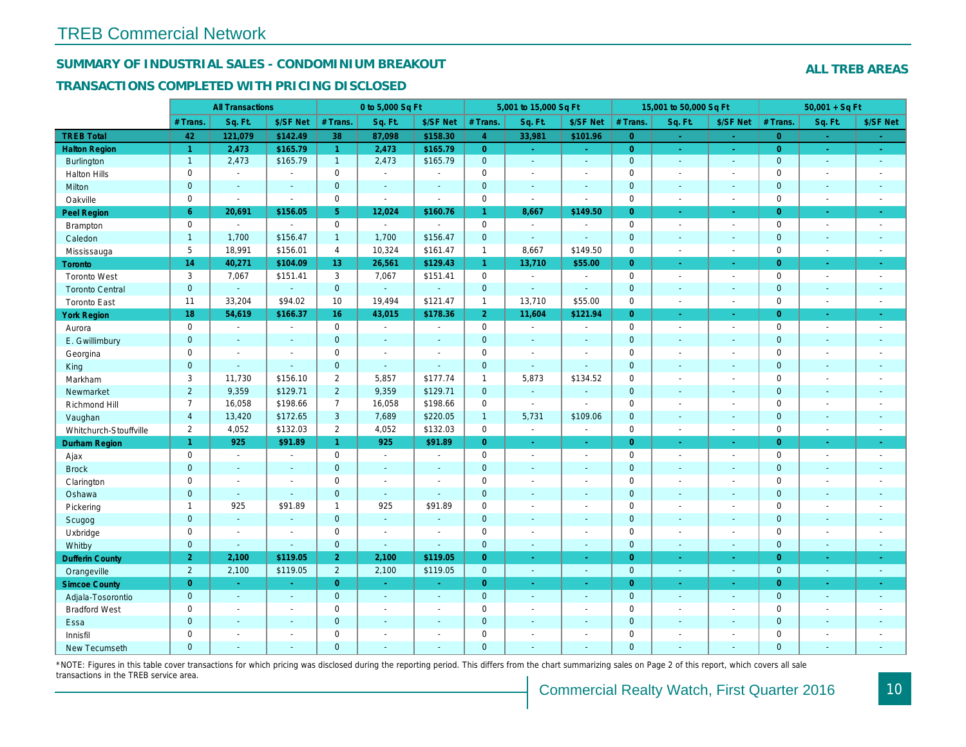## SUMMARY OF INDUSTRIAL SALES - CONDOMINIUM BREAKOUT

#### TRANSACTIONS COMPLETED WITH PRICING DISCLOSED

|                        |                      | <b>All Transactions</b> |                       |                 | 0 to 5,000 Sq Ft |                |                | 5,001 to 15,000 Sq Ft    |                          |                | 15,001 to 50,000 Sq Ft |                  |
|------------------------|----------------------|-------------------------|-----------------------|-----------------|------------------|----------------|----------------|--------------------------|--------------------------|----------------|------------------------|------------------|
|                        | # Trans.             | Sq. Ft.                 | \$/SF Net             | # Trans.        | Sq. Ft.          | \$/SF Net      | # Trans.       | Sq. Ft.                  | \$/SF Net                | # Trans.       | Sq. Ft.                | \$/SF Ne         |
| <b>TREB Total</b>      | 42                   | 121,079                 | \$142.49              | 38              | 87,098           | \$158.30       | $\overline{4}$ | 33,981                   | \$101.96                 | $\overline{0}$ | a.                     | $\sim$           |
| <b>Halton Region</b>   | $\blacktriangleleft$ | 2,473                   | \$165.79              | $\mathbf{1}$    | 2,473            | \$165.79       | $\overline{0}$ | ÷.                       | $\omega_{\rm{eff}}$      | $\overline{0}$ | $\bullet$              | $\sim$           |
| Burlington             | $\mathbf{1}$         | 2,473                   | \$165.79              | $\mathbf{1}$    | 2,473            | \$165.79       | $\mathbf{0}$   | $\omega$ .               | $\blacksquare$           | $\mathbf 0$    | $\blacksquare$         | $\bullet$        |
| <b>Halton Hills</b>    | $\mathbf 0$          | $\sim$                  | $\blacksquare$        | $\mathbf 0$     | $\sim$           |                | $\mathbf 0$    | $\blacksquare$           | $\blacksquare$           | $\mathbf 0$    | L.                     | $\blacksquare$   |
| Milton                 | $\mathbf{0}$         | $\blacksquare$          | $\blacksquare$        | $\mathbf{0}$    | $\sim$           | $\blacksquare$ | $\pmb{0}$      | $\blacksquare$           | $\blacksquare$           | $\mathbf 0$    | $\blacksquare$         | $\sim$           |
| Oakville               | $\mathbf 0$          | $\blacksquare$          | $\blacksquare$        | $\mathbf 0$     | $\mathbf{r}$     | $\sim$         | 0              | $\overline{\phantom{a}}$ | $\sim$                   | $\mathbf 0$    | $\blacksquare$         | $\sim$           |
| <b>Peel Region</b>     | 6                    | 20,691                  | \$156.05              | 5               | 12,024           | \$160.76       | $\mathbf{1}$   | 8,667                    | \$149.50                 | $\overline{0}$ | ×.                     | $\sim$           |
| Brampton               | $\mathsf 0$          | $\omega$                | $\blacksquare$        | $\mathbf 0$     | $\mathbf{r}$     | $\blacksquare$ | $\mathbf 0$    | $\overline{\phantom{a}}$ | $\blacksquare$           | $\mathbf 0$    | $\blacksquare$         | $\sim$           |
| Caledon                | $\mathbf{1}$         | 1,700                   | \$156.47              | $\mathbf{1}$    | 1,700            | \$156.47       | $\mathbf 0$    | $\blacksquare$           | $\blacksquare$           | $\mathbf 0$    | $\blacksquare$         | $\sim$           |
| Mississauga            | 5                    | 18,991                  | \$156.01              | $\overline{4}$  | 10,324           | \$161.47       | $\mathbf{1}$   | 8,667                    | \$149.50                 | $\mathbf 0$    | $\sim$                 | $\sim$           |
| <b>Toronto</b>         | 14                   | 40,271                  | \$104.09              | 13 <sup>°</sup> | 26,561           | \$129.43       | $\mathbf{1}$   | 13,710                   | \$55.00                  | $\Omega$       | ÷.                     | $\omega_{\rm c}$ |
| <b>Toronto West</b>    | 3                    | 7,067                   | \$151.41              | 3               | 7,067            | \$151.41       | 0              | $\blacksquare$           | $\blacksquare$           | $\mathbf 0$    | $\blacksquare$         | $\sim$           |
| <b>Toronto Central</b> | $\mathbf{0}$         | $\omega$                | $\blacksquare$        | $\mathbf{0}$    | ÷.               |                | $\mathbf 0$    | $\blacksquare$           | $\sim$                   | $\mathbf 0$    | $\blacksquare$         | $\blacksquare$   |
| <b>Toronto East</b>    | 11                   | 33,204                  | \$94.02               | 10              | 19,494           | \$121.47       | $\mathbf{1}$   | 13,710                   | \$55.00                  | $\mathbf 0$    | $\sim$                 | $\sim$           |
| <b>York Region</b>     | 18                   | 54,619                  | \$166.37              | 16              | 43,015           | \$178.36       | 2 <sup>1</sup> | 11,604                   | \$121.94                 | $\overline{0}$ | $\blacksquare$         | $\bullet$ .      |
| Aurora                 | $\mathbf 0$          | $\sim$                  | $\blacksquare$        | $\mathbf 0$     | $\sim$           | $\blacksquare$ | 0              | $\sim$                   | $\sim$                   | $\mathbf 0$    | $\blacksquare$         | $\sim$           |
| E. Gwillimbury         | $\mathbf{0}$         | $\sim$                  | $\sim$                | $\mathbf{0}$    | ÷.               | $\sim$         | $\mathbf 0$    | $\blacksquare$           | $\blacksquare$           | $\mathbf{0}$   | $\blacksquare$         | $\blacksquare$   |
| Georgina               | $\mathbf 0$          | $\blacksquare$          | $\blacksquare$        | $\mathbf 0$     | $\blacksquare$   | $\sim$         | $\pmb{0}$      | $\blacksquare$           | $\blacksquare$           | $\mathbf 0$    | $\sim$                 | $\blacksquare$   |
| King                   | $\overline{0}$       | $\sim$                  | $\sim$                | $\mathbf{0}$    | $\sim$           | $\sim$         | $\pmb{0}$      | $\blacksquare$           | $\blacksquare$           | $\mathbf 0$    | $\blacksquare$         | $\sim$           |
| Markham                | 3                    | 11,730                  | \$156.10              | $\overline{2}$  | 5,857            | \$177.74       | $\mathbf{1}$   | 5,873                    | \$134.52                 | $\mathbf 0$    | $\blacksquare$         | $\blacksquare$   |
| Newmarket              | $\overline{2}$       | 9,359                   | \$129.71              | $\overline{2}$  | 9,359            | \$129.71       | $\mathbf{0}$   | $\blacksquare$           | $\sim$                   | $\mathbf{0}$   | ÷.                     | $\sim$           |
| Richmond Hill          | $\overline{7}$       | 16,058                  | \$198.66              | $\overline{7}$  | 16,058           | \$198.66       | $\mathbf 0$    | $\blacksquare$           | $\sim$                   | $\mathbf 0$    | $\sim$                 | $\blacksquare$   |
| Vaughan                | $\overline{4}$       | 13,420                  | \$172.65              | 3               | 7,689            | \$220.05       | $\mathbf{1}$   | 5,731                    | \$109.06                 | $\mathbf{0}$   | ä,                     | $\sim$           |
| Whitchurch-Stouffville | $\overline{2}$       | 4,052                   | \$132.03              | $\overline{2}$  | 4,052            | \$132.03       | $\mathbf 0$    | $\blacksquare$           | $\blacksquare$           | $\mathbf 0$    | ÷,                     | $\sim$           |
| Durham Region          | $\overline{1}$       | 925                     | \$91.89               | $\mathbf{1}$    | 925              | \$91.89        | $\overline{0}$ | $\frac{1}{\sqrt{2}}$     | ÷                        | $\overline{0}$ | $\blacksquare$         | $\sigma_{\rm c}$ |
| Ajax                   | $\mathbf 0$          | $\blacksquare$          | $\blacksquare$        | $\mathbf 0$     | $\sim$           | $\blacksquare$ | $\pmb{0}$      | $\blacksquare$           | $\blacksquare$           | $\mathbf 0$    | $\blacksquare$         | $\sim$           |
| <b>Brock</b>           | $\mathbf{0}$         | $\blacksquare$          | $\sim$                | $\mathbf{0}$    | ÷.               | $\sim$         | $\mathbf 0$    | $\omega$                 | $\blacksquare$           | $\mathbf 0$    | $\blacksquare$         | $\blacksquare$   |
| Clarington             | $\mathsf{O}\xspace$  | $\tilde{\phantom{a}}$   | $\tilde{\phantom{a}}$ | $\mathbf 0$     | $\blacksquare$   |                | $\pmb{0}$      | $\overline{a}$           | $\overline{a}$           | $\mathbf 0$    | ÷,                     | $\blacksquare$   |
| Oshawa                 | $\mathbf{0}$         | $\blacksquare$          | $\blacksquare$        | $\mathbf{0}$    | $\sim$           | $\sim$         | $\mathbf 0$    | $\blacksquare$           | $\blacksquare$           | $\mathbf{0}$   | $\blacksquare$         | $\blacksquare$   |
| Pickering              | $\mathbf{1}$         | 925                     | \$91.89               | $\mathbf{1}$    | 925              | \$91.89        | $\pmb{0}$      | $\blacksquare$           | $\blacksquare$           | $\mathbf 0$    | L.                     | $\blacksquare$   |
| Scugog                 | $\overline{0}$       | $\omega$                | $\sim$                | $\mathbf{0}$    | $\omega$         | $\blacksquare$ | $\mathbf 0$    | $\omega$                 | $\blacksquare$           | $\mathbf{0}$   | $\omega$               | $\blacksquare$   |
| Uxbridge               | $\mathbf 0$          | $\blacksquare$          | $\blacksquare$        | 0               | $\sim$           |                | $\mathbf 0$    | $\blacksquare$           | $\overline{\phantom{a}}$ | $\mathbf 0$    | L.                     | $\blacksquare$   |
| Whitby                 | $\mathbf{0}$         | $\blacksquare$          | $\sim$                | $\mathbf{0}$    | $\sim$           | $\sim$         | $\mathbf 0$    | $\blacksquare$           | $\blacksquare$           | $\mathbf{0}$   | $\blacksquare$         | $\sim$           |
| <b>Dufferin County</b> | $\overline{2}$       | 2,100                   | \$119.05              | $\overline{2}$  | 2,100            | \$119.05       | $\overline{0}$ | ÷.                       | ×.                       | $\overline{0}$ | ×.                     | $\sim$           |
| Orangeville            | $\overline{2}$       | 2,100                   | \$119.05              | $2^{\circ}$     | 2,100            | \$119.05       | $\mathbf{0}$   | $\omega$                 | $\omega$                 | $\mathbf 0$    | $\omega$               | $\omega_{\rm c}$ |
| <b>Simcoe County</b>   | $\overline{0}$       | $\omega$                | $\omega$              | $\overline{0}$  | $\sim$           | $\omega$       | $\overline{0}$ | ä,                       | $\omega$                 | $\overline{0}$ | $\blacksquare$         | $\sigma_{\rm c}$ |
| Adjala-Tosorontio      | $\mathbf{0}$         | $\sim$                  | $\sim$                | $\mathbf{0}$    | $\sim$           | $\sim$         | $\mathbf 0$    | $\mathbf{r}$             | $\blacksquare$           | $\mathbf 0$    | $\mathbf{r}$           | $\sim$           |
| <b>Bradford West</b>   | $\mathbf 0$          | $\sim$                  | $\omega$              | $\mathbf 0$     | $\blacksquare$   | $\blacksquare$ | $\pmb{0}$      | $\blacksquare$           | $\blacksquare$           | $\mathbf 0$    | $\overline{a}$         | $\blacksquare$   |
| Essa                   | $\mathbf{0}$         | $\sim$                  | $\blacksquare$        | $\mathbf{0}$    |                  | $\sim$         | $\pmb{0}$      | $\blacksquare$           | $\blacksquare$           | $\mathbf 0$    | $\blacksquare$         |                  |
| Innisfil               | $\mathbf 0$          | $\blacksquare$          | $\blacksquare$        | $\mathbf 0$     | $\blacksquare$   | $\blacksquare$ | $\pmb{0}$      | $\blacksquare$           | $\blacksquare$           | $\mathbf 0$    | $\blacksquare$         | $\blacksquare$   |
| <b>New Tecumseth</b>   | $\Omega$             |                         |                       | $\Omega$        |                  |                | $\Omega$       |                          |                          | $\Omega$       |                        |                  |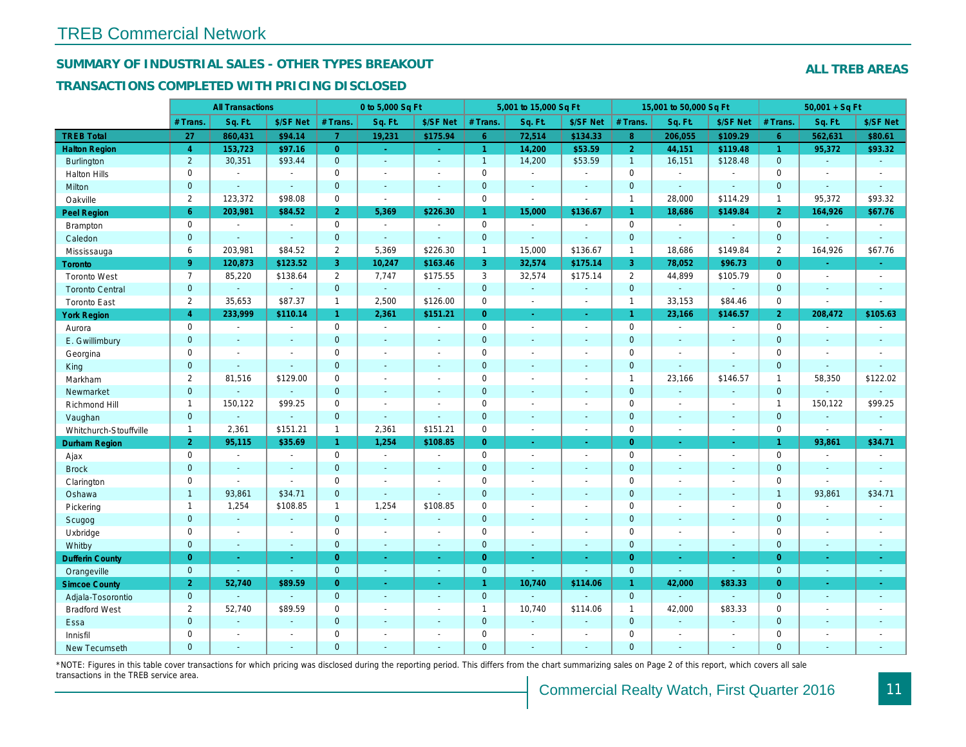## SUMMARY OF INDUSTRIAL SALES - OTHER TYPES BREAKOUT

#### TRANSACTIONS COMPLETED WITH PRICING DISCLOSED

|                        |                | <b>All Transactions</b> |                |                | 0 to 5,000 Sq Ft         |                          |                | 5,001 to 15,000 Sq Ft    |                          |                      | 15,001 to 50,000 Sq Ft |                          |
|------------------------|----------------|-------------------------|----------------|----------------|--------------------------|--------------------------|----------------|--------------------------|--------------------------|----------------------|------------------------|--------------------------|
|                        | # Trans.       | Sq. Ft.                 | \$/SF Net      | # Trans.       | Sq. Ft.                  | \$/SF Net                | # Trans.       | Sq. Ft.                  | \$/SF Net                | # Trans.             | Sq. Ft.                | \$/SF Ne                 |
| <b>TREB Total</b>      | 27             | 860,431                 | \$94.14        | $\overline{7}$ | 19,231                   | \$175.94                 | $6^{\circ}$    | 72,514                   | \$134.33                 | 8 <sup>°</sup>       | 206,055                | \$109.29                 |
| <b>Halton Region</b>   | $\overline{4}$ | 153,723                 | \$97.16        | $\overline{0}$ | $\sim$                   | $\sim$                   | $\mathbf{1}$   | 14,200                   | \$53.59                  | $\overline{2}$       | 44,151                 | \$119.48                 |
| <b>Burlington</b>      | $\overline{2}$ | 30,351                  | \$93.44        | $\mathbf 0$    | $\sim$                   | $\sim$                   | $\mathbf{1}$   | 14,200                   | \$53.59                  | $\mathbf{1}$         | 16,151                 | \$128.48                 |
| <b>Halton Hills</b>    | $\mathbf 0$    | $\sim$                  | ÷              | $\mathbf 0$    | $\sim$                   | $\sim$                   | $\mathbf 0$    | $\blacksquare$           | $\blacksquare$           | $\mathbf 0$          | $\sim$                 | $\sim$                   |
| Milton                 | $\overline{0}$ | $\sim$                  | $\omega$       | $\overline{0}$ | $\sim$                   | $\sim$                   | $\mathbf 0$    | $\Delta$                 | $\sim$                   | $\mathbf{0}$         | $\omega$               | $\sim$                   |
| Oakville               | $\overline{2}$ | 123,372                 | \$98.08        | $\mathbf 0$    | $\sim$                   | $\blacksquare$           | $\mathbf 0$    | $\sim$                   | $\sim$                   | $\mathbf{1}$         | 28,000                 | \$114.29                 |
| Peel Region            | 6              | 203,981                 | \$84.52        | $\overline{2}$ | 5,369                    | \$226.30                 | $\mathbf{1}$   | 15,000                   | \$136.67                 | $\mathbf{1}$         | 18,686                 | \$149.84                 |
| <b>Brampton</b>        | $\mathbf 0$    | $\sim$                  | $\blacksquare$ | $\mathbf 0$    | $\Delta$                 | $\sim$                   | $\mathbf 0$    | $\mathbf{r}$             | $\blacksquare$           | $\mathbf 0$          | $\blacksquare$         | $\sim$                   |
| Caledon                | $\mathbf{0}$   | $\blacksquare$          | $\omega$       | $\mathbf 0$    | $\sim$                   | $\sim$                   | $\pmb{0}$      | ä,                       | $\mathbf{u}$             | $\mathbf 0$          | $\blacksquare$         | $\blacksquare$           |
| Mississauga            | 6              | 203,981                 | \$84.52        | $\mathbf{2}$   | 5,369                    | \$226.30                 | $\mathbf{1}$   | 15,000                   | \$136.67                 | $\mathbf{1}$         | 18,686                 | \$149.84                 |
| <b>Toronto</b>         | 9 <sup>°</sup> | 120,873                 | \$123.52       | 3              | 10,247                   | \$163.46                 | 3              | 32,574                   | \$175.14                 | $\overline{3}$       | 78,052                 | \$96.73                  |
| <b>Toronto West</b>    | $\overline{7}$ | 85,220                  | \$138.64       | $\overline{2}$ | 7,747                    | \$175.55                 | 3              | 32,574                   | \$175.14                 | $\overline{2}$       | 44,899                 | \$105.79                 |
| <b>Toronto Central</b> | $\mathbf{0}$   | $\blacksquare$          | $\blacksquare$ | $\mathbf 0$    | $\omega$                 | $\blacksquare$           | $\mathbf{0}$   | $\blacksquare$           | $\blacksquare$           | $\mathbf{0}$         | $\omega$               | $\blacksquare$           |
| <b>Toronto East</b>    | $\overline{2}$ | 35,653                  | \$87.37        | $\mathbf{1}$   | 2,500                    | \$126.00                 | 0              | $\blacksquare$           | $\blacksquare$           | $\mathbf{1}$         | 33,153                 | \$84.46                  |
| <b>York Region</b>     | $\overline{4}$ | 233,999                 | \$110.14       | $\mathbf{1}$   | 2,361                    | \$151.21                 | $\overline{0}$ | ÷.                       | ÷.                       | $\blacktriangleleft$ | 23,166                 | \$146.57                 |
| Aurora                 | $\mathbf 0$    | $\blacksquare$          | $\blacksquare$ | 0              | $\blacksquare$           | $\sim$                   | $\mathbf 0$    | $\blacksquare$           | $\sim$                   | $\mathbf 0$          | $\blacksquare$         | $\sim$                   |
| E. Gwillimbury         | $\mathbf{0}$   | $\blacksquare$          | $\blacksquare$ | $\overline{0}$ | $\sim$                   | $\sim$                   | $\mathbf 0$    | $\overline{\phantom{a}}$ | $\blacksquare$           | $\mathbf{0}$         | $\blacksquare$         | $\blacksquare$           |
| Georgina               | 0              | $\sim$                  | $\blacksquare$ | $\mathbf 0$    | $\sim$                   | $\sim$                   | $\mathbf 0$    | $\blacksquare$           | $\sim$                   | $\mathbf 0$          | $\blacksquare$         | $\blacksquare$           |
| King                   | $\mathbf{0}$   | ÷.                      | $\mathbf{r}$   | $\overline{0}$ | $\sim$                   | $\sim$                   | $\overline{0}$ | $\sim$                   | $\sim$                   | $\mathbf{0}$         | ä,                     | $\blacksquare$           |
| Markham                | $\overline{2}$ | 81,516                  | \$129.00       | 0              | $\overline{\phantom{a}}$ | $\overline{\phantom{a}}$ | $\mathbf 0$    | $\blacksquare$           | $\sim$                   | $\mathbf{1}$         | 23,166                 | \$146.57                 |
| Newmarket              | $\overline{0}$ | $\blacksquare$          | $\blacksquare$ | $\overline{0}$ | $\sim$                   | $\sim$                   | $\mathbf 0$    | $\sim$                   | $\blacksquare$           | $\mathbf{0}$         | $\sim$                 | $\blacksquare$           |
| Richmond Hill          | $\overline{1}$ | 150,122                 | \$99.25        | 0              | $\sim$                   | $\overline{\phantom{a}}$ | $\mathbf 0$    | $\sim$                   | $\sim$                   | $\mathbf 0$          | $\sim$                 | $\blacksquare$           |
| Vaughan                | $\overline{0}$ | $\omega$                | ÷.             | $\overline{0}$ | $\omega$                 | $\mathbf{r}$             | $\mathbf 0$    | $\sim$                   | $\mathbf{r}$             | $\mathbf{0}$         | $\mathbf{r}$           | $\sim$                   |
| Whitchurch-Stouffville | $\mathbf{1}$   | 2,361                   | \$151.21       | $\mathbf{1}$   | 2,361                    | \$151.21                 | $\mathbf 0$    | $\sim$                   | $\sim$                   | $\mathbf 0$          | $\blacksquare$         | $\blacksquare$           |
| <b>Durham Region</b>   | 2 <sup>1</sup> | 95,115                  | \$35.69        | $\mathbf{1}$   | 1,254                    | \$108.85                 | $\overline{0}$ | $\bullet$                | $\blacksquare$           | $\overline{0}$       | $\blacksquare$         | $\sim$                   |
| Ajax                   | $\mathbf 0$    | $\blacksquare$          | $\blacksquare$ | $\mathbf 0$    | $\sim$                   |                          | $\mathbf 0$    | $\blacksquare$           | $\sim$                   | $\mathbf 0$          | $\blacksquare$         | $\sim$                   |
| <b>Brock</b>           | $\mathbf{0}$   | $\blacksquare$          | $\omega$       | $\mathbf 0$    | $\omega$                 | $\blacksquare$           | $\mathbf 0$    | $\blacksquare$           | $\mathbf{u}$             | $\mathbf{0}$         | ä,                     | $\blacksquare$           |
| Clarington             | 0              | $\blacksquare$          | $\blacksquare$ | $\mathbf 0$    | $\sim$                   | $\overline{\phantom{a}}$ | $\mathbf 0$    | $\blacksquare$           | $\blacksquare$           | $\mathbf 0$          | $\overline{a}$         | $\overline{\phantom{a}}$ |
| Oshawa                 | $\overline{1}$ | 93,861                  | \$34.71        | $\overline{0}$ | $\sim$                   | $\sim$                   | $\overline{0}$ | $\blacksquare$           | $\blacksquare$           | $\overline{0}$       | $\blacksquare$         | $\blacksquare$           |
| Pickering              | $\mathbf{1}$   | 1,254                   | \$108.85       | $\mathbf{1}$   | 1,254                    | \$108.85                 | $\mathbf 0$    | $\sim$                   | $\overline{a}$           | $\mathbf 0$          | ÷.                     | $\blacksquare$           |
| Scugog                 | $\mathbf{0}$   | $\blacksquare$          | $\blacksquare$ | $\mathbf 0$    | $\blacksquare$           | $\overline{\phantom{a}}$ | $\mathbf 0$    | $\blacksquare$           | $\blacksquare$           | $\mathbf 0$          | $\blacksquare$         | $\blacksquare$           |
| Uxbridge               | 0              | $\blacksquare$          | $\blacksquare$ | $\mathbf 0$    | $\sim$                   |                          | $\mathbf 0$    | $\blacksquare$           | $\overline{\phantom{a}}$ | $\mathbf 0$          | L.                     | $\blacksquare$           |
| Whitby                 | $\mathbf{0}$   | $\omega$                | $\sim$         | $\overline{0}$ | $\sim$                   | $\sim$                   | $\mathbf 0$    | $\sim$                   | $\sim$                   | $\mathbf 0$          | $\blacksquare$         | $\sim$                   |
| <b>Dufferin County</b> | $\overline{0}$ | ч.                      | $\sim$         | $\overline{0}$ | a.                       | $\sim$                   | $\overline{0}$ | ÷.                       | ÷.                       | $\overline{0}$       | ÷.                     | $\sim$                   |
| Orangeville            | $\mathbf{0}$   | $\omega$                | $\omega$       | $\overline{0}$ | $\omega$                 | $\omega$                 | $\mathbf{0}$   | $\omega$                 | $\omega$                 | $\mathbf{0}$         | ä,                     | $\blacksquare$           |
| <b>Simcoe County</b>   | 2 <sup>1</sup> | 52,740                  | \$89.59        | $\overline{0}$ | $\omega$                 | $\sim$                   | $\mathbf{1}$   | 10,740                   | \$114.06                 | $\mathbf{1}$         | 42,000                 | \$83.33                  |
| Adjala-Tosorontio      | $\mathbf{0}$   |                         |                | $\overline{0}$ | $\omega$                 | $\sim$                   | $\mathbf{0}$   | $\overline{a}$           |                          | $\mathbf{0}$         | $\overline{a}$         |                          |
| <b>Bradford West</b>   | $\overline{2}$ | 52,740                  | \$89.59        | 0              | $\blacksquare$           | $\sim$                   | $\mathbf{1}$   | 10,740                   | \$114.06                 | $\mathbf{1}$         | 42,000                 | \$83.33                  |
| Essa                   | $\mathbf{0}$   | $\blacksquare$          | $\blacksquare$ | $\mathbf 0$    |                          |                          | $\mathbf 0$    | ä,                       | $\blacksquare$           | $\mathbf{0}$         | ä,                     | $\blacksquare$           |
| Innisfil               | $\mathbf 0$    | $\blacksquare$          | $\blacksquare$ | $\mathbf 0$    | $\sim$                   | $\sim$                   | $\mathbf 0$    | $\blacksquare$           | $\blacksquare$           | $\mathbf 0$          | $\blacksquare$         | $\blacksquare$           |
| <b>New Tecumseth</b>   | $\Omega$       |                         |                | $\Omega$       |                          |                          | $\Omega$       | ä,                       |                          | $\overline{0}$       | ÷.                     |                          |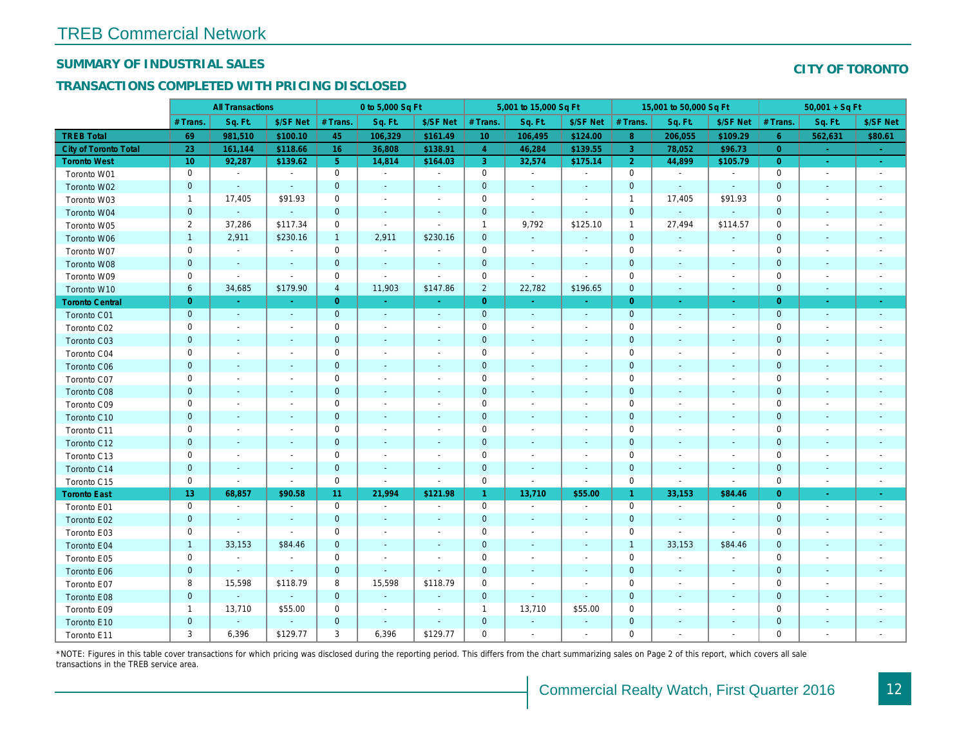## SUMMARY OF INDUSTRIAL SALES

## TRANSACTIONS COMPLETED WITH PRICING DISCLOSED

|                        | <b>All Transactions</b> |                          | 0 to 5,000 Sq Ft |                |                          |                          | 5,001 to 15,000 Sq Ft |                          |                          | 15,001 to 50,000 Sq Ft |                          |                          |
|------------------------|-------------------------|--------------------------|------------------|----------------|--------------------------|--------------------------|-----------------------|--------------------------|--------------------------|------------------------|--------------------------|--------------------------|
|                        | # Trans.                | Sq. Ft.                  | \$/SF Net        | # Trans.       | Sq. Ft.                  | \$/SF Net                | # Trans.              | Sq. Ft.                  | \$/SF Net                | # Trans.               | Sq. Ft.                  | \$/SF Ne                 |
| <b>TREB Total</b>      | 69                      | 981,510                  | \$100.10         | 45             | 106,329                  | \$161.49                 | 10 <sup>°</sup>       | 106,495                  | \$124.00                 | 8                      | 206,055                  | \$109.29                 |
| City of Toronto Total  | 23                      | 161,144                  | \$118.66         | 16             | 36,808                   | \$138.91                 | $\overline{4}$        | 46,284                   | \$139.55                 | $\overline{3}$         | 78,052                   | \$96.73                  |
| <b>Toronto West</b>    | 10                      | 92,287                   | \$139.62         | 5 <sup>5</sup> | 14,814                   | \$164.03                 | $\mathbf{3}$          | 32,574                   | \$175.14                 | $\overline{2}$         | 44,899                   | \$105.79                 |
| Toronto W01            | $\mathbf 0$             | $\sim$                   | $\blacksquare$   | $\mathbf 0$    | $\sim$                   | $\overline{\phantom{a}}$ | $\mathbf 0$           | $\blacksquare$           | $\blacksquare$           | $\mathbf 0$            | $\blacksquare$           | $\blacksquare$           |
| Toronto W02            | $\pmb{0}$               | $\sim$                   |                  | $\mathbf 0$    | $\blacksquare$           | $\blacksquare$           | $\mathbf 0$           | $\blacksquare$           |                          | $\mathbf{0}$           | $\sim$                   | $\sim$                   |
| Toronto W03            | 1                       | 17,405                   | \$91.93          | $\mathbf 0$    | $\blacksquare$           | $\blacksquare$           | $\mathbf 0$           | $\blacksquare$           | $\blacksquare$           | $\overline{1}$         | 17,405                   | \$91.93                  |
| Toronto W04            | $\pmb{0}$               | $\blacksquare$           | $\blacksquare$   | $\mathbf 0$    | $\blacksquare$           | $\overline{\phantom{a}}$ | $\mathbf 0$           | $\blacksquare$           | $\blacksquare$           | $\mathbf 0$            | $\blacksquare$           | $\blacksquare$           |
| Toronto W05            | 2                       | 37,286                   | \$117.34         | 0              | $\blacksquare$           | $\blacksquare$           | $\mathbf{1}$          | 9,792                    | \$125.10                 | $\overline{1}$         | 27,494                   | \$114.57                 |
| Toronto W06            | $\mathbf{1}$            | 2,911                    | \$230.16         | $\mathbf{1}$   | 2,911                    | \$230.16                 | $\mathbf 0$           | $\sim$                   | $\blacksquare$           | $\mathbf 0$            | $\blacksquare$           |                          |
| Toronto W07            | $\mathbf 0$             | $\blacksquare$           | $\blacksquare$   | $\mathbf 0$    | $\blacksquare$           | $\blacksquare$           | $\mathbf 0$           | $\sim$                   | $\blacksquare$           | 0                      | $\blacksquare$           | $\overline{\phantom{a}}$ |
| Toronto W08            | $\mathbf 0$             | $\sim$                   | $\sim$           | $\mathbf 0$    | $\blacksquare$           | $\blacksquare$           | $\mathbf 0$           | $\blacksquare$           | $\blacksquare$           | $\mathbf{0}$           | $\sim$                   | $\blacksquare$           |
| Toronto W09            | $\mathsf 0$             | $\blacksquare$           | $\sim$           | $\mathbf 0$    | $\overline{a}$           | $\blacksquare$           | $\mathsf 0$           | $\blacksquare$           | $\sim$                   | 0                      | $\blacksquare$           | $\overline{\phantom{a}}$ |
| Toronto W10            | 6                       | 34,685                   | \$179.90         | $\overline{4}$ | 11,903                   | \$147.86                 | $\overline{2}$        | 22,782                   | \$196.65                 | $\mathbf 0$            | $\overline{\phantom{a}}$ | $\sim$                   |
| <b>Toronto Central</b> | $\mathbf{0}$            | $\sim$                   | $\sim$           | $\overline{0}$ | $\omega$                 | $\blacksquare$           | $\overline{0}$        | $\blacksquare$           | $\blacksquare$           | $\overline{0}$         | $\blacksquare$           | $\blacksquare$           |
| Toronto C01            | $\pmb{0}$               | $\sim$                   | $\blacksquare$   | $\mathbf{0}$   | $\blacksquare$           | $\blacksquare$           | $\mathbf{0}$          | $\blacksquare$           | $\sim$                   | $\mathbf{0}$           | $\blacksquare$           | $\blacksquare$           |
| Toronto C02            | $\mathbf 0$             | $\blacksquare$           |                  | $\mathbf 0$    | $\blacksquare$           | $\overline{\phantom{a}}$ | $\mathbf 0$           | $\blacksquare$           | $\blacksquare$           | 0                      | $\sim$                   | $\blacksquare$           |
| Toronto C03            | $\mathbf 0$             | $\blacksquare$           |                  | $\mathbf 0$    | $\blacksquare$           | $\blacksquare$           | $\mathbf 0$           | $\blacksquare$           |                          | $\mathbf{0}$           | $\blacksquare$           | $\blacksquare$           |
| Toronto C04            | $\mathsf 0$             | $\sim$                   |                  | $\pmb{0}$      | $\blacksquare$           | $\blacksquare$           | $\mathsf 0$           | $\sim$                   |                          | $\mathbf 0$            | J.                       | $\sim$                   |
| Toronto C06            | $\pmb{0}$               | $\blacksquare$           |                  | $\mathbf 0$    | $\blacksquare$           | $\blacksquare$           | $\mathbf 0$           | $\blacksquare$           | $\sim$                   | $\mathbf{0}$           | $\blacksquare$           | $\sim$                   |
| Toronto C07            | $\mathbf 0$             | $\overline{\phantom{a}}$ |                  | $\mathbf 0$    | $\overline{\phantom{a}}$ | $\blacksquare$           | $\mathbf 0$           | $\overline{\phantom{a}}$ | $\overline{a}$           | 0                      | $\overline{\phantom{a}}$ | $\overline{\phantom{a}}$ |
| <b>Toronto C08</b>     | $\mathbf 0$             | $\sim$                   | $\blacksquare$   | $\mathbf{0}$   | $\blacksquare$           | $\blacksquare$           | $\mathbf 0$           | $\sim$                   | $\blacksquare$           | 0                      | $\overline{\phantom{a}}$ | ٠                        |
| Toronto C09            | $\mathbf 0$             | $\sim$                   |                  | $\mathbf 0$    | $\blacksquare$           | $\blacksquare$           | $\mathbf 0$           | $\blacksquare$           | $\blacksquare$           | 0                      | $\sim$                   | $\blacksquare$           |
| Toronto C10            | $\pmb{0}$               | $\sim$                   | $\sim$           | $\mathbf 0$    | $\sim$                   | $\blacksquare$           | $\mathbf 0$           | $\sim$                   | $\overline{\phantom{a}}$ | $\mathbf 0$            | $\sim$                   | $\sim$                   |
| Toronto C11            | $\mathbf 0$             | $\overline{\phantom{a}}$ |                  | $\mathbf 0$    | $\blacksquare$           | $\overline{\phantom{a}}$ | 0                     | $\blacksquare$           | $\blacksquare$           | 0                      | $\blacksquare$           | $\overline{\phantom{a}}$ |
| Toronto C12            | $\mathbf 0$             | $\sim$                   | $\sim$           | $\mathbf{0}$   | $\blacksquare$           | $\blacksquare$           | $\mathbf{0}$          | $\sim$                   | $\blacksquare$           | $\overline{0}$         | $\sim$                   | $\blacksquare$           |
| Toronto C13            | $\mathbf 0$             | $\overline{\phantom{a}}$ | $\blacksquare$   | $\mathbf 0$    | $\overline{\phantom{a}}$ | $\overline{\phantom{a}}$ | $\mathbf 0$           | $\overline{\phantom{a}}$ | $\overline{\phantom{a}}$ | 0                      | $\overline{\phantom{a}}$ | $\overline{\phantom{a}}$ |
| Toronto C14            | $\pmb{0}$               | $\blacksquare$           | $\sim$           | $\pmb{0}$      | $\blacksquare$           | $\blacksquare$           | $\mathbf 0$           | $\blacksquare$           | $\blacksquare$           | $\mathbf 0$            | $\blacksquare$           | $\blacksquare$           |
| Toronto C15            | $\mathbf 0$             | $\blacksquare$           | $\sim$           | $\mathbf 0$    | $\blacksquare$           | $\blacksquare$           | $\mathbf 0$           | $\omega$                 | $\blacksquare$           | $\mathbf 0$            | $\blacksquare$           | $\blacksquare$           |
| <b>Toronto East</b>    | 13                      | 68,857                   | \$90.58          | 11             | 21,994                   | \$121.98                 | $\overline{1}$        | 13,710                   | \$55.00                  | $\overline{1}$         | 33,153                   | \$84.46                  |
| Toronto E01            | $\mathbf 0$             | $\blacksquare$           | $\blacksquare$   | 0              | $\sim$                   | $\blacksquare$           | $\mathsf{O}\xspace$   | $\blacksquare$           | $\blacksquare$           | $\mathbf 0$            | $\blacksquare$           | $\blacksquare$           |
| Toronto E02            | $\mathbf 0$             |                          |                  | $\mathbf 0$    | $\blacksquare$           | $\blacksquare$           | $\mathbf 0$           | ä,                       |                          | $\mathbf{0}$           | $\sim$                   | $\blacksquare$           |
| Toronto E03            | $\mathbf 0$             | $\blacksquare$           | $\blacksquare$   | $\mathbf 0$    | $\blacksquare$           | $\blacksquare$           | $\mathbf 0$           | $\blacksquare$           | $\blacksquare$           | 0                      | $\blacksquare$           | $\blacksquare$           |
| Toronto E04            | $\mathbf{1}$            | 33,153                   | \$84.46          | $\mathbf 0$    | $\blacksquare$           | $\blacksquare$           | $\mathbf 0$           | $\blacksquare$           | $\blacksquare$           | $\overline{1}$         | 33,153                   | \$84.46                  |
| Toronto E05            | 0                       | $\sim$                   | $\sim$           | $\mathbf 0$    | $\blacksquare$           | $\blacksquare$           | $\mathbf 0$           | $\blacksquare$           | $\blacksquare$           | $\mathbf 0$            | $\blacksquare$           | $\blacksquare$           |
| Toronto E06            | $\mathbf 0$             | $\sim$                   | $\sim$           | $\mathbf 0$    | $\mathbf{r}$             | $\blacksquare$           | $\mathbf 0$           | $\blacksquare$           | $\overline{\phantom{a}}$ | $\mathbf 0$            | $\sim$                   | $\blacksquare$           |
| Toronto E07            | 8                       | 15,598                   | \$118.79         | 8              | 15,598                   | \$118.79                 | $\mathbf 0$           | $\blacksquare$           | $\blacksquare$           | 0                      | $\blacksquare$           | $\overline{\phantom{a}}$ |
| Toronto E08            | $\mathbf 0$             | $\sim$                   | $\blacksquare$   | $\mathbf{0}$   | $\blacksquare$           | $\overline{\phantom{a}}$ | $\mathbf 0$           | $\sim$                   | $\sim$                   | $\mathbf{0}$           | $\blacksquare$           | $\blacksquare$           |
| Toronto E09            | $\mathbf{1}$            | 13,710                   | \$55.00          | 0              | $\blacksquare$           | $\overline{\phantom{a}}$ | $\mathbf{1}$          | 13,710                   | \$55.00                  | 0                      | $\blacksquare$           | $\blacksquare$           |
| Toronto E10            | $\mathbf 0$             | $\blacksquare$           | $\blacksquare$   | $\mathbf 0$    | $\blacksquare$           | $\blacksquare$           | $\mathbf 0$           | $\blacksquare$           | $\blacksquare$           | 0                      | $\blacksquare$           | $\blacksquare$           |
| Toronto E11            | 3                       | 6,396                    | \$129.77         | 3              | 6,396                    | \$129.77                 | $\mathbf 0$           | $\blacksquare$           | $\ddot{\phantom{1}}$     | 0                      |                          | $\sim$                   |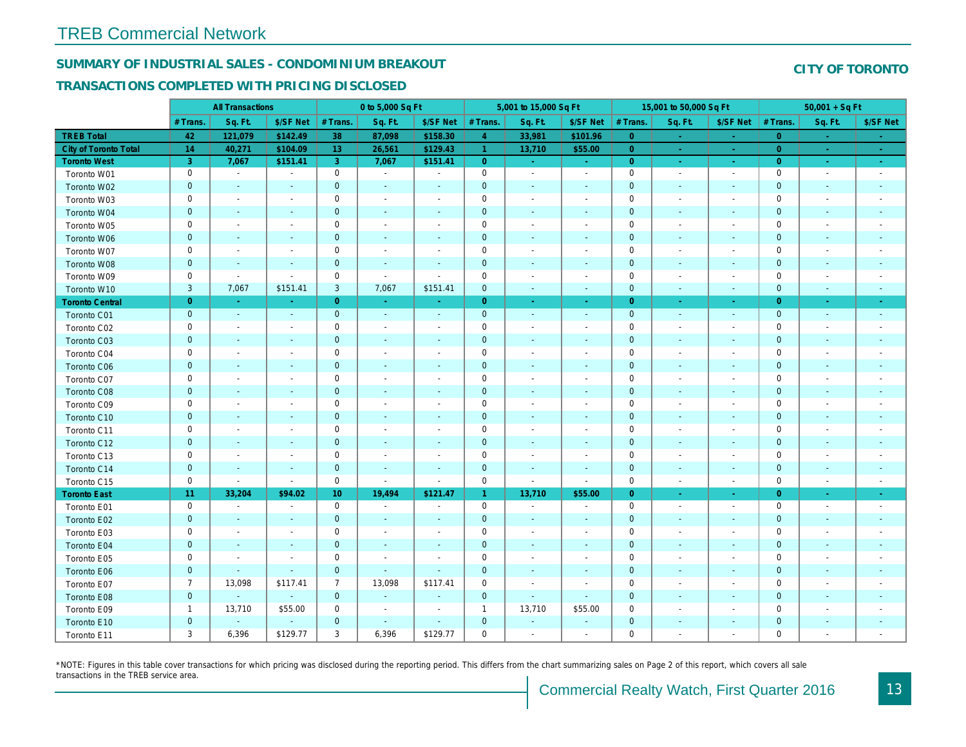## SUMMARY OF INDUSTRIAL SALES - CONDOMINIUM BREAKOUT

#### TRANSACTIONS COMPLETED WITH PRICING DISCLOSED

|                        | <b>All Transactions</b> |                          | 0 to 5,000 Sq Ft         |                |                |                          | 5,001 to 15,000 Sq Ft |                          |                          | 15,001 to 50,000 Sq Ft |                          |                          |
|------------------------|-------------------------|--------------------------|--------------------------|----------------|----------------|--------------------------|-----------------------|--------------------------|--------------------------|------------------------|--------------------------|--------------------------|
|                        | # Trans.                | Sq. Ft.                  | \$/SF Net                | # Trans.       | Sq. Ft.        | \$/SF Net                | # Trans.              | Sq. Ft.                  | \$/SF Net                | # Trans.               | Sq. Ft.                  | \$/SF Ne                 |
| <b>TREB Total</b>      | 42                      | 121,079                  | \$142.49                 | 38             | 87,098         | \$158.30                 | $\overline{4}$        | 33,981                   | \$101.96                 | $\overline{0}$         | $\sim$                   | $\sim$                   |
| City of Toronto Total  | 14                      | 40,271                   | \$104.09                 | 13             | 26,561         | \$129.43                 | $\overline{1}$        | 13,710                   | \$55.00                  | $\overline{0}$         | $\sim$                   | $\sim$ $^{-1}$           |
| <b>Toronto West</b>    | 3                       | 7,067                    | \$151.41                 | 3              | 7,067          | \$151.41                 | $\overline{0}$        | $\sim$                   | $\sim$                   | $\overline{0}$         | $\bullet$                | $\sigma_{\rm eff}$       |
| Toronto W01            | 0                       | $\sim$                   | $\overline{\phantom{a}}$ | $\mathbf 0$    | $\sim$         | $\blacksquare$           | $\mathbf 0$           | $\sim$                   | $\sim$                   | $\mathbf 0$            | $\overline{\phantom{a}}$ | $\sim$                   |
| Toronto W02            | $\mathbf 0$             | $\blacksquare$           | $\sim$                   | $\mathbf 0$    | $\sim$         | $\blacksquare$           | $\mathbf 0$           | $\blacksquare$           | ä,                       | $\mathbf{0}$           | $\blacksquare$           | $\blacksquare$           |
| Toronto W03            | 0                       | $\blacksquare$           | $\overline{\phantom{a}}$ | $\mathbf 0$    | $\blacksquare$ | $\overline{\phantom{a}}$ | $\mathbf 0$           | $\blacksquare$           | $\blacksquare$           | $\mathbf 0$            | $\blacksquare$           | $\blacksquare$           |
| Toronto W04            | $\mathbf{0}$            | $\blacksquare$           | $\blacksquare$           | $\mathbf 0$    | $\blacksquare$ | $\blacksquare$           | $\mathbf 0$           | $\overline{\phantom{a}}$ | $\blacksquare$           | $\mathbf{0}$           | $\blacksquare$           | $\blacksquare$           |
| Toronto W05            | 0                       | $\blacksquare$           | $\overline{\phantom{a}}$ | $\mathsf 0$    | $\blacksquare$ | $\blacksquare$           | $\mathbf 0$           | $\blacksquare$           | $\blacksquare$           | $\mathbf 0$            | $\blacksquare$           | $\blacksquare$           |
| Toronto W06            | $\mathbf 0$             | $\sim$                   |                          | $\mathbf 0$    | $\blacksquare$ | $\overline{\phantom{a}}$ | $\pmb{0}$             | $\overline{\phantom{a}}$ | ٠                        | $\mathbf 0$            | $\blacksquare$           | ٠                        |
| Toronto W07            | 0                       | $\sim$                   | $\overline{\phantom{a}}$ | $\mathbf 0$    | $\blacksquare$ | $\overline{\phantom{a}}$ | $\mathbf 0$           | $\blacksquare$           | $\blacksquare$           | 0                      | $\blacksquare$           | $\overline{\phantom{a}}$ |
| Toronto W08            | $\mathbf 0$             | $\blacksquare$           | $\sim$                   | $\mathbf 0$    | $\sim$         | $\sim$                   | $\mathbf 0$           | $\blacksquare$           | $\blacksquare$           | $\mathbf 0$            | $\blacksquare$           | $\blacksquare$           |
| Toronto W09            | 0                       | $\blacksquare$           | $\sim$                   | $\mathbf 0$    | $\blacksquare$ | $\sim$                   | $\mathbf 0$           | $\overline{a}$           | $\blacksquare$           | $\mathbf 0$            | $\sim$                   | $\overline{\phantom{a}}$ |
| Toronto W10            | 3                       | 7,067                    | \$151.41                 | 3              | 7,067          | \$151.41                 | $\mathbf{0}$          | $\blacksquare$           | $\blacksquare$           | $\mathbf 0$            | $\blacksquare$           | ٠.                       |
| <b>Toronto Central</b> | $\overline{0}$          | $\sim$                   | $\sim$                   | $\overline{0}$ | $\sim$         | $\blacksquare$           | $\overline{0}$        | $\blacksquare$           | $\blacksquare$           | $\overline{0}$         | $\sim$                   | $\sim$                   |
| Toronto C01            | $\mathbf 0$             | $\blacksquare$           | $\sim$                   | $\mathbf 0$    | $\sim$         | $\blacksquare$           | $\mathbf 0$           | $\blacksquare$           | $\sim$                   | $\mathbf 0$            | $\blacksquare$           | $\sim$                   |
| Toronto C02            | 0                       | $\overline{\phantom{a}}$ |                          | $\mathbf 0$    | $\blacksquare$ |                          | $\mathbf 0$           | $\overline{\phantom{a}}$ | $\overline{a}$           | $\mathbf 0$            | $\overline{a}$           | $\blacksquare$           |
| Toronto C03            | $\mathbf 0$             | $\blacksquare$           | $\sim$                   | $\mathbf 0$    | $\blacksquare$ | $\blacksquare$           | $\mathbf 0$           | $\blacksquare$           | $\blacksquare$           | $\mathbf 0$            | $\blacksquare$           | $\blacksquare$           |
| Toronto C04            | 0                       | $\blacksquare$           | $\overline{\phantom{a}}$ | $\mathbf 0$    | $\blacksquare$ | $\blacksquare$           | $\mathbf 0$           | $\overline{a}$           | $\blacksquare$           | $\mathbf 0$            | $\ddot{\phantom{0}}$     | $\blacksquare$           |
| Toronto C06            | $\mathbf 0$             | $\blacksquare$           | $\blacksquare$           | $\mathbf 0$    | $\blacksquare$ | $\blacksquare$           | $\mathbf 0$           | $\blacksquare$           | $\blacksquare$           | $\mathbf 0$            | $\blacksquare$           | ٠                        |
| Toronto C07            | 0                       | $\sim$                   | $\sim$                   | $\mathsf 0$    | $\blacksquare$ | $\blacksquare$           | $\mathbf 0$           | $\overline{a}$           | $\blacksquare$           | $\mathbf 0$            | ÷,                       | $\blacksquare$           |
| Toronto C08            | $\mathbf 0$             | $\sim$                   | $\sim$                   | $\mathbf 0$    | $\blacksquare$ | $\blacksquare$           | $\mathbf 0$           | $\blacksquare$           | $\blacksquare$           | $\mathbf 0$            | $\blacksquare$           | ٠                        |
| Toronto C09            | 0                       | $\overline{\phantom{a}}$ | $\overline{\phantom{a}}$ | $\mathbf 0$    | $\blacksquare$ | $\overline{\phantom{a}}$ | $\mathbf 0$           | $\overline{\phantom{a}}$ | $\overline{a}$           | 0                      | $\overline{\phantom{a}}$ | $\overline{\phantom{a}}$ |
| Toronto C10            | $\mathbf{0}$            | $\sim$                   | $\sim$                   | $\mathbf 0$    | $\mathbf{r}$   | $\sim$                   | $\mathbf 0$           | $\sim$                   | $\blacksquare$           | $\mathbf{0}$           | $\omega$                 | $\blacksquare$           |
| Toronto C11            | 0                       | $\overline{\phantom{a}}$ | $\overline{\phantom{a}}$ | $\mathbf 0$    | $\sim$         | $\overline{\phantom{a}}$ | $\mathbf 0$           | $\overline{\phantom{a}}$ | $\blacksquare$           | 0                      | $\blacksquare$           | $\overline{\phantom{a}}$ |
| Toronto C12            | $\mathbf 0$             | $\overline{\phantom{a}}$ | $\sim$                   | $\mathbf 0$    | $\sim$         | $\overline{\phantom{a}}$ | $\mathbf 0$           | $\overline{\phantom{a}}$ | $\blacksquare$           | $\mathbf{0}$           | $\sim$                   | $\blacksquare$           |
| Toronto C13            | 0                       | $\overline{\phantom{a}}$ | $\overline{\phantom{a}}$ | $\mathbf 0$    | $\blacksquare$ | $\blacksquare$           | $\mathbf 0$           | $\overline{\phantom{a}}$ | $\blacksquare$           | $\mathbf 0$            | $\blacksquare$           | $\blacksquare$           |
| Toronto C14            | $\mathbf 0$             | $\blacksquare$           | $\blacksquare$           | $\mathbf 0$    | $\sim$         | $\blacksquare$           | $\mathbf 0$           | $\overline{\phantom{a}}$ | $\overline{\phantom{a}}$ | $\mathbf 0$            | $\blacksquare$           | $\blacksquare$           |
| Toronto C15            | 0                       | $\blacksquare$           | $\blacksquare$           | $\mathbf 0$    | $\blacksquare$ | $\overline{\phantom{a}}$ | $\mathbf 0$           | $\overline{\phantom{a}}$ | $\blacksquare$           | $\mathbf 0$            | $\overline{\phantom{a}}$ | $\blacksquare$           |
| <b>Toronto East</b>    | 11                      | 33,204                   | \$94.02                  | 10             | 19,494         | \$121.47                 | $\mathbf{1}$          | 13,710                   | \$55.00                  | $\overline{0}$         | $\omega$                 | $\sim$                   |
| Toronto E01            | 0                       | $\sim$                   | $\blacksquare$           | $\mathbf 0$    | $\sim$         | $\blacksquare$           | $\mathsf 0$           | $\blacksquare$           | $\sim$                   | $\mathbf 0$            | $\blacksquare$           | $\blacksquare$           |
| Toronto E02            | $\mathbf 0$             | $\blacksquare$           |                          | $\mathbf 0$    | $\blacksquare$ | $\blacksquare$           | $\pmb{0}$             | $\overline{\phantom{a}}$ | ÷,                       | $\mathbf 0$            | $\overline{\phantom{a}}$ | $\blacksquare$           |
| Toronto E03            | 0                       | $\sim$                   | $\overline{\phantom{a}}$ | $\mathbf 0$    | $\blacksquare$ | $\blacksquare$           | $\mathbf 0$           | $\blacksquare$           | $\blacksquare$           | $\mathbf 0$            | $\blacksquare$           | $\blacksquare$           |
| Toronto E04            | $\mathbf 0$             | $\sim$                   | $\sim$                   | $\mathbf 0$    | $\blacksquare$ | $\blacksquare$           | $\mathbf 0$           | $\blacksquare$           | $\blacksquare$           | $\mathbf 0$            | $\blacksquare$           | $\blacksquare$           |
| Toronto E05            | 0                       | $\sim$                   | $\overline{\phantom{a}}$ | $\mathbf 0$    | $\blacksquare$ | $\blacksquare$           | $\mathbf 0$           | $\blacksquare$           | $\blacksquare$           | 0                      | $\blacksquare$           | $\blacksquare$           |
| Toronto E06            | $\mathbf 0$             | $\sim$                   | $\sim$                   | $\mathbf 0$    | $\sim$         | $\blacksquare$           | $\pmb{0}$             | $\blacksquare$           | ٠                        | $\mathbf 0$            | $\sim$                   | $\sim$                   |
| Toronto E07            | $\overline{7}$          | 13,098                   | \$117.41                 | $\overline{7}$ | 13,098         | \$117.41                 | $\mathbf 0$           | $\blacksquare$           | $\blacksquare$           | $\mathbf 0$            | ÷,                       | $\overline{\phantom{a}}$ |
| Toronto E08            | $\mathbf 0$             | $\sim$                   | $\sim$                   | $\mathbf 0$    | $\blacksquare$ | $\blacksquare$           | $\mathbf 0$           | $\blacksquare$           | $\sim$                   | $\mathbf 0$            | $\blacksquare$           |                          |
| Toronto E09            | $\mathbf{1}$            | 13,710                   | \$55.00                  | $\mathbf 0$    | $\blacksquare$ | $\ddot{\phantom{1}}$     | $\mathbf{1}$          | 13,710                   | \$55.00                  | $\mathbf 0$            |                          | $\blacksquare$           |
| Toronto E10            | $\mathbf 0$             |                          | $\blacksquare$           | $\mathbf 0$    | $\blacksquare$ | $\blacksquare$           | $\mathbf 0$           | $\blacksquare$           | $\blacksquare$           | $\mathbf 0$            | $\blacksquare$           |                          |
| Toronto E11            | 3                       | 6,396                    | \$129.77                 | 3              | 6,396          | \$129.77                 | $\mathbf 0$           | $\blacksquare$           | $\blacksquare$           | $\mathbf 0$            |                          | $\sim$                   |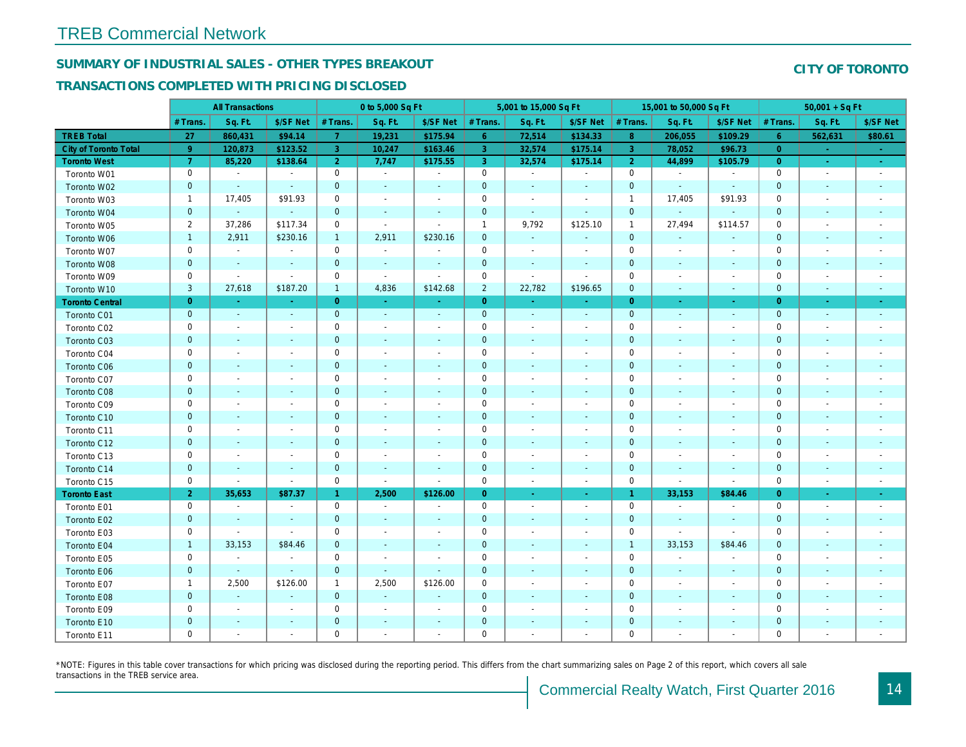## SUMMARY OF INDUSTRIAL SALES - OTHER TYPES BREAKOUT

#### TRANSACTIONS COMPLETED WITH PRICING DISCLOSED

|                        |                | <b>All Transactions</b>  |                          |                | 0 to 5,000 Sq Ft |                          |                     | 5,001 to 15,000 Sq Ft    |                      |                | 15,001 to 50,000 Sq Ft   |                          |
|------------------------|----------------|--------------------------|--------------------------|----------------|------------------|--------------------------|---------------------|--------------------------|----------------------|----------------|--------------------------|--------------------------|
|                        | # Trans        | Sq. Ft.                  | \$/SF Net                | # Trans.       | Sq. Ft.          | \$/SF Net                | # Trans.            | Sq. Ft.                  | \$/SF Net            | # Trans.       | Sq. Ft.                  | \$/SF Ne                 |
| <b>TREB Total</b>      | 27             | 860,431                  | \$94.14                  | $\overline{7}$ | 19,231           | \$175.94                 | 6 <sup>°</sup>      | 72,514                   | \$134.33             | 8 <sup>°</sup> | 206,055                  | \$109.29                 |
| City of Toronto Total  | 9              | 120,873                  | \$123.52                 | 3              | 10,247           | \$163.46                 | $\overline{3}$      | 32,574                   | \$175.14             | $\overline{3}$ | 78,052                   | \$96.73                  |
| <b>Toronto West</b>    | $\overline{7}$ | 85,220                   | \$138.64                 | $\overline{2}$ | 7,747            | \$175.55                 | 3 <sup>°</sup>      | 32,574                   | \$175.14             | $\overline{2}$ | 44,899                   | \$105.79                 |
| Toronto W01            | 0              | $\blacksquare$           | $\blacksquare$           | $\mathbf 0$    | $\sim$           | $\blacksquare$           | 0                   | $\blacksquare$           | $\blacksquare$       | $\mathbf 0$    | $\blacksquare$           | $\blacksquare$           |
| Toronto W02            | $\mathbf{0}$   | $\blacksquare$           | $\blacksquare$           | $\mathbf 0$    | $\blacksquare$   | $\frac{1}{2}$            | $\mathbf 0$         | $\blacksquare$           | ÷,                   | $\mathbf 0$    | $\blacksquare$           | $\blacksquare$           |
| Toronto W03            | $\mathbf{1}$   | 17,405                   | \$91.93                  | $\mathbf 0$    | $\blacksquare$   | $\blacksquare$           | $\mathsf 0$         | $\blacksquare$           | $\blacksquare$       | $\mathbf{1}$   | 17,405                   | \$91.93                  |
| Toronto W04            | $\mathbf 0$    | $\sim$                   | $\sim$                   | $\mathbf 0$    | $\blacksquare$   | $\blacksquare$           | $\mathbf 0$         | $\sim$                   | $\blacksquare$       | $\mathbf 0$    | $\blacksquare$           | $\blacksquare$           |
| Toronto W05            | $\overline{2}$ | 37,286                   | \$117.34                 | 0              | $\blacksquare$   | $\blacksquare$           | $\mathbf{1}$        | 9,792                    | \$125.10             | $\mathbf{1}$   | 27,494                   | \$114.57                 |
| Toronto W06            | $\mathbf{1}$   | 2,911                    | \$230.16                 | $\mathbf{1}$   | 2,911            | \$230.16                 | $\mathbf 0$         | $\sim$                   | $\blacksquare$       | $\mathbf 0$    | $\blacksquare$           |                          |
| Toronto W07            | 0              | $\sim$                   | $\blacksquare$           | $\mathbf 0$    | $\blacksquare$   | $\blacksquare$           | $\mathsf{O}\xspace$ | $\blacksquare$           | $\blacksquare$       | $\mathbf 0$    | $\blacksquare$           | $\sim$                   |
| Toronto W08            | $\mathbf 0$    | $\overline{\phantom{a}}$ | $\blacksquare$           | $\mathbf 0$    | $\blacksquare$   | $\overline{\phantom{a}}$ | $\mathbf 0$         | $\blacksquare$           | $\blacksquare$       | $\mathbf 0$    | $\blacksquare$           | $\blacksquare$           |
| Toronto W09            | 0              | $\overline{\phantom{a}}$ | $\blacksquare$           | $\mathbf 0$    | $\sim$           | $\blacksquare$           | $\mathbf 0$         | $\overline{a}$           | $\ddot{\phantom{0}}$ | $\mathbf 0$    | $\overline{\phantom{a}}$ | $\overline{\phantom{a}}$ |
| Toronto W10            | 3              | 27,618                   | \$187.20                 | $\mathbf{1}$   | 4,836            | \$142.68                 | $\overline{2}$      | 22,782                   | \$196.65             | $\mathbf{0}$   | $\blacksquare$           | $\blacksquare$           |
| <b>Toronto Central</b> | $\overline{0}$ | $\sim$                   | $\sim$                   | $\overline{0}$ | $\sim$           | $\blacksquare$           | $\overline{0}$      | $\omega$                 | $\blacksquare$       | $\overline{0}$ | $\sim$                   | $\blacksquare$           |
| Toronto C01            | $\mathbf 0$    | $\blacksquare$           | $\sim$                   | $\mathbf 0$    | $\sim$           | $\blacksquare$           | $\mathbf{0}$        | $\sim$                   | $\sim$               | $\mathbf 0$    | $\blacksquare$           | $\sim$                   |
| Toronto C02            | 0              | $\sim$                   | $\sim$                   | $\mathbf 0$    | $\sim$           | $\blacksquare$           | $\mathbf 0$         | $\blacksquare$           | $\blacksquare$       | $\mathbf 0$    | ÷,                       | $\blacksquare$           |
| Toronto C03            | $\mathbf{0}$   | $\blacksquare$           | $\sim$                   | $\mathbf{0}$   | $\blacksquare$   | $\blacksquare$           | $\mathbf 0$         | $\blacksquare$           | $\blacksquare$       | $\mathbf{0}$   | $\blacksquare$           |                          |
| Toronto C04            | 0              | $\overline{\phantom{a}}$ |                          | $\mathsf 0$    | $\blacksquare$   | $\overline{\phantom{a}}$ | $\mathbf 0$         | $\overline{a}$           | $\overline{a}$       | $\mathbf 0$    | $\overline{a}$           | $\blacksquare$           |
| Toronto C06            | $\mathbf 0$    | $\blacksquare$           | $\blacksquare$           | $\mathbf 0$    | $\blacksquare$   | $\blacksquare$           | $\mathbf 0$         | $\blacksquare$           | $\blacksquare$       | $\mathbf 0$    | $\blacksquare$           | $\sim$                   |
| Toronto C07            | 0              | $\blacksquare$           | $\sim$                   | $\mathsf 0$    | $\blacksquare$   | $\blacksquare$           | $\mathsf{O}\xspace$ | $\overline{a}$           | $\overline{a}$       | $\mathbf 0$    | $\blacksquare$           | $\blacksquare$           |
| Toronto C08            | $\mathbf 0$    | $\sim$                   | $\sim$                   | $\mathbf 0$    | $\blacksquare$   | $\blacksquare$           | $\mathbf 0$         | $\blacksquare$           | $\blacksquare$       | $\mathbf{0}$   | $\blacksquare$           | $\blacksquare$           |
| Toronto C09            | 0              | $\overline{\phantom{a}}$ | $\overline{\phantom{a}}$ | $\mathbf 0$    | $\sim$           | $\blacksquare$           | $\mathbf 0$         | $\overline{\phantom{a}}$ | $\blacksquare$       | 0              | $\blacksquare$           | $\blacksquare$           |
| Toronto C10            | $\mathbf{0}$   | $\sim$                   | $\sim$                   | $\mathbf{0}$   | $\sim$           | $\sim$                   | $\mathbf{0}$        | $\sim$                   | $\blacksquare$       | $\mathbf 0$    | $\sim$                   | $\sim$                   |
| Toronto C11            | 0              | $\overline{\phantom{a}}$ | $\overline{\phantom{a}}$ | $\mathsf 0$    | $\blacksquare$   | $\blacksquare$           | $\mathsf 0$         | $\overline{a}$           | $\blacksquare$       | $\mathbf 0$    | $\blacksquare$           | $\blacksquare$           |
| Toronto C12            | $\mathbf{0}$   | $\sim$                   | $\sim$                   | $\mathbf 0$    | $\sim$           | $\blacksquare$           | $\mathbf 0$         | $\blacksquare$           | $\blacksquare$       | $\mathbf{0}$   | $\blacksquare$           | $\blacksquare$           |
| Toronto C13            | 0              | $\blacksquare$           | $\overline{\phantom{a}}$ | $\mathbf 0$    | $\blacksquare$   | $\blacksquare$           | $\mathbf 0$         | $\blacksquare$           | $\overline{a}$       | 0              | $\overline{\phantom{a}}$ | $\blacksquare$           |
| Toronto C14            | $\mathbf{0}$   | $\sim$                   | $\sim$                   | $\mathbf 0$    | $\sim$           | $\sim$                   | $\overline{0}$      | $\sim$                   | $\blacksquare$       | $\mathbf{0}$   | $\sim$                   | $\sim$                   |
| Toronto C15            | 0              | $\blacksquare$           | $\blacksquare$           | $\mathsf 0$    | $\blacksquare$   | $\blacksquare$           | $\mathsf{O}\xspace$ | $\blacksquare$           | $\sim$               | $\mathbf 0$    | $\blacksquare$           | $\blacksquare$           |
| <b>Toronto East</b>    | $\overline{2}$ | 35,653                   | \$87.37                  | -1             | 2,500            | \$126.00                 | $\overline{0}$      | $\bullet$                | $\bullet$ .          | $\overline{1}$ | 33,153                   | \$84.46                  |
| Toronto E01            | 0              | $\sim$                   | $\sim$                   | $\mathbf 0$    | $\sim$           | $\overline{\phantom{a}}$ | $\mathbf 0$         | $\sim$                   | $\sim$               | $\mathbf 0$    | $\blacksquare$           | $\sim$                   |
| Toronto E02            | $\mathbf 0$    | $\sim$                   | $\sim$                   | $\mathbf 0$    | $\sim$           | $\blacksquare$           | $\mathbf 0$         | $\blacksquare$           | $\blacksquare$       | $\mathbf 0$    | $\blacksquare$           | $\blacksquare$           |
| Toronto E03            | 0              | $\blacksquare$           | $\blacksquare$           | $\mathbf 0$    | $\blacksquare$   | $\blacksquare$           | $\mathbf 0$         | $\blacksquare$           | $\blacksquare$       | $\mathbf 0$    | $\blacksquare$           | $\blacksquare$           |
| Toronto E04            | $\mathbf{1}$   | 33,153                   | \$84.46                  | $\mathbf 0$    | $\blacksquare$   | $\blacksquare$           | $\mathbf 0$         | $\overline{\phantom{a}}$ | $\blacksquare$       | $\overline{1}$ | 33,153                   | \$84.46                  |
| Toronto E05            | 0              | $\sim$                   | $\sim$                   | $\mathbf 0$    | $\sim$           | $\sim$                   | $\mathsf 0$         | $\overline{a}$           | $\blacksquare$       | $\mathbf 0$    | $\sim$                   | $\blacksquare$           |
| Toronto E06            | $\mathbf 0$    | $\blacksquare$           | $\sim$                   | $\mathbf 0$    | $\sim$           | $\sim$                   | $\pmb{0}$           | $\sim$                   | ٠                    | $\mathbf 0$    | $\blacksquare$           | $\blacksquare$           |
| Toronto E07            | $\mathbf{1}$   | 2,500                    | \$126.00                 | 1              | 2,500            | \$126.00                 | $\mathbf 0$         | $\blacksquare$           | $\blacksquare$       | $\mathbf 0$    | $\blacksquare$           | $\overline{\phantom{a}}$ |
| Toronto E08            | $\mathbf{0}$   | $\sim$                   | $\sim$                   | $\mathbf 0$    | $\mathbf{r}$     | $\overline{\phantom{a}}$ | $\mathbf 0$         | $\sim$                   | $\blacksquare$       | $\mathbf 0$    | $\sim$                   | ٠                        |
| Toronto E09            | 0              | $\sim$                   | $\sim$                   | $\mathbf 0$    | $\blacksquare$   | $\blacksquare$           | $\mathbf 0$         | $\blacksquare$           | $\blacksquare$       | $\mathbf 0$    | $\sim$                   | $\blacksquare$           |
| Toronto E10            | $\mathbf 0$    | $\sim$                   | $\sim$                   | $\mathbf 0$    | $\blacksquare$   | $\overline{\phantom{a}}$ | $\mathbf 0$         | ٠                        | ٠                    | $\mathbf 0$    | $\sim$                   |                          |
| Toronto E11            | 0              | $\overline{\phantom{a}}$ |                          | $\mathbf 0$    | $\blacksquare$   | $\blacksquare$           | $\mathbf 0$         | ä,                       | $\blacksquare$       | $\mathbf 0$    | ÷.                       | $\blacksquare$           |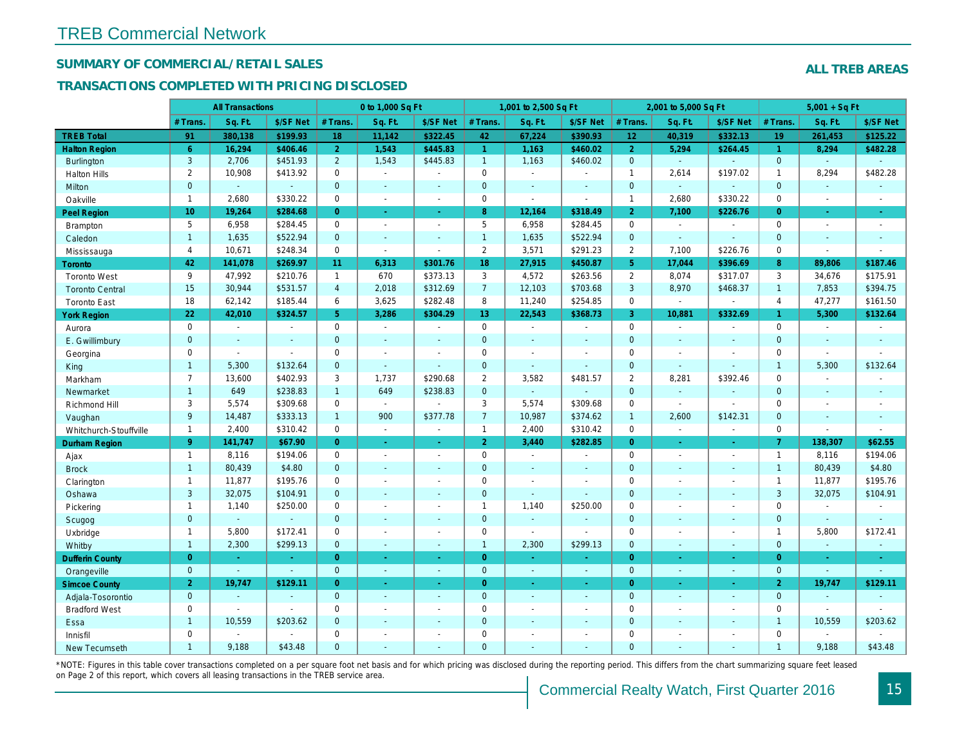## SUMMARY OF COMMERCIAL/RETAIL SALES

#### TRANSACTIONS COMPLETED WITH PRICING DISCLOSED

|                        |                 | <b>All Transactions</b> |                |                 | 0 to 1,000 Sq Ft |                |                | 1,001 to 2,500 Sq Ft |                          |                 | 2,001 to 5,000 Sq Ft |                |
|------------------------|-----------------|-------------------------|----------------|-----------------|------------------|----------------|----------------|----------------------|--------------------------|-----------------|----------------------|----------------|
|                        | # Trans         | Sq. Ft.                 | \$/SF Net      | # Trans.        | Sq. Ft.          | \$/SF Net      | # Trans.       | Sq. Ft.              | \$/SF Net                | # Trans.        | Sq. Ft.              | \$/SF Ne       |
| <b>TREB Total</b>      | 91              | 380,138                 | \$199.93       | 18              | 11,142           | \$322.45       | 42             | 67,224               | \$390.93                 | 12 <sub>2</sub> | 40,319               | \$332.13       |
| <b>Halton Region</b>   | $6^{\circ}$     | 16,294                  | \$406.46       | 2 <sup>1</sup>  | 1,543            | \$445.83       | $\mathbf{1}$   | 1,163                | \$460.02                 | $\overline{2}$  | 5,294                | \$264.45       |
| <b>Burlington</b>      | 3               | 2,706                   | \$451.93       | $\overline{2}$  | 1,543            | \$445.83       | $\mathbf{1}$   | 1,163                | \$460.02                 | $\overline{0}$  | $\omega$             | $\omega$       |
| <b>Halton Hills</b>    | $\overline{2}$  | 10,908                  | \$413.92       | $\mathbf 0$     | $\sim$           |                | $\pmb{0}$      | $\blacksquare$       | $\overline{\phantom{a}}$ | $\mathbf{1}$    | 2,614                | \$197.02       |
| Milton                 | $\mathbf{0}$    | $\omega$                | $\blacksquare$ | $\mathbf{0}$    | $\sim$           | $\sim$         | $\mathbf 0$    | $\omega$             | $\sim$                   | $\mathbf 0$     | $\omega$             | $\blacksquare$ |
| Oakville               | $\mathbf{1}$    | 2,680                   | \$330.22       | $\mathbf 0$     | $\sim$           | $\sim$         | $\pmb{0}$      | $\blacksquare$       | $\sim$                   | $\mathbf{1}$    | 2,680                | \$330.22       |
| <b>Peel Region</b>     | 10 <sub>1</sub> | 19,264                  | \$284.68       | $\overline{0}$  | $\blacksquare$   | $\bullet$      | 8              | 12,164               | \$318.49                 | $\overline{2}$  | 7,100                | \$226.7        |
| Brampton               | 5               | 6,958                   | \$284.45       | $\Omega$        | $\sim$           | $\blacksquare$ | 5              | 6,958                | \$284.45                 | $\mathbf 0$     | $\blacksquare$       | $\sim$         |
| Caledon                | $\mathbf{1}$    | 1,635                   | \$522.94       | $\mathbf{0}$    | $\sim$           | $\sim$         | $\mathbf{1}$   | 1,635                | \$522.94                 | $\mathbf{0}$    | $\omega$             | $\blacksquare$ |
| Mississauga            | $\overline{4}$  | 10,671                  | \$248.34       | $\mathbf{0}$    | $\blacksquare$   | $\blacksquare$ | $\overline{2}$ | 3,571                | \$291.23                 | $\overline{2}$  | 7,100                | \$226.76       |
| Toronto                | 42              | 141,078                 | \$269.97       | 11 <sub>1</sub> | 6,313            | \$301.76       | 18             | 27,915               | \$450.87                 | 5 <sup>5</sup>  | 17,044               | \$396.69       |
| <b>Toronto West</b>    | 9               | 47,992                  | \$210.76       | $\mathbf{1}$    | 670              | \$373.13       | 3              | 4,572                | \$263.56                 | 2               | 8,074                | \$317.07       |
| <b>Toronto Central</b> | 15              | 30,944                  | \$531.57       | $\overline{4}$  | 2,018            | \$312.69       | $\overline{7}$ | 12,103               | \$703.68                 | 3               | 8,970                | \$468.37       |
| <b>Toronto East</b>    | 18              | 62,142                  | \$185.44       | 6               | 3,625            | \$282.48       | 8              | 11,240               | \$254.85                 | $\mathbf 0$     | $\blacksquare$       | $\blacksquare$ |
| <b>York Region</b>     | 22              | 42,010                  | \$324.57       | 5               | 3,286            | \$304.29       | 13             | 22,543               | \$368.73                 | 3               | 10,881               | \$332.69       |
| Aurora                 | $\mathbf 0$     | $\sim$                  | $\sim$         | $\mathbf 0$     | $\sim$           | $\blacksquare$ | 0              | $\blacksquare$       | $\blacksquare$           | $\mathbf 0$     | $\blacksquare$       | $\sim$         |
| E. Gwillimbury         | $\mathbf{0}$    | $\sim$                  | $\sim$         | $\mathbf{0}$    | $\sim$           |                | $\mathbf 0$    | $\blacksquare$       | $\blacksquare$           | $\mathbf{0}$    | $\blacksquare$       | $\blacksquare$ |
| Georgina               | $\mathbf 0$     | $\sim$                  | $\sim$         | $\Omega$        | $\sim$           | $\sim$         | $\mathbf 0$    | $\blacksquare$       | $\sim$                   | $\mathbf 0$     | $\blacksquare$       | $\blacksquare$ |
| King                   | $\mathbf{1}$    | 5,300                   | \$132.64       | $\overline{0}$  | $\sim$           |                | $\mathbf 0$    | $\blacksquare$       | $\blacksquare$           | $\mathbf 0$     | $\blacksquare$       | $\blacksquare$ |
| Markham                | $\overline{7}$  | 13,600                  | \$402.93       | 3               | 1,737            | \$290.68       | $\overline{2}$ | 3,582                | \$481.57                 | $\overline{2}$  | 8,281                | \$392.46       |
| Newmarket              | $\mathbf{1}$    | 649                     | \$238.83       | $\mathbf{1}$    | 649              | \$238.83       | $\mathbf 0$    | $\blacksquare$       | $\blacksquare$           | $\mathbf{0}$    | $\omega$             | $\omega$       |
| Richmond Hill          | 3               | 5,574                   | \$309.68       | $\mathbf 0$     | $\blacksquare$   |                | 3              | 5,574                | \$309.68                 | $\mathbf 0$     | $\blacksquare$       | $\blacksquare$ |
| Vaughan                | 9               | 14,487                  | \$333.13       | $\mathbf{1}$    | 900              | \$377.78       | $\overline{7}$ | 10,987               | \$374.62                 | $\overline{1}$  | 2,600                | \$142.3'       |
| Whitchurch-Stouffville | $\mathbf{1}$    | 2,400                   | \$310.42       | 0               | $\blacksquare$   | $\blacksquare$ | $\mathbf{1}$   | 2,400                | \$310.42                 | $\mathbf 0$     | $\blacksquare$       | $\blacksquare$ |
| <b>Durham Region</b>   | 9 <sup>°</sup>  | 141,747                 | \$67.90        | $\Omega$        | $\omega$         | $\omega$       | 2 <sup>1</sup> | 3,440                | \$282.85                 | $\overline{0}$  | $\sim$               | $\sim$         |
| Ajax                   | $\mathbf{1}$    | 8,116                   | \$194.06       | $\mathbf 0$     | $\sim$           | ÷.             | $\pmb{0}$      | $\sim$               | $\blacksquare$           | $\mathbf 0$     | $\blacksquare$       | $\blacksquare$ |
| <b>Brock</b>           | $\overline{1}$  | 80,439                  | \$4.80         | $\mathbf{0}$    | ÷.               | $\sim$         | $\mathbf 0$    | $\Box$               | ä,                       | $\mathbf 0$     | $\omega$             | $\sim$         |
| Clarington             | $\mathbf{1}$    | 11,877                  | \$195.76       | $\mathbf 0$     |                  |                | $\pmb{0}$      | $\blacksquare$       | $\sim$                   | $\mathbf 0$     | ÷,                   | $\blacksquare$ |
| Oshawa                 | 3               | 32,075                  | \$104.91       | $\Omega$        |                  |                | $\mathbf 0$    | $\blacksquare$       |                          | $\mathbf{0}$    | $\blacksquare$       | $\blacksquare$ |
| Pickering              | $\mathbf{1}$    | 1,140                   | \$250.00       | $\mathbf 0$     | $\blacksquare$   |                | $\mathbf{1}$   | 1,140                | \$250.00                 | $\mathbf 0$     | ÷,                   | $\blacksquare$ |
| Scugog                 | $\mathbf{0}$    | $\omega$                | $\blacksquare$ | $\mathbf{0}$    | $\sim$           | $\blacksquare$ | $\mathbf 0$    | $\blacksquare$       | $\blacksquare$           | $\mathbf{0}$    | $\blacksquare$       | $\blacksquare$ |
| Uxbridge               | $\mathbf{1}$    | 5,800                   | \$172.41       | $\mathbf 0$     | ÷.               | $\sim$         | $\pmb{0}$      | $\overline{a}$       | $\blacksquare$           | $\mathbf 0$     | ÷,                   | $\blacksquare$ |
| Whitby                 | $\mathbf{1}$    | 2,300                   | \$299.13       | $\mathbf{0}$    | $\sim$           | $\blacksquare$ | $\mathbf{1}$   | 2,300                | \$299.13                 | $\mathbf{0}$    | $\blacksquare$       | $\sim$         |
| <b>Dufferin County</b> | $\overline{0}$  | $\sim$                  | $\sim$         | $\overline{0}$  | ra.              | $\sim$         | $\overline{0}$ | ٠                    | ٠                        | $\overline{0}$  | ×.                   | $\blacksquare$ |
| Orangeville            | $\overline{0}$  | $\omega$                | $\omega$       | $\mathbf{0}$    | $\sim$           | $\blacksquare$ | $\overline{0}$ | $\omega$             | $\omega$                 | $\mathbf{0}$    | $\omega$             | $\sim$         |
| <b>Simcoe County</b>   | $\overline{2}$  | 19,747                  | \$129.11       | $\overline{0}$  | $\sim$           | $\blacksquare$ | $\overline{0}$ | $\blacksquare$       | $\blacksquare$           | $\overline{0}$  | $\blacksquare$       | $\bullet$      |
| Adjala-Tosorontio      | $\mathbf{0}$    | $\sim$                  | $\Delta$       | $\mathbf{0}$    | $\sim$           | $\sim$         | $\mathbf 0$    | $\omega$             | $\blacksquare$           | $\mathbf 0$     | $\mathbf{r}$         | $\sim$         |
| <b>Bradford West</b>   | $\mathbf 0$     | $\sim$                  | $\blacksquare$ | $\Omega$        | $\sim$           | $\sim$         | $\pmb{0}$      | $\blacksquare$       | $\blacksquare$           | $\mathbf 0$     | $\blacksquare$       | $\sim$         |
| Essa                   | $\mathbf{1}$    | 10,559                  | \$203.62       | $\mathbf{0}$    |                  |                | $\pmb{0}$      | $\blacksquare$       | $\blacksquare$           | $\mathbf 0$     | $\blacksquare$       |                |
| Innisfil               | $\mathbf 0$     | $\blacksquare$          | $\blacksquare$ | $\Omega$        | $\blacksquare$   |                | $\mathbf 0$    | $\blacksquare$       | $\blacksquare$           | $\mathbf 0$     | $\blacksquare$       | $\blacksquare$ |
| <b>New Tecumseth</b>   | $\overline{1}$  | 9.188                   | \$43.48        | $\Omega$        |                  |                | $\Omega$       |                      |                          | $\Omega$        |                      |                |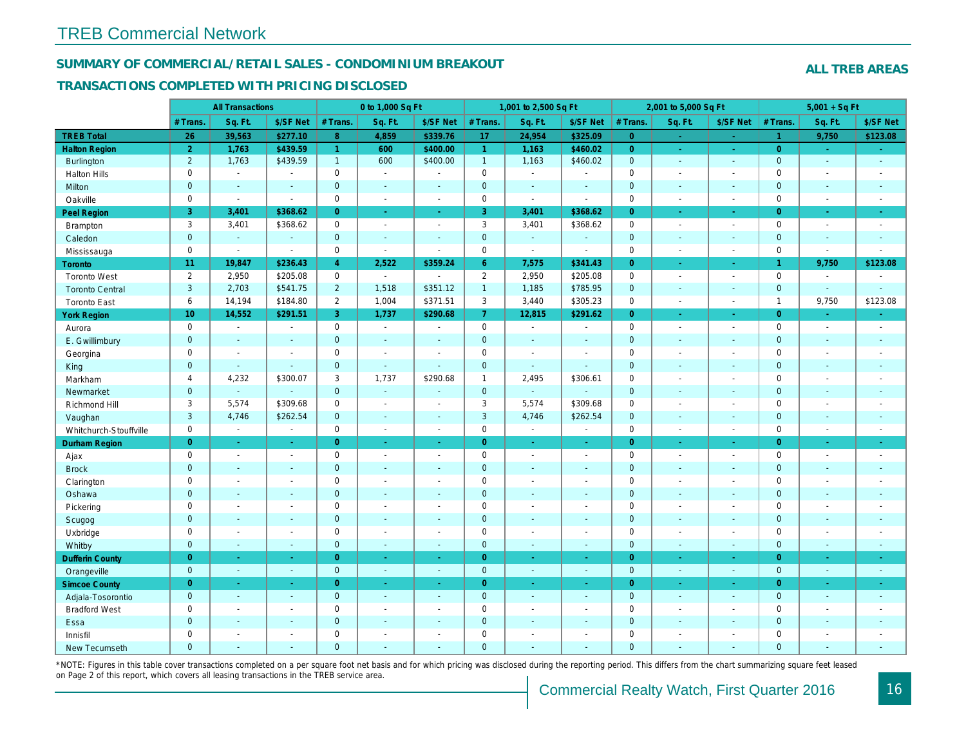#### SUMMARY OF COMMERCIAL/RETAIL SALES - CONDOMINIUM BREAKOUT

#### TRANSACTIONS COMPLETED WITH PRICING DISCLOSED

|                        |                 | <b>All Transactions</b> |                |                | 0 to 1,000 Sq Ft |                |                | 1,001 to 2,500 Sq Ft  |                          |                | 2,001 to 5,000 Sq Ft     |                          |
|------------------------|-----------------|-------------------------|----------------|----------------|------------------|----------------|----------------|-----------------------|--------------------------|----------------|--------------------------|--------------------------|
|                        | # Trans.        | Sq. Ft.                 | \$/SF Net      | # Trans.       | Sq. Ft.          | \$/SF Net      | # Trans.       | Sq. Ft.               | \$/SF Net                | # Trans.       | Sq. Ft.                  | \$/SF Ne                 |
| <b>TREB Total</b>      | 26              | 39,563                  | \$277.10       | 8              | 4,859            | \$339.76       | 17             | 24,954                | \$325.09                 | $\overline{0}$ | $\sim$                   | $\sim$                   |
| <b>Halton Region</b>   | $\overline{2}$  | 1,763                   | \$439.59       | $\mathbf{1}$   | 600              | \$400.00       | $\mathbf{1}$   | 1,163                 | \$460.02                 | $\overline{0}$ | $\bullet$                | $\omega_{\rm c}$         |
| Burlington             | $\overline{2}$  | 1,763                   | \$439.59       | $\mathbf{1}$   | 600              | \$400.00       | 1              | 1,163                 | \$460.02                 | $\mathbf 0$    | $\omega$                 | $\sim$                   |
| <b>Halton Hills</b>    | $\mathbf 0$     | $\sim$                  | $\sim$         | $\Omega$       | $\sim$           |                | $\mathbf 0$    | $\blacksquare$        | $\blacksquare$           | $\Omega$       | ÷,                       | $\sim$                   |
| Milton                 | $\mathbf{0}$    | $\blacksquare$          | $\blacksquare$ | $\mathbf{0}$   | $\sim$           | $\blacksquare$ | $\mathbf 0$    | $\blacksquare$        | $\blacksquare$           | $\mathbf 0$    | $\blacksquare$           | $\blacksquare$           |
| Oakville               | $\mathbf 0$     | $\blacksquare$          | $\blacksquare$ | $\mathbf 0$    | $\blacksquare$   | $\blacksquare$ | 0              | $\tilde{\phantom{a}}$ | $\blacksquare$           | $\mathbf 0$    | $\blacksquare$           | $\sim$                   |
| Peel Region            | 3               | 3,401                   | \$368.62       | $\overline{0}$ | $\sim$           | $\omega$       | 3              | 3,401                 | \$368.62                 | $\overline{0}$ | $\omega$                 | $\bullet$                |
| Brampton               | 3               | 3,401                   | \$368.62       | $\mathbf 0$    | $\sim$           | $\sim$         | 3              | 3,401                 | \$368.62                 | $\mathbf 0$    | $\sim$                   | $\sim$                   |
| Caledon                | $\mathbf{0}$    | $\sim$                  | $\blacksquare$ | $\mathbf{0}$   | $\sim$           | $\sim$         | $\mathbf 0$    | $\omega_{\rm c}$      | $\blacksquare$           | $\mathbf 0$    | $\omega$                 | $\sim$                   |
| Mississauga            | $\mathbf 0$     | $\blacksquare$          | $\blacksquare$ | $\mathbf 0$    | $\mathbf{r}$     | $\sim$         | $\mathbf 0$    | $\tilde{\phantom{a}}$ | $\blacksquare$           | $\mathbf 0$    | $\sim$                   | $\sim$                   |
| Toronto                | 11              | 19,847                  | \$236.43       | $\overline{4}$ | 2,522            | \$359.24       | 6 <sup>°</sup> | 7,575                 | \$341.43                 | $\overline{0}$ | $\blacksquare$           | $\sim$                   |
| <b>Toronto West</b>    | $\overline{2}$  | 2,950                   | \$205.08       | $\mathbf 0$    | $\sim$           | ÷.             | $\overline{2}$ | 2,950                 | \$205.08                 | $\mathbf 0$    | $\blacksquare$           | $\sim$                   |
| <b>Toronto Central</b> | 3               | 2,703                   | \$541.75       | $2^{\circ}$    | 1,518            | \$351.12       | $\overline{1}$ | 1,185                 | \$785.95                 | $\mathbf 0$    | $\mathbf{r}$             | $\sim$                   |
| <b>Toronto East</b>    | 6               | 14,194                  | \$184.80       | $\overline{2}$ | 1,004            | \$371.51       | 3              | 3,440                 | \$305.23                 | $\mathbf 0$    | $\blacksquare$           | $\sim$                   |
| <b>York Region</b>     | 10 <sub>1</sub> | 14,552                  | \$291.51       | 3 <sup>1</sup> | 1,737            | \$290.68       | 7 <sup>1</sup> | 12,815                | \$291.62                 | $\overline{0}$ | $\blacksquare$           | $\bullet$                |
| Aurora                 | $\mathbf 0$     | $\sim$                  | $\blacksquare$ | $\Omega$       | $\sim$           | $\blacksquare$ | $\mathbf 0$    | $\blacksquare$        | $\sim$                   | $\mathbf 0$    | $\blacksquare$           | $\sim$                   |
| E. Gwillimbury         | $\mathbf 0$     | $\blacksquare$          | $\blacksquare$ | $\mathbf 0$    | $\sim$           |                | $\pmb{0}$      | $\blacksquare$        | $\blacksquare$           | $\mathbf 0$    | $\blacksquare$           | $\blacksquare$           |
| Georgina               | $\mathbf 0$     | $\blacksquare$          | $\blacksquare$ | $\mathbf 0$    | $\blacksquare$   | $\sim$         | $\pmb{0}$      | $\blacksquare$        | $\blacksquare$           | $\mathbf 0$    | $\blacksquare$           | $\blacksquare$           |
| King                   | $\overline{0}$  | $\sim$                  | $\sim$         | $\mathbf{0}$   | $\sim$           | $\sim$         | $\mathbf 0$    | $\blacksquare$        | $\blacksquare$           | $\overline{0}$ | $\blacksquare$           | $\omega$                 |
| Markham                | $\overline{4}$  | 4,232                   | \$300.07       | 3              | 1,737            | \$290.68       | $\mathbf{1}$   | 2,495                 | \$306.61                 | $\mathsf 0$    | $\overline{\phantom{a}}$ | $\blacksquare$           |
| Newmarket              | $\mathbf{0}$    | $\blacksquare$          | $\sim$         | $\mathbf{0}$   | $\omega$         | $\sim$         | $\mathbf 0$    | $\blacksquare$        | $\blacksquare$           | $\mathbf{0}$   | $\blacksquare$           | $\blacksquare$           |
| Richmond Hill          | 3               | 5,574                   | \$309.68       | $\mathbf 0$    | $\sim$           | $\overline{a}$ | 3              | 5,574                 | \$309.68                 | $\mathbf 0$    | $\sim$                   | $\blacksquare$           |
| Vaughan                | $\mathbf{3}$    | 4,746                   | \$262.54       | $\mathbf{0}$   | $\sim$           | $\sim$         | $\mathbf{3}$   | 4,746                 | \$262.54                 | $\mathbf 0$    | $\mathbf{r}$             | $\sim$                   |
| Whitchurch-Stouffville | $\mathbf 0$     | $\blacksquare$          | $\blacksquare$ | $\mathbf 0$    | $\sim$           | $\sim$         | $\mathbf 0$    | $\bullet$             | $\overline{\phantom{a}}$ | $\mathbf 0$    | $\overline{a}$           | $\sim$                   |
| <b>Durham Region</b>   | $\overline{0}$  | $\omega$                | $\omega$       | $\overline{0}$ | $\omega$         | $\omega$       | $\overline{0}$ | $\omega$              | $\omega_{\rm c}$         | $\overline{0}$ | $\omega$                 | $\omega$                 |
| Ajax                   | $\mathsf 0$     | $\omega$                | $\omega$       | $\mathsf 0$    | $\blacksquare$   | $\blacksquare$ | $\pmb{0}$      | $\blacksquare$        | $\blacksquare$           | $\mathbf 0$    | $\blacksquare$           | $\blacksquare$           |
| <b>Brock</b>           | $\mathbf{0}$    | $\sim$                  | $\blacksquare$ | $\mathbf{0}$   | $\Delta$         | $\sim$         | $\pmb{0}$      | $\blacksquare$        | $\blacksquare$           | $\mathbf 0$    | $\blacksquare$           | $\sim$                   |
| Clarington             | $\mathbf 0$     | $\blacksquare$          | $\blacksquare$ | $\mathbf 0$    | $\sim$           |                | $\pmb{0}$      | $\tilde{\phantom{a}}$ | $\blacksquare$           | $\mathbf 0$    | ÷,                       | $\blacksquare$           |
| Oshawa                 | $\overline{0}$  | $\blacksquare$          | $\blacksquare$ | $\mathbf{0}$   | $\blacksquare$   | $\blacksquare$ | $\pmb{0}$      | $\blacksquare$        | $\blacksquare$           | $\mathbf{0}$   | $\blacksquare$           | $\blacksquare$           |
| Pickering              | $\mathbf 0$     | $\blacksquare$          | $\blacksquare$ | $\mathbf 0$    | $\sim$           | $\blacksquare$ | $\pmb{0}$      | $\blacksquare$        | $\blacksquare$           | $\mathbf 0$    | $\overline{a}$           | $\blacksquare$           |
| Scugog                 | $\mathbf{0}$    | $\blacksquare$          | $\blacksquare$ | $\mathbf{0}$   | $\sim$           | $\sim$         | $\mathbf 0$    | $\blacksquare$        | $\blacksquare$           | $\mathbf{0}$   | $\blacksquare$           | $\blacksquare$           |
| Uxbridge               | $\mathbf 0$     | $\blacksquare$          | $\blacksquare$ | $\mathbf 0$    | $\overline{a}$   | $\overline{a}$ | $\pmb{0}$      | $\blacksquare$        | $\blacksquare$           | $\mathbf 0$    | $\overline{a}$           | $\overline{\phantom{a}}$ |
| Whitby                 | $\mathbf{0}$    | $\blacksquare$          | $\sim$         | $\mathbf{0}$   | $\sim$           | $\sim$         | $\mathbf 0$    | $\blacksquare$        | $\blacksquare$           | $\mathbf{0}$   | $\blacksquare$           | $\sim$                   |
| <b>Dufferin County</b> | $\overline{0}$  | $\sim$                  | $\sim$         | $\overline{0}$ | a.               | $\sim$         | $\overline{0}$ | $\blacksquare$        | $\blacksquare$           | $\overline{0}$ | ×.                       | $\sim$                   |
| Orangeville            | $\mathbf{0}$    | $\omega$                | $\blacksquare$ | $\mathbf 0$    | $\omega$         | $\omega$       | $\mathbf{0}$   | $\omega$              | $\omega$                 | $\mathbf 0$    | $\omega$                 | $\sim$                   |
| <b>Simcoe County</b>   | $\overline{0}$  | $\sim$                  | $\omega$       | $\overline{0}$ | $\omega$         | $\omega$       | $\overline{0}$ | Ξ                     | $\omega$                 | $\overline{0}$ | $\blacksquare$           | $\sigma_{\rm c}$         |
| Adjala-Tosorontio      | $\mathbf{0}$    | $\sim$                  | $\sim$         | $\mathbf 0$    | $\sim$           | $\sim$         | $\mathbf 0$    | $\blacksquare$        | $\blacksquare$           | $\mathbf 0$    | $\omega$                 | $\sim$                   |
| <b>Bradford West</b>   | $\mathbf 0$     | $\sim$                  | $\blacksquare$ | $\mathbf 0$    | $\sim$           | $\sim$         | $\pmb{0}$      | $\blacksquare$        | $\blacksquare$           | $\mathbf 0$    | $\blacksquare$           | $\blacksquare$           |
| Essa                   | $\mathbf{0}$    | $\sim$                  | $\blacksquare$ | $\mathbf{0}$   |                  | $\sim$         | $\pmb{0}$      | $\blacksquare$        | $\blacksquare$           | $\mathbf 0$    | $\blacksquare$           |                          |
| Innisfil               | $\mathbf 0$     | $\blacksquare$          | $\blacksquare$ | $\mathbf 0$    | $\sim$           | $\sim$         | $\pmb{0}$      | $\blacksquare$        | $\blacksquare$           | $\mathbf 0$    | $\blacksquare$           | $\blacksquare$           |
| <b>New Tecumseth</b>   | $\Omega$        |                         |                | $\Omega$       |                  |                | $\Omega$       |                       |                          | $\overline{0}$ |                          |                          |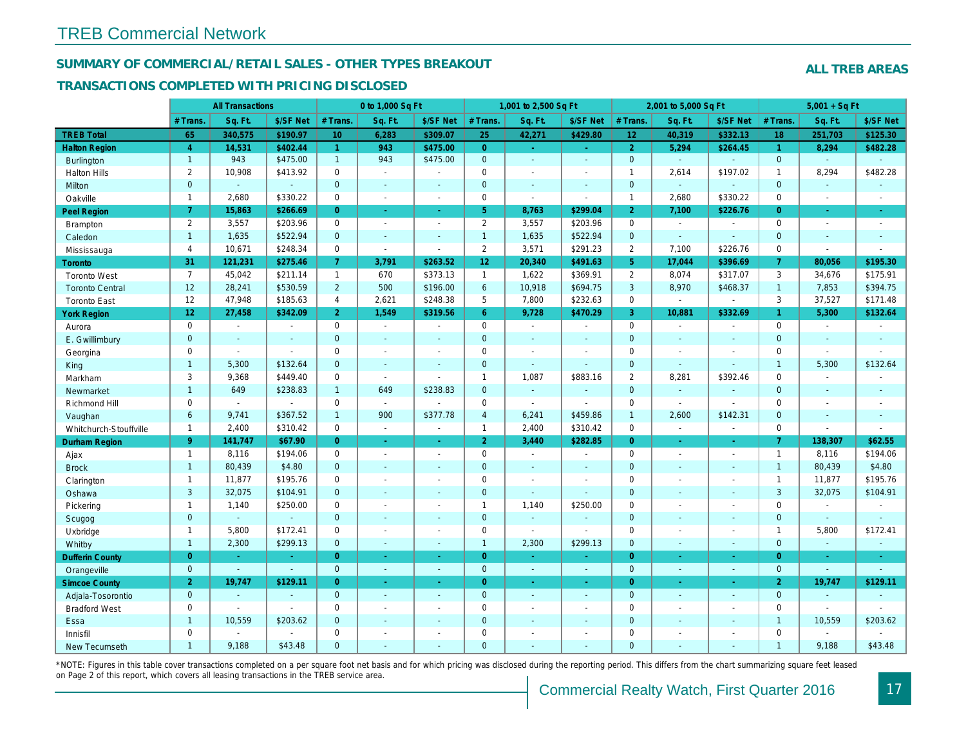#### SUMMARY OF COMMERCIAL/RETAIL SALES - OTHER TYPES BREAKOUT

#### TRANSACTIONS COMPLETED WITH PRICING DISCLOSED

|                        |                 | <b>All Transactions</b> |                |                 | 0 to 1,000 Sq Ft |                |                 | 1,001 to 2,500 Sq Ft |                          |                 | 2,001 to 5,000 Sq Ft |                |
|------------------------|-----------------|-------------------------|----------------|-----------------|------------------|----------------|-----------------|----------------------|--------------------------|-----------------|----------------------|----------------|
|                        | # Trans         | Sq. Ft.                 | \$/SF Net      | # Trans.        | Sq. Ft.          | \$/SF Net      | # Trans.        | Sq. Ft.              | \$/SF Net                | # Trans.        | Sq. Ft.              | \$/SF Ne       |
| <b>TREB Total</b>      | 65              | 340,575                 | \$190.97       | 10 <sup>°</sup> | 6,283            | \$309.07       | 25              | 42,271               | \$429.80                 | 12 <sub>1</sub> | 40,319               | \$332.13       |
| <b>Halton Region</b>   | $\overline{4}$  | 14,531                  | \$402.44       | $\mathbf{1}$    | 943              | \$475.00       | $\overline{0}$  | $\omega$             | ÷.                       | $\overline{2}$  | 5,294                | \$264.45       |
| <b>Burlington</b>      | $\mathbf{1}$    | 943                     | \$475.00       | 1               | 943              | \$475.00       | $\mathbf{0}$    | $\omega$             | $\blacksquare$           | $\mathbf{0}$    | $\omega$             | $\mathbf{r}$   |
| <b>Halton Hills</b>    | $\overline{2}$  | 10,908                  | \$413.92       | $\mathbf 0$     | $\sim$           |                | $\mathbf 0$     | $\blacksquare$       | $\blacksquare$           | $\overline{1}$  | 2,614                | \$197.02       |
| Milton                 | $\mathbf{0}$    | $\omega$                | $\mathbf{r}$   | $\mathbf{0}$    | $\omega$         | $\sim$         | $\mathbf 0$     | $\omega$             | $\sim$                   | $\mathbf{0}$    | $\omega$             | $\blacksquare$ |
| Oakville               | $\mathbf{1}$    | 2,680                   | \$330.22       | $\mathbf 0$     | $\blacksquare$   | $\blacksquare$ | $\mathsf{O}$    | $\mathbf{r}$         | $\sim$                   | $\mathbf{1}$    | 2,680                | \$330.22       |
| <b>Peel Region</b>     | $\overline{7}$  | 15,863                  | \$266.69       | $\overline{0}$  | $\blacksquare$   | $\bullet$      | 5 <sup>5</sup>  | 8,763                | \$299.04                 | $\overline{2}$  | 7,100                | \$226.7        |
| <b>Brampton</b>        | $\overline{2}$  | 3,557                   | \$203.96       | $\Omega$        | $\sim$           | $\blacksquare$ | $\overline{2}$  | 3,557                | \$203.96                 | $\mathbf 0$     | $\sim$               | $\blacksquare$ |
| Caledon                | $\mathbf{1}$    | 1,635                   | \$522.94       | $\mathbf{0}$    | $\blacksquare$   | $\blacksquare$ | $\mathbf{1}$    | 1,635                | \$522.94                 | $\mathbf 0$     | $\omega$             | $\blacksquare$ |
| Mississauga            | $\overline{4}$  | 10,671                  | \$248.34       | $\mathbf 0$     | $\blacksquare$   | $\overline{a}$ | $\overline{2}$  | 3,571                | \$291.23                 | $\overline{2}$  | 7,100                | \$226.76       |
| <b>Toronto</b>         | 31              | 121,231                 | \$275.46       | $\overline{7}$  | 3,791            | \$263.52       | 12 <sub>2</sub> | 20,340               | \$491.63                 | 5 <sup>5</sup>  | 17,044               | \$396.69       |
| <b>Toronto West</b>    | $\overline{7}$  | 45,042                  | \$211.14       | $\mathbf{1}$    | 670              | \$373.13       | $\mathbf{1}$    | 1,622                | \$369.91                 | 2               | 8,074                | \$317.07       |
| <b>Toronto Central</b> | 12              | 28,241                  | \$530.59       | $2^{\circ}$     | 500              | \$196.00       | 6               | 10,918               | \$694.75                 | 3               | 8,970                | \$468.37       |
| <b>Toronto East</b>    | 12              | 47,948                  | \$185.63       | 4               | 2,621            | \$248.38       | 5               | 7,800                | \$232.63                 | $\mathbf 0$     | $\blacksquare$       | $\sim$         |
| <b>York Region</b>     | 12 <sub>2</sub> | 27,458                  | \$342.09       | 2 <sup>1</sup>  | 1,549            | \$319.56       | 6 <sup>°</sup>  | 9,728                | \$470.29                 | $\mathbf{3}$    | 10,881               | \$332.69       |
| Aurora                 | $\mathbf 0$     | $\sim$                  | $\blacksquare$ | $\Omega$        | $\sim$           | $\sim$         | $\mathbf 0$     | $\sim$               | $\blacksquare$           | $\mathbf 0$     | $\blacksquare$       | $\sim$         |
| E. Gwillimbury         | $\mathbf{0}$    | $\blacksquare$          | $\blacksquare$ | $\mathbf{0}$    | $\mathbf{r}$     |                | $\pmb{0}$       | ä,                   | $\blacksquare$           | $\mathbf 0$     | ä,                   | $\blacksquare$ |
| Georgina               | $\mathbf 0$     | $\blacksquare$          | $\blacksquare$ | $\mathbf 0$     | $\blacksquare$   | $\blacksquare$ | $\mathbf 0$     | $\blacksquare$       | $\blacksquare$           | $\mathbf 0$     | $\blacksquare$       | $\blacksquare$ |
| King                   | $\mathbf{1}$    | 5,300                   | \$132.64       | $\mathbf{0}$    | $\sim$           |                | $\mathbf 0$     | $\blacksquare$       | $\blacksquare$           | $\mathbf{0}$    | $\blacksquare$       | $\blacksquare$ |
| Markham                | 3               | 9,368                   | \$449.40       | $\mathbf 0$     | $\sim$           | $\blacksquare$ | $\mathbf{1}$    | 1,087                | \$883.16                 | 2               | 8,281                | \$392.46       |
| Newmarket              | $\mathbf{1}$    | 649                     | \$238.83       | $\mathbf{1}$    | 649              | \$238.83       | $\mathbf{0}$    | $\sim$               | $\sim$                   | $\mathbf{0}$    | $\omega$             | $\sim$         |
| Richmond Hill          | $\mathbf 0$     | $\blacksquare$          | $\sim$         | $\Omega$        | $\mathbf{r}$     |                | $\mathbf 0$     | $\mathbf{r}$         | $\sim$                   | $\mathbf 0$     | $\sim$               | $\sim$         |
| Vaughan                | 6               | 9,741                   | \$367.52       | $\mathbf{1}$    | 900              | \$377.78       | $\overline{4}$  | 6,241                | \$459.86                 | $\overline{1}$  | 2,600                | \$142.3'       |
| Whitchurch-Stouffville | $\overline{1}$  | 2,400                   | \$310.42       | $\mathbf 0$     | $\blacksquare$   | $\sim$         | $\mathbf{1}$    | 2,400                | \$310.42                 | $\mathbf 0$     | $\blacksquare$       | $\blacksquare$ |
| <b>Durham Region</b>   | 9 <sup>°</sup>  | 141,747                 | \$67.90        | $\overline{0}$  | $\omega$         | $\sim$         | 2 <sup>1</sup>  | 3,440                | \$282.85                 | $\overline{0}$  | $\omega$             | $\omega$       |
| Ajax                   | $\mathbf{1}$    | 8,116                   | \$194.06       | $\mathbf 0$     | $\sim$           | $\sim$         | $\pmb{0}$       | $\sim$               | $\blacksquare$           | $\mathbf 0$     | $\blacksquare$       | $\sim$         |
| <b>Brock</b>           | $\mathbf{1}$    | 80,439                  | \$4.80         | $\mathbf{0}$    | $\mathbf{r}$     | $\sim$         | $\mathbf 0$     | $\omega$             | $\blacksquare$           | $\mathbf{0}$    | $\blacksquare$       | $\sim$         |
| Clarington             | $\mathbf{1}$    | 11,877                  | \$195.76       | $\mathbf 0$     | $\blacksquare$   |                | $\pmb{0}$       | $\overline{a}$       | $\overline{a}$           | $\mathbf 0$     | ÷,                   | $\blacksquare$ |
| Oshawa                 | 3               | 32,075                  | \$104.91       | $\overline{0}$  | $\blacksquare$   | $\blacksquare$ | $\mathbf 0$     | $\blacksquare$       | $\blacksquare$           | $\mathbf{0}$    | $\blacksquare$       | $\blacksquare$ |
| Pickering              | $\mathbf{1}$    | 1,140                   | \$250.00       | $\mathbf 0$     | ÷.               |                | $\mathbf{1}$    | 1,140                | \$250.00                 | $\mathbf 0$     | $\blacksquare$       | $\blacksquare$ |
| Scugog                 | $\mathbf{0}$    | $\blacksquare$          | $\blacksquare$ | $\mathbf{0}$    | $\sim$           | $\sim$         | $\mathbf 0$     | $\blacksquare$       | $\blacksquare$           | $\mathbf{0}$    | $\blacksquare$       | $\blacksquare$ |
| Uxbridge               | $\mathbf{1}$    | 5,800                   | \$172.41       | $\mathbf 0$     | $\sim$           | $\sim$         | $\pmb{0}$       | $\blacksquare$       | $\sim$                   | $\mathbf 0$     | $\blacksquare$       | $\blacksquare$ |
| Whitby                 | $\mathbf{1}$    | 2,300                   | \$299.13       | $\mathbf{0}$    | $\sim$           | $\sim$         | $\overline{1}$  | 2,300                | \$299.13                 | $\mathbf{0}$    | $\blacksquare$       | $\sim$         |
| <b>Dufferin County</b> | $\overline{0}$  | $\sim$                  | $\sim$         | $\overline{0}$  | $\sim$           | $\sim$         | $\overline{0}$  | $\blacksquare$       | ÷.                       | $\overline{0}$  | $\blacksquare$       | $\sim$         |
| Orangeville            | $\overline{0}$  | $\omega$                | $\omega$       | $\mathbf{0}$    | $\omega$         | $\Delta$       | $\mathbf{0}$    | $\sim$               | $\mathbf{r}$             | $\mathbf{0}$    | $\omega$             | $\sim$         |
| <b>Simcoe County</b>   | $\overline{2}$  | 19,747                  | \$129.11       | $\overline{0}$  | $\omega$         | $\blacksquare$ | $\overline{0}$  | $\omega$             | $\omega$                 | $\overline{0}$  | Ξ                    | $\omega$       |
| Adjala-Tosorontio      | $\mathbf{0}$    | $\sim$                  | $\sim$         | $\mathbf{0}$    | $\sim$           | $\sim$         | $\mathbf 0$     | $\omega$             | $\blacksquare$           | $\mathbf 0$     | $\blacksquare$       | $\sim$         |
| <b>Bradford West</b>   | $\mathbf 0$     | $\blacksquare$          | $\blacksquare$ | $\Omega$        | $\sim$           | $\sim$         | $\pmb{0}$       | $\blacksquare$       | $\sim$                   | $\mathbf 0$     | $\blacksquare$       | $\blacksquare$ |
| Essa                   | $\mathbf{1}$    | 10,559                  | \$203.62       | $\mathbf{0}$    | $\sim$           |                | $\pmb{0}$       | $\blacksquare$       | $\blacksquare$           | $\mathbf 0$     | ÷,                   |                |
| Innisfil               | $\mathbf 0$     | $\blacksquare$          | $\blacksquare$ | $\mathbf 0$     | $\sim$           | $\blacksquare$ | $\mathbf 0$     | $\blacksquare$       | $\blacksquare$           | $\mathbf 0$     | $\blacksquare$       | $\blacksquare$ |
| <b>New Tecumseth</b>   | $\mathbf{1}$    | 9.188                   | \$43.48        | $\Omega$        |                  |                | $\overline{0}$  | ä,                   | $\overline{\phantom{a}}$ | $\mathbf{0}$    | ÷.                   | $\sim$         |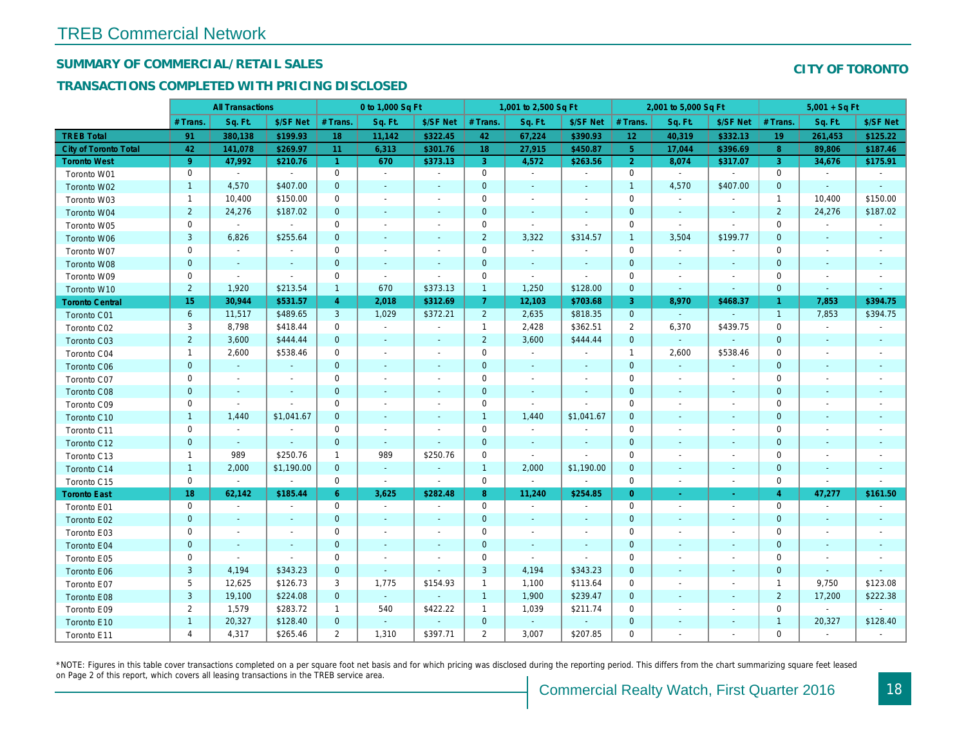## SUMMARY OF COMMERCIAL/RETAIL SALES

#### TRANSACTIONS COMPLETED WITH PRICING DISCLOSED

|                        |                | <b>All Transactions</b>  |                          |                | 0 to 1,000 Sq Ft         |                          |                     | 1,001 to 2,500 Sq Ft         |                          |                 | 2,001 to 5,000 Sq Ft     |                          |
|------------------------|----------------|--------------------------|--------------------------|----------------|--------------------------|--------------------------|---------------------|------------------------------|--------------------------|-----------------|--------------------------|--------------------------|
|                        | # Trans.       | Sq. Ft.                  | \$/SF Net                | # Trans.       | Sq. Ft.                  | \$/SF Net                | # Trans.            | Sq. Ft.                      | \$/SF Net                | # Trans.        | Sq. Ft.                  | \$/SF Ne                 |
| <b>TREB Total</b>      | 91             | 380,138                  | \$199.93                 | 18             | 11,142                   | \$322.45                 | 42                  | 67,224                       | \$390.93                 | 12 <sub>2</sub> | 40,319                   | \$332.1                  |
| City of Toronto Total  | 42             | 141,078                  | \$269.97                 | 11             | 6,313                    | \$301.76                 | 18                  | 27,915                       | \$450.87                 | 5 <sub>5</sub>  | 17,044                   | \$396.69                 |
| <b>Toronto West</b>    | 9 <sup>°</sup> | 47,992                   | \$210.76                 | $\mathbf{1}$   | 670                      | \$373.13                 | 3                   | 4,572                        | \$263.56                 | $\overline{2}$  | 8,074                    | \$317.07                 |
| Toronto W01            | $\mathbf 0$    | $\blacksquare$           | $\blacksquare$           | $\mathbf 0$    | $\mathbf{r}$             | $\omega$                 | $\mathbf 0$         | $\blacksquare$               | $\sim$                   | $\mathbf 0$     | $\blacksquare$           | $\blacksquare$           |
| Toronto W02            | $\mathbf{1}$   | 4,570                    | \$407.00                 | $\mathbf 0$    | $\blacksquare$           | ٠                        | $\mathbf 0$         | $\blacksquare$               | ٠                        | $\mathbf{1}$    | 4,570                    | \$407.00                 |
| Toronto W03            | $\mathbf{1}$   | 10,400                   | \$150.00                 | 0              | $\blacksquare$           | $\blacksquare$           | 0                   | $\blacksquare$               | ٠                        | 0               | $\blacksquare$           |                          |
| Toronto W04            | $\overline{2}$ | 24,276                   | \$187.02                 | $\mathbf 0$    | $\blacksquare$           | $\blacksquare$           | $\mathbf 0$         | $\blacksquare$               | $\blacksquare$           | $\mathbf 0$     | $\blacksquare$           | $\sim$                   |
| Toronto W05            | 0              | $\omega$                 | $\sim$                   | $\mathbf 0$    | $\blacksquare$           | $\blacksquare$           | $\mathbf 0$         | $\blacksquare$               | $\blacksquare$           | $\mathbf 0$     | $\blacksquare$           | $\blacksquare$           |
| Toronto W06            | 3              | 6,826                    | \$255.64                 | $\mathbf 0$    | $\blacksquare$           | $\blacksquare$           | $\overline{2}$      | 3,322                        | \$314.57                 | $\mathbf{1}$    | 3,504                    | \$199.77                 |
| Toronto W07            | 0              | $\blacksquare$           | $\overline{\phantom{a}}$ | $\mathbf 0$    | $\blacksquare$           | $\blacksquare$           | $\mathbf 0$         | $\blacksquare$               | $\blacksquare$           | $\mathbf 0$     | $\blacksquare$           |                          |
| Toronto W08            | $\mathbf 0$    | $\sim$                   | $\blacksquare$           | $\mathbf 0$    | $\blacksquare$           | $\blacksquare$           | $\mathbf 0$         | $\blacksquare$               | $\blacksquare$           | $\mathbf 0$     | $\blacksquare$           | $\blacksquare$           |
| Toronto W09            | 0              | $\overline{\phantom{a}}$ | $\blacksquare$           | $\mathbf 0$    | $\blacksquare$           | $\blacksquare$           | $\mathbf 0$         | $\blacksquare$               | $\overline{\phantom{a}}$ | $\mathbf 0$     | $\overline{\phantom{a}}$ | $\overline{\phantom{a}}$ |
| Toronto W10            | $\overline{2}$ | 1,920                    | \$213.54                 | $\mathbf{1}$   | 670                      | \$373.13                 | $\mathbf{1}$        | 1,250                        | \$128.00                 | $\mathbf{0}$    | $\blacksquare$           | $\blacksquare$           |
| <b>Toronto Central</b> | 15             | 30,944                   | \$531.57                 | $\overline{4}$ | 2,018                    | \$312.69                 | 7 <sup>1</sup>      | 12,103                       | \$703.68                 | 3               | 8,970                    | \$468.37                 |
| Toronto C01            | 6              | 11,517                   | \$489.65                 | 3              | 1,029                    | \$372.21                 | $\overline{2}$      | 2,635                        | \$818.35                 | $\mathbf{0}$    |                          | $\blacksquare$           |
| Toronto C02            | 3              | 8,798                    | \$418.44                 | 0              | $\sim$                   | $\blacksquare$           | $\mathbf{1}$        | 2,428                        | \$362.51                 | $\overline{2}$  | 6,370                    | \$439.75                 |
| Toronto C03            | $\overline{2}$ | 3,600                    | \$444.44                 | $\mathbf{0}$   | $\blacksquare$           | $\blacksquare$           | $\overline{2}$      | 3,600                        | \$444.44                 | $\mathbf{0}$    | $\omega$                 |                          |
| Toronto C04            | $\mathbf{1}$   | 2,600                    | \$538.46                 | $\mathbf 0$    | $\blacksquare$           | $\blacksquare$           | $\mathsf{O}\xspace$ | $\sim$                       |                          | $\overline{1}$  | 2,600                    | \$538.46                 |
| Toronto C06            | $\mathbf{0}$   | $\omega$                 | $\sim$                   | $\mathbf 0$    | $\blacksquare$           | $\blacksquare$           | $\mathbf 0$         | $\blacksquare$               | $\blacksquare$           | $\mathbf{0}$    | $\omega$                 | $\blacksquare$           |
| Toronto C07            | 0              | $\blacksquare$           | $\sim$                   | $\mathbf 0$    | $\blacksquare$           | $\blacksquare$           | $\mathbf 0$         | $\blacksquare$               | $\blacksquare$           | $\mathbf 0$     | $\blacksquare$           | $\overline{\phantom{a}}$ |
| Toronto C08            | $\mathbf{0}$   | $\sim$                   |                          | $\mathbf 0$    | ä,                       | $\blacksquare$           | $\mathbf 0$         | $\qquad \qquad \blacksquare$ | $\blacksquare$           | $\mathbf 0$     | $\blacksquare$           | $\sim$                   |
| Toronto C09            | 0              | $\sim$                   | $\sim$                   | $\mathbf 0$    | $\sim$                   | $\blacksquare$           | $\mathbf 0$         | $\blacksquare$               | ÷.                       | $\mathbf 0$     | $\sim$                   | $\overline{\phantom{a}}$ |
| Toronto C10            | $\mathbf{1}$   | 1,440                    | \$1,041.67               | $\mathbf{0}$   | $\sim$                   | $\blacksquare$           | $\mathbf{1}$        | 1,440                        | \$1,041.67               | $\mathbf 0$     | $\sim$                   | $\sim$                   |
| Toronto C11            | 0              | $\blacksquare$           |                          | 0              | $\sim$                   | $\blacksquare$           | $\mathbf 0$         | $\blacksquare$               | $\blacksquare$           | 0               | $\blacksquare$           | $\overline{\phantom{a}}$ |
| Toronto C12            | $\mathbf{0}$   | $\sim$                   | $\sim$                   | $\mathbf 0$    | $\sim$                   | $\blacksquare$           | $\mathbf 0$         | $\blacksquare$               | $\sim$                   | $\mathbf 0$     | $\sim$                   | $\sim$                   |
| Toronto C13            | $\mathbf 1$    | 989                      | \$250.76                 | $\mathbf 1$    | 989                      | \$250.76                 | 0                   | $\blacksquare$               | $\blacksquare$           | 0               | $\overline{\phantom{a}}$ | $\overline{\phantom{a}}$ |
| Toronto C14            | $\mathbf{1}$   | 2,000                    | \$1,190.00               | $\mathbf{0}$   | $\blacksquare$           | $\blacksquare$           | $\mathbf{1}$        | 2,000                        | \$1,190.00               | $\mathbf{0}$    | $\sim$                   | $\sim$                   |
| Toronto C15            | $\mathbf 0$    | $\blacksquare$           | $\blacksquare$           | $\mathbf 0$    | $\blacksquare$           | $\blacksquare$           | $\mathbf 0$         | $\blacksquare$               | $\blacksquare$           | $\mathbf 0$     | $\overline{\phantom{a}}$ | $\blacksquare$           |
| <b>Toronto East</b>    | 18             | 62,142                   | \$185.44                 | $6^{\circ}$    | 3,625                    | \$282.48                 | 8 <sup>°</sup>      | 11,240                       | \$254.85                 | $\overline{0}$  | $\blacksquare$           | $\sim$                   |
| Toronto E01            | 0              | $\blacksquare$           | $\overline{\phantom{a}}$ | 0              | $\sim$                   | $\overline{\phantom{a}}$ | $\mathbf 0$         | $\blacksquare$               | $\blacksquare$           | $\mathbf 0$     | $\blacksquare$           | $\sim$                   |
| Toronto E02            | $\mathbf{0}$   | $\sim$                   | $\overline{a}$           | $\mathbf{0}$   | $\overline{\phantom{a}}$ | $\sim$                   | $\mathbf 0$         | $\sim$                       | $\sim$                   | $\mathbf{0}$    | $\sim$                   | $\sim$                   |
| Toronto E03            | 0              | $\blacksquare$           | $\overline{\phantom{a}}$ | $\mathbf 0$    | $\blacksquare$           | $\blacksquare$           | $\mathbf 0$         | $\blacksquare$               | $\blacksquare$           | $\mathbf 0$     | $\blacksquare$           | $\blacksquare$           |
| Toronto E04            | $\mathbf{0}$   | $\blacksquare$           | $\sim$                   | $\mathbf 0$    | $\sim$                   | $\blacksquare$           | $\mathbf 0$         | $\blacksquare$               | $\blacksquare$           | $\mathbf{0}$    | $\sim$                   |                          |
| Toronto E05            | 0              | $\blacksquare$           | $\blacksquare$           | $\mathbf 0$    | $\overline{\phantom{a}}$ | $\overline{\phantom{a}}$ | $\mathbf 0$         | $\blacksquare$               | $\blacksquare$           | 0               | $\overline{\phantom{a}}$ | $\overline{\phantom{a}}$ |
| Toronto E06            | 3              | 4,194                    | \$343.23                 | $\mathbf 0$    | $\blacksquare$           | $\blacksquare$           | 3                   | 4,194                        | \$343.23                 | $\mathbf 0$     |                          |                          |
| Toronto E07            | 5              | 12,625                   | \$126.73                 | 3              | 1,775                    | \$154.93                 | $\mathbf{1}$        | 1,100                        | \$113.64                 | $\mathbf 0$     | $\blacksquare$           | $\overline{\phantom{a}}$ |
| Toronto E08            | $\mathbf{3}$   | 19,100                   | \$224.08                 | $\mathbf{0}$   | $\omega$                 | $\omega$                 | $\mathbf{1}$        | 1,900                        | \$239.47                 | $\mathbf{0}$    | $\omega$                 |                          |
| Toronto E09            | $\overline{2}$ | 1,579                    | \$283.72                 | $\mathbf{1}$   | 540                      | \$422.22                 | $\mathbf{1}$        | 1,039                        | \$211.74                 | 0               | $\sim$                   | $\blacksquare$           |
| Toronto E10            | $\mathbf{1}$   | 20,327                   | \$128.40                 | $\mathbf 0$    | $\blacksquare$           | ÷,                       | $\mathbf 0$         | $\blacksquare$               |                          | $\mathbf 0$     |                          |                          |
| Toronto E11            | 4              | 4,317                    | \$265.46                 | $\overline{2}$ | 1,310                    | \$397.71                 | $\overline{2}$      | 3,007                        | \$207.85                 | 0               | $\blacksquare$           | $\blacksquare$           |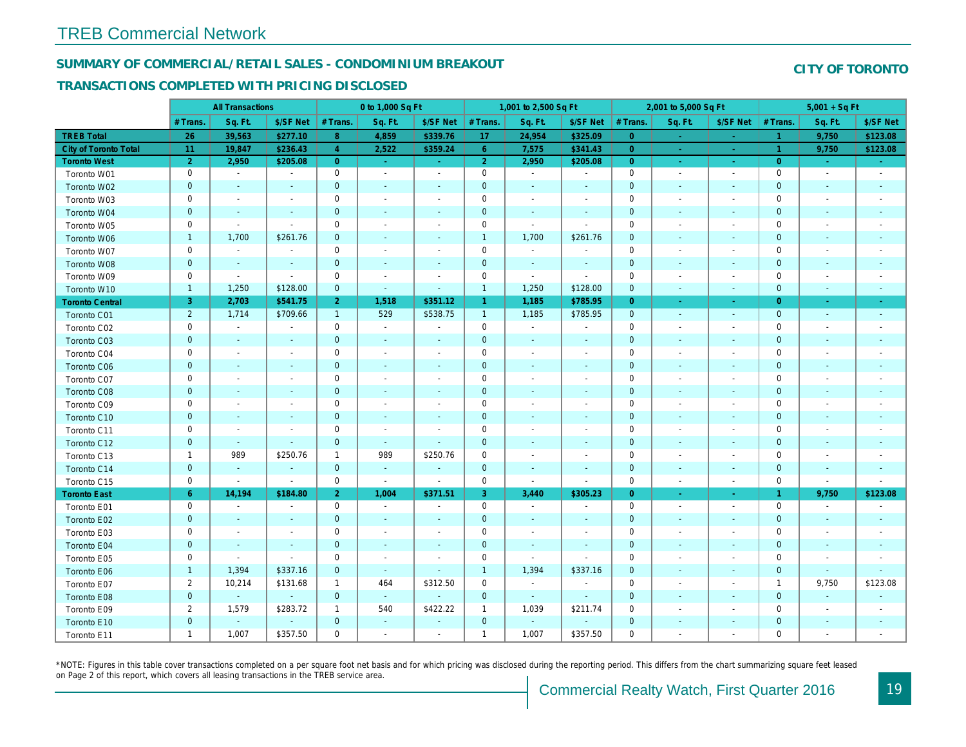#### SUMMARY OF COMMERCIAL/RETAIL SALES - CONDOMINIUM BREAKOUT

#### TRANSACTIONS COMPLETED WITH PRICING DISCLOSED

|                        |                | <b>All Transactions</b>  |                          |                | 0 to 1,000 Sq Ft         |                          |                | 1,001 to 2,500 Sq Ft     |                          |                | 2,001 to 5,000 Sq Ft     |                          |
|------------------------|----------------|--------------------------|--------------------------|----------------|--------------------------|--------------------------|----------------|--------------------------|--------------------------|----------------|--------------------------|--------------------------|
|                        | # Trans.       | Sq. Ft.                  | \$/SF Net                | # Trans.       | Sq. Ft.                  | \$/SF Net                | # Trans.       | Sq. Ft.                  | \$/SF Net                | # Trans.       | Sq. Ft.                  | \$/SF Ne                 |
| <b>TREB Total</b>      | 26             | 39,563                   | \$277.10                 | 8              | 4,859                    | \$339.76                 | 17             | 24,954                   | \$325.09                 | $\overline{0}$ | $\frac{1}{\sqrt{2}}$     | ÷.                       |
| City of Toronto Total  | 11             | 19,847                   | \$236.43                 | $\overline{4}$ | 2,522                    | \$359.24                 | 6 <sup>1</sup> | 7,575                    | \$341.43                 | $\overline{0}$ | $\sim$                   | $\sim$                   |
| <b>Toronto West</b>    | $\overline{2}$ | 2,950                    | \$205.08                 | $\overline{0}$ | $\sim$                   | $\sim$                   | 2 <sup>1</sup> | 2,950                    | \$205.08                 | $\overline{0}$ | $\sim$                   | $\sim$ .                 |
| Toronto W01            | 0              | $\sim$                   | $\blacksquare$           | $\mathbf 0$    | $\blacksquare$           | $\blacksquare$           | $\mathbf 0$    | $\blacksquare$           | $\blacksquare$           | $\mathbf 0$    | $\blacksquare$           | $\sim$                   |
| Toronto W02            | $\mathbf{0}$   | $\sim$                   | $\sim$                   | $\mathbf 0$    | $\sim$                   | $\sim$                   | $\mathbf 0$    | $\sim$                   | $\sim$                   | $\mathbf 0$    | $\sim$                   | $\blacksquare$           |
| Toronto W03            | 0              | $\sim$                   | $\sim$                   | $\mathbf 0$    | $\blacksquare$           | $\blacksquare$           | $\mathbf 0$    | $\blacksquare$           | $\blacksquare$           | 0              | $\sim$                   | $\overline{\phantom{a}}$ |
| Toronto W04            | $\mathbf{0}$   | $\sim$                   | $\sim$                   | $\mathbf 0$    | $\sim$                   | $\blacksquare$           | $\pmb{0}$      | $\blacksquare$           | $\omega$                 | $\mathbf 0$    | $\blacksquare$           | $\overline{\phantom{a}}$ |
| Toronto W05            | 0              | $\blacksquare$           | $\sim$                   | $\mathbf 0$    | $\sim$                   | $\blacksquare$           | $\mathbf 0$    | ÷,                       | ÷,                       | 0              | ÷                        | $\overline{\phantom{a}}$ |
| Toronto W06            | $\mathbf{1}$   | 1,700                    | \$261.76                 | $\mathbf{0}$   | $\frac{1}{2}$            | $\blacksquare$           | $\mathbf{1}$   | 1,700                    | \$261.76                 | $\mathbf 0$    | $\sim$                   | $\blacksquare$           |
| Toronto W07            | 0              | $\blacksquare$           | $\overline{\phantom{a}}$ | $\mathbf 0$    | $\blacksquare$           | $\overline{\phantom{a}}$ | $\mathbf 0$    | $\blacksquare$           | $\blacksquare$           | $\mathbf 0$    | ÷                        | $\overline{\phantom{a}}$ |
| Toronto W08            | $\mathbf 0$    | $\sim$                   | $\sim$                   | $\mathbf 0$    | $\sim$                   | $\blacksquare$           | $\mathbf 0$    | $\blacksquare$           | $\blacksquare$           | $\mathbf{0}$   | $\blacksquare$           | $\blacksquare$           |
| Toronto W09            | $\mathbf 0$    | $\blacksquare$           | $\blacksquare$           | $\mathbf 0$    | $\blacksquare$           | $\blacksquare$           | $\mathbf 0$    | $\blacksquare$           | $\blacksquare$           | $\mathbf 0$    | ÷                        | $\overline{\phantom{a}}$ |
| Toronto W10            | $\mathbf{1}$   | 1,250                    | \$128.00                 | $\mathbf 0$    | $\blacksquare$           | $\blacksquare$           | $\mathbf{1}$   | 1,250                    | \$128.00                 | $\mathbf{0}$   | $\blacksquare$           | $\blacksquare$           |
| <b>Toronto Central</b> | 3              | 2,703                    | \$541.75                 | 2 <sup>1</sup> | 1,518                    | \$351.12                 | $\mathbf{1}$   | 1,185                    | \$785.95                 | $\overline{0}$ | $\omega$                 | $\sim$                   |
| Toronto C01            | $\overline{2}$ | 1,714                    | \$709.66                 | $\mathbf{1}$   | 529                      | \$538.75                 | $\mathbf{1}$   | 1,185                    | \$785.95                 | $\mathbf 0$    | $\blacksquare$           | $\sim$                   |
| Toronto C02            | 0              | $\sim$                   |                          | $\mathbf 0$    | $\blacksquare$           | $\blacksquare$           | $\mathbf 0$    | $\blacksquare$           | $\blacksquare$           | 0              | $\sim$                   | $\blacksquare$           |
| Toronto C03            | $\mathbf{0}$   | $\sim$                   | $\sim$                   | $\overline{0}$ | $\blacksquare$           | $\blacksquare$           | $\mathbf 0$    | $\blacksquare$           | $\blacksquare$           | $\mathbf{0}$   | $\blacksquare$           | $\blacksquare$           |
| Toronto C04            | 0              | $\sim$                   | $\overline{\phantom{a}}$ | $\mathbf 0$    | $\blacksquare$           | $\blacksquare$           | $\mathbf 0$    | $\blacksquare$           | $\blacksquare$           | 0              | $\blacksquare$           | $\overline{\phantom{a}}$ |
| Toronto C06            | $\mathbf{0}$   | $\sim$                   | $\sim$                   | $\mathbf 0$    | $\blacksquare$           | $\sim$                   | $\mathbf{0}$   | $\blacksquare$           | $\blacksquare$           | $\mathbf 0$    | $\blacksquare$           | ٠                        |
| Toronto C07            | 0              | $\overline{\phantom{a}}$ | $\overline{\phantom{a}}$ | $\mathbf 0$    | $\sim$                   | $\blacksquare$           | $\mathbf 0$    | $\blacksquare$           | $\blacksquare$           | $\mathbf 0$    | $\blacksquare$           | $\blacksquare$           |
| Toronto C08            | $\mathbf{0}$   | $\sim$                   | $\sim$                   | $\mathbf 0$    | $\sim$                   | $\blacksquare$           | $\mathbf 0$    | $\sim$                   | $\sim$                   | $\mathbf 0$    | $\sim$                   | $\blacksquare$           |
| Toronto C09            | 0              | $\overline{\phantom{a}}$ | $\overline{\phantom{a}}$ | 0              | $\blacksquare$           | $\blacksquare$           | 0              | $\overline{\phantom{a}}$ | $\blacksquare$           | 0              | $\overline{\phantom{a}}$ | $\blacksquare$           |
| Toronto C10            | $\mathbf{0}$   | $\sim$                   | $\sim$                   | $\mathbf 0$    | $\sim$                   | $\sim$                   | $\mathbf 0$    | $\sim$                   | $\sim$                   | $\mathbf 0$    | $\sim$                   | $\sim$                   |
| Toronto C11            | 0              | $\blacksquare$           | $\overline{\phantom{a}}$ | $\mathbf 0$    | $\blacksquare$           | $\overline{\phantom{a}}$ | $\mathbf 0$    | $\blacksquare$           | $\overline{\phantom{a}}$ | $\mathbf 0$    | $\blacksquare$           | $\blacksquare$           |
| Toronto C12            | $\mathbf 0$    | $\sim$                   | $\sim$                   | $\mathbf 0$    | $\sim$                   | $\blacksquare$           | $\mathbf 0$    | $\sim$                   | $\sim$                   | $\mathbf{0}$   | $\sim$                   | $\sim$                   |
| Toronto C13            | $\mathbf{1}$   | 989                      | \$250.76                 | $\mathbf{1}$   | 989                      | \$250.76                 | 0              | $\overline{\phantom{a}}$ | $\overline{\phantom{a}}$ | 0              | $\overline{\phantom{a}}$ | $\overline{\phantom{a}}$ |
| Toronto C14            | $\pmb{0}$      | $\blacksquare$           | $\sim$                   | $\mathbf{0}$   | $\sim$                   | $\blacksquare$           | $\mathbf 0$    | $\sim$                   | $\sim$                   | $\mathbf{0}$   | $\blacksquare$           | $\blacksquare$           |
| Toronto C15            | 0              | $\blacksquare$           | $\blacksquare$           | $\mathbf 0$    | $\blacksquare$           | $\blacksquare$           | $\mathbf 0$    | $\omega$                 | $\blacksquare$           | $\mathbf 0$    | $\blacksquare$           | $\sim$                   |
| <b>Toronto East</b>    | $6^{\circ}$    | 14,194                   | \$184.80                 | 2 <sub>1</sub> | 1,004                    | \$371.51                 | 3              | 3,440                    | \$305.23                 | $\overline{0}$ | $\blacksquare$           | $\sim$                   |
| Toronto E01            | 0              | $\blacksquare$           | $\sim$                   | $\mathbf 0$    | $\sim$                   | $\blacksquare$           | $\mathbf 0$    | $\blacksquare$           | $\blacksquare$           | $\mathbf 0$    | $\blacksquare$           | $\sim$                   |
| Toronto E02            | $\pmb{0}$      |                          |                          | $\mathbf 0$    | $\sim$                   | $\blacksquare$           | $\mathbf 0$    | $\sim$                   |                          | $\mathbf{0}$   | $\sim$                   | $\blacksquare$           |
| Toronto E03            | 0              | $\overline{\phantom{a}}$ | $\overline{\phantom{a}}$ | $\mathbf 0$    | $\blacksquare$           | $\overline{\phantom{a}}$ | $\pmb{0}$      | $\blacksquare$           | $\blacksquare$           | 0              | $\overline{\phantom{a}}$ | $\blacksquare$           |
| Toronto E04            | $\mathbf 0$    | $\sim$                   | $\sim$                   | $\mathbf 0$    | $\blacksquare$           | $\blacksquare$           | $\mathbf 0$    | $\blacksquare$           | $\blacksquare$           | $\mathbf 0$    | $\blacksquare$           | $\sim$                   |
| Toronto E05            | 0              | $\sim$                   | $\blacksquare$           | $\mathbf 0$    | $\sim$                   | $\blacksquare$           | $\mathbf 0$    | $\blacksquare$           | $\blacksquare$           | $\mathbf 0$    | $\sim$                   | $\overline{\phantom{a}}$ |
| Toronto E06            | $\mathbf{1}$   | 1,394                    | \$337.16                 | $\mathbf 0$    | $\omega$                 | $\sim$                   | $\mathbf{1}$   | 1,394                    | \$337.16                 | $\mathbf 0$    | $\sim$                   | $\sim$                   |
| Toronto E07            | $\overline{2}$ | 10,214                   | \$131.68                 | $\mathbf{1}$   | 464                      | \$312.50                 | $\mathbf 0$    | $\blacksquare$           | $\blacksquare$           | 0              | ÷                        |                          |
| Toronto E08            | $\mathbf{0}$   | $\omega$                 | $\sim$                   | $\mathbf{0}$   | $\sim$                   | $\blacksquare$           | $\mathbf 0$    | $\sim$                   | $\sim$                   | $\mathbf{0}$   | $\sim$                   |                          |
| Toronto E09            | $\overline{2}$ | 1,579                    | \$283.72                 | $\mathbf{1}$   | 540                      | \$422.22                 | $\mathbf{1}$   | 1,039                    | \$211.74                 | $\mathbf 0$    |                          | $\overline{\phantom{a}}$ |
| Toronto E10            | $\mathbf{0}$   | $\blacksquare$           |                          | $\mathbf 0$    | $\overline{\phantom{a}}$ | $\overline{\phantom{a}}$ | $\mathbf 0$    | $\blacksquare$           | ÷,                       | $\mathbf 0$    | $\overline{\phantom{a}}$ |                          |
| Toronto E11            | $\mathbf{1}$   | 1,007                    | \$357.50                 | $\mathbf 0$    | $\blacksquare$           | $\overline{\phantom{a}}$ | $\mathbf{1}$   | 1,007                    | \$357.50                 | $\mathbf 0$    |                          | $\overline{\phantom{a}}$ |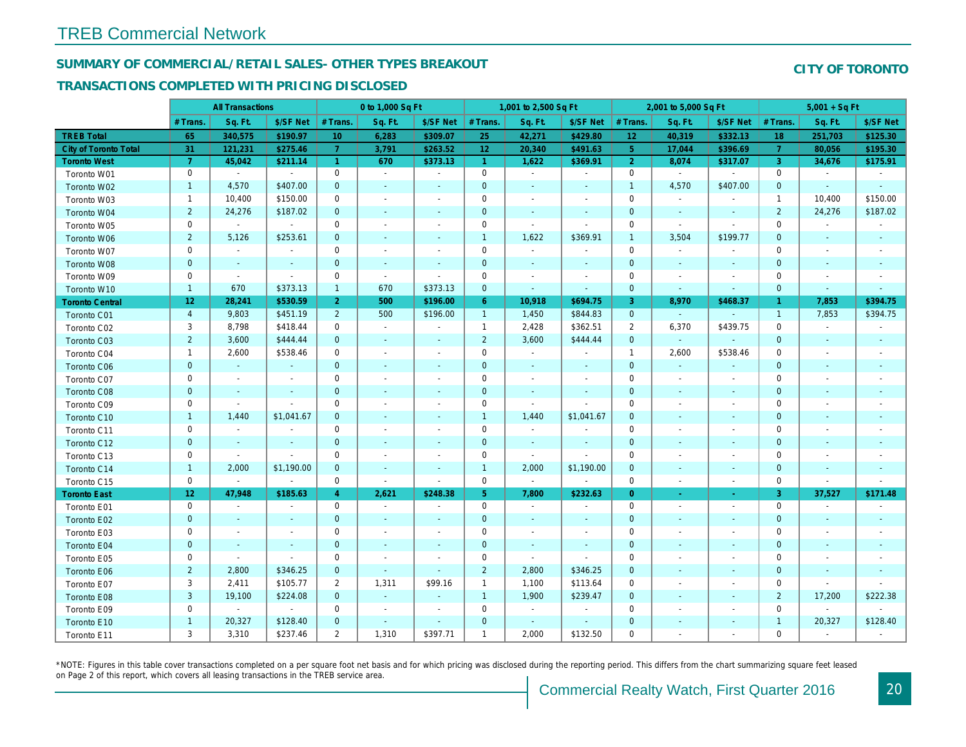## SUMMARY OF COMMERCIAL/RETAIL SALES- OTHER TYPES BREAKOUT

#### TRANSACTIONS COMPLETED WITH PRICING DISCLOSED

|                        |                 | <b>All Transactions</b>  |                          |                | 0 to 1,000 Sq Ft         |                          |                     | 1,001 to 2,500 Sq Ft     |                          |                 | 2,001 to 5,000 Sq Ft     |                          |
|------------------------|-----------------|--------------------------|--------------------------|----------------|--------------------------|--------------------------|---------------------|--------------------------|--------------------------|-----------------|--------------------------|--------------------------|
|                        | # Trans         | Sq. Ft.                  | \$/SF Net                | # Trans.       | Sq. Ft.                  | \$/SF Net                | # Trans.            | Sq. Ft.                  | \$/SF Net                | # Trans.        | Sq. Ft.                  | \$/SF Ne                 |
| <b>TREB Total</b>      | 65              | 340,575                  | \$190.97                 | 10             | 6,283                    | \$309.07                 | 25                  | 42,271                   | \$429.80                 | 12 <sub>2</sub> | 40,319                   | \$332.1                  |
| City of Toronto Total  | 31              | 121,231                  | \$275.46                 | $\overline{7}$ | 3,791                    | \$263.52                 | 12                  | 20,340                   | \$491.63                 | 5 <sup>5</sup>  | 17,044                   | \$396.69                 |
| <b>Toronto West</b>    | $\overline{7}$  | 45,042                   | \$211.14                 | $\overline{1}$ | 670                      | \$373.13                 | $\mathbf{1}$        | 1,622                    | \$369.91                 | $\overline{2}$  | 8,074                    | \$317.07                 |
| Toronto W01            | 0               | $\blacksquare$           | $\sim$                   | 0              | $\sim$                   | $\blacksquare$           | $\mathbf 0$         | $\sim$                   | $\blacksquare$           | $\mathbf 0$     | $\blacksquare$           | $\blacksquare$           |
| Toronto W02            | $\mathbf{1}$    | 4,570                    | \$407.00                 | $\mathbf 0$    |                          | $\blacksquare$           | $\pmb{0}$           | $\blacksquare$           | ٠                        | $\mathbf{1}$    | 4,570                    | \$407.00                 |
| Toronto W03            | $\mathbf{1}$    | 10,400                   | \$150.00                 | 0              | $\sim$                   | $\blacksquare$           | $\mathbf 0$         | $\blacksquare$           | $\blacksquare$           | $\mathbf 0$     | $\blacksquare$           |                          |
| Toronto W04            | $\overline{2}$  | 24,276                   | \$187.02                 | $\mathbf 0$    | $\blacksquare$           | $\blacksquare$           | $\pmb{0}$           | $\blacksquare$           | $\overline{\phantom{a}}$ | $\mathbf 0$     | $\blacksquare$           | $\blacksquare$           |
| Toronto W05            | 0               | $\blacksquare$           | $\blacksquare$           | 0              | $\blacksquare$           | $\blacksquare$           | $\mathbf 0$         | $\blacksquare$           | $\blacksquare$           | $\mathbf 0$     | $\blacksquare$           | $\blacksquare$           |
| Toronto W06            | $\overline{2}$  | 5,126                    | \$253.61                 | $\mathbf 0$    | $\blacksquare$           | $\blacksquare$           | $\mathbf{1}$        | 1,622                    | \$369.91                 | $\overline{1}$  | 3,504                    | \$199.77                 |
| Toronto W07            | 0               | $\blacksquare$           | $\sim$                   | $\mathbf 0$    | $\blacksquare$           | $\blacksquare$           | $\mathsf 0$         | $\blacksquare$           | $\blacksquare$           | $\mathbf 0$     | $\blacksquare$           |                          |
| Toronto W08            | $\mathbf 0$     | $\blacksquare$           | $\sim$                   | $\mathbf 0$    | $\sim$                   | $\blacksquare$           | $\pmb{0}$           | $\blacksquare$           | $\blacksquare$           | $\mathbf 0$     | $\blacksquare$           | $\blacksquare$           |
| Toronto W09            | 0               | $\sim$                   | $\blacksquare$           | 0              | $\sim$                   | $\blacksquare$           | $\mathbf 0$         | $\overline{a}$           | $\overline{a}$           | $\mathbf 0$     | $\sim$                   | $\overline{\phantom{a}}$ |
| Toronto W10            | $\mathbf{1}$    | 670                      | \$373.13                 | $\mathbf{1}$   | 670                      | \$373.13                 | $\mathbf 0$         | $\blacksquare$           | $\overline{\phantom{a}}$ | $\mathbf 0$     | $\blacksquare$           | ٠                        |
| <b>Toronto Central</b> | 12 <sub>2</sub> | 28,241                   | \$530.59                 | $\overline{2}$ | 500                      | \$196.00                 | $6^{\circ}$         | 10,918                   | \$694.75                 | 3               | 8,970                    | \$468.37                 |
| Toronto C01            | $\overline{4}$  | 9,803                    | \$451.19                 | $\overline{2}$ | 500                      | \$196.00                 | $\mathbf{1}$        | 1,450                    | \$844.83                 | $\mathbf 0$     | $\omega$                 |                          |
| Toronto C02            | 3               | 8,798                    | \$418.44                 | 0              | $\blacksquare$           | $\ddot{\phantom{1}}$     | $\mathbf{1}$        | 2,428                    | \$362.51                 | $\overline{2}$  | 6,370                    | \$439.75                 |
| Toronto C03            | $\overline{2}$  | 3,600                    | \$444.44                 | $\mathbf 0$    | $\sim$                   | $\blacksquare$           | $\overline{2}$      | 3,600                    | \$444.44                 | $\mathbf 0$     | $\omega$                 |                          |
| Toronto C04            | $\mathbf{1}$    | 2,600                    | \$538.46                 | 0              | $\overline{\phantom{a}}$ | $\blacksquare$           | $\mathbf 0$         | $\blacksquare$           | $\blacksquare$           | $\mathbf{1}$    | 2,600                    | \$538.46                 |
| Toronto C06            | $\mathbf 0$     | $\blacksquare$           |                          | $\mathbf 0$    | $\blacksquare$           | $\blacksquare$           | $\mathbf 0$         | $\blacksquare$           | $\blacksquare$           | $\mathbf{0}$    | $\blacksquare$           |                          |
| Toronto C07            | 0               | $\overline{\phantom{a}}$ |                          | $\mathbf 0$    | $\blacksquare$           |                          | $\mathsf{O}\xspace$ | $\overline{a}$           | $\overline{a}$           | $\mathbf 0$     | ÷,                       | $\blacksquare$           |
| Toronto C08            | $\mathbf 0$     | $\blacksquare$           | $\sim$                   | $\mathbf 0$    | $\blacksquare$           | ٠                        | $\mathbf 0$         | $\blacksquare$           | ÷,                       | $\mathbf 0$     | $\blacksquare$           | $\blacksquare$           |
| Toronto C09            | 0               | $\blacksquare$           | $\overline{\phantom{a}}$ | 0              | $\sim$                   | $\blacksquare$           | $\mathbf 0$         | $\overline{a}$           | ä,                       | $\mathbf 0$     | $\blacksquare$           | $\blacksquare$           |
| Toronto C10            | $\mathbf{1}$    | 1,440                    | \$1,041.67               | $\mathbf 0$    | $\blacksquare$           | $\blacksquare$           | $\mathbf{1}$        | 1,440                    | \$1,041.67               | $\mathbf 0$     | $\blacksquare$           | $\blacksquare$           |
| Toronto C11            | 0               | $\overline{\phantom{a}}$ |                          | 0              | $\blacksquare$           |                          | $\mathbf 0$         | $\overline{\phantom{a}}$ |                          | $\mathbf 0$     | $\overline{a}$           |                          |
| Toronto C12            | $\mathbf 0$     | $\blacksquare$           | $\blacksquare$           | $\mathbf{0}$   | $\blacksquare$           | $\blacksquare$           | $\mathbf 0$         | $\blacksquare$           | ÷,                       | $\mathbf 0$     | $\blacksquare$           | $\blacksquare$           |
| Toronto C13            | 0               | $\blacksquare$           |                          | 0              | $\sim$                   | $\blacksquare$           | $\mathbf 0$         | $\sim$                   | $\blacksquare$           | $\mathbf 0$     | $\sim$                   | $\blacksquare$           |
| Toronto C14            | $\mathbf{1}$    | 2,000                    | \$1,190.00               | $\mathbf 0$    | $\omega$                 | $\blacksquare$           | $\mathbf{1}$        | 2,000                    | \$1,190.00               | $\mathbf{0}$    | $\blacksquare$           | $\blacksquare$           |
| Toronto C15            | 0               | $\blacksquare$           | $\blacksquare$           | 0              | $\blacksquare$           | $\blacksquare$           | $\mathsf{O}\xspace$ | $\bullet$                | $\tilde{\phantom{a}}$    | $\mathbf 0$     | $\blacksquare$           | $\blacksquare$           |
| <b>Toronto East</b>    | 12 <sub>2</sub> | 47,948                   | \$185.63                 | 4              | 2,621                    | \$248.38                 | 5 <sub>1</sub>      | 7,800                    | \$232.63                 | $\overline{0}$  | $\blacksquare$           | $\bullet$                |
| Toronto E01            | 0               | $\sim$                   | $\overline{\phantom{a}}$ | 0              | $\sim$                   | $\overline{\phantom{a}}$ | $\mathbf 0$         | $\sim$                   | $\blacksquare$           | $\mathbf 0$     | $\blacksquare$           | $\sim$                   |
| Toronto E02            | $\mathbf{0}$    | $\sim$                   | $\sim$                   | $\mathbf 0$    | $\mathbf{r}$             | $\sim$                   | $\mathbf 0$         | $\sim$                   | $\blacksquare$           | $\mathbf{0}$    | $\sim$                   | $\sim$                   |
| Toronto E03            | 0               | $\overline{\phantom{a}}$ | $\overline{\phantom{a}}$ | 0              | $\sim$                   | $\blacksquare$           | $\mathbf 0$         | $\sim$                   | $\blacksquare$           | 0               | $\sim$                   | $\blacksquare$           |
| Toronto E04            | $\mathbf 0$     | $\blacksquare$           | $\sim$                   | $\mathbf 0$    | $\blacksquare$           | $\overline{\phantom{a}}$ | $\pmb{0}$           | $\blacksquare$           | $\sim$                   | $\mathbf{0}$    | $\sim$                   | $\overline{\phantom{a}}$ |
| Toronto E05            | 0               | $\blacksquare$           | $\sim$                   | 0              | $\blacksquare$           | $\overline{\phantom{a}}$ | $\mathbf 0$         | $\blacksquare$           | $\blacksquare$           | 0               | $\overline{\phantom{a}}$ | $\overline{\phantom{a}}$ |
| Toronto E06            | $\overline{2}$  | 2,800                    | \$346.25                 | $\mathbf 0$    | $\blacksquare$           | $\blacksquare$           | $\overline{2}$      | 2,800                    | \$346.25                 | $\mathbf 0$     | $\sim$                   | $\blacksquare$           |
| Toronto E07            | 3               | 2,411                    | \$105.77                 | $\overline{2}$ | 1,311                    | \$99.16                  | $\mathbf{1}$        | 1,100                    | \$113.64                 | $\mathbf 0$     | $\overline{\phantom{a}}$ | $\blacksquare$           |
| Toronto E08            | 3               | 19,100                   | \$224.08                 | $\mathbf 0$    | $\omega$                 | $\blacksquare$           | $\mathbf{1}$        | 1,900                    | \$239.47                 | $\mathbf{0}$    | $\sim$                   | $\overline{\phantom{a}}$ |
| Toronto E09            | 0               | $\blacksquare$           | $\blacksquare$           | 0              | $\blacksquare$           | $\blacksquare$           | 0                   | $\blacksquare$           | $\overline{\phantom{a}}$ | 0               | $\overline{\phantom{a}}$ | $\blacksquare$           |
| Toronto E10            | $\mathbf{1}$    | 20,327                   | \$128.40                 | $\mathbf 0$    | $\sim$                   | $\blacksquare$           | $\mathbf 0$         | $\blacksquare$           | $\overline{\phantom{a}}$ | $\mathbf 0$     | $\sim$                   | $\overline{\phantom{a}}$ |
| Toronto E11            | 3               | 3,310                    | \$237.46                 | $\overline{2}$ | 1,310                    | \$397.71                 | $\mathbf{1}$        | 2,000                    | \$132.50                 | 0               | $\overline{\phantom{a}}$ | $\overline{\phantom{a}}$ |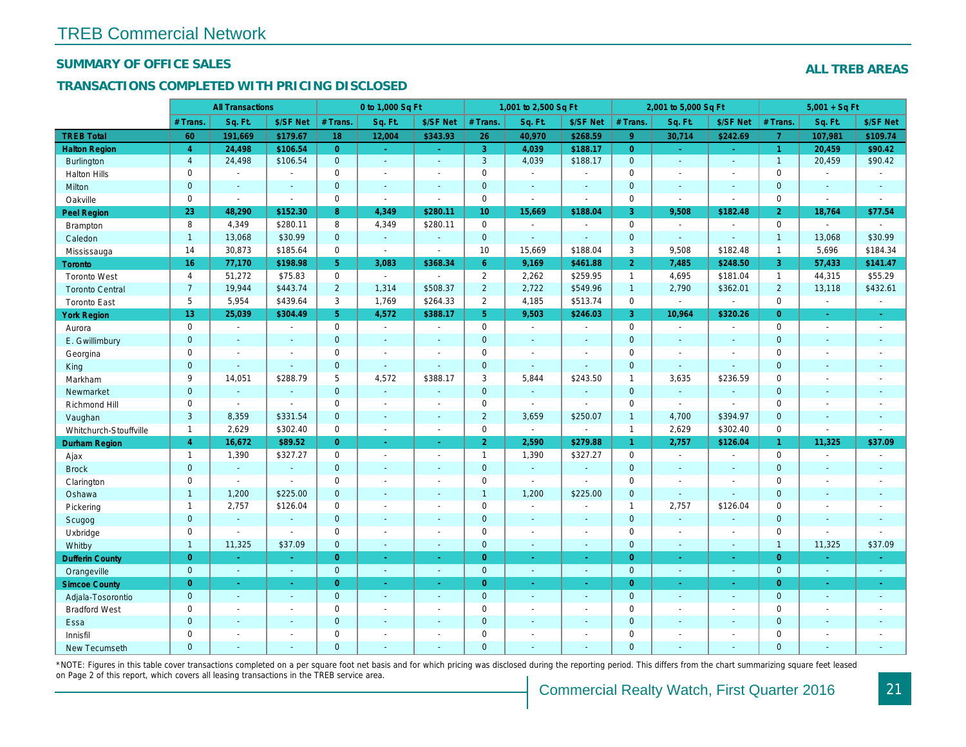#### SUMMARY OF OFFICE SALES

#### TRANSACTIONS COMPLETED WITH PRICING DISCLOSED

|                        |                | <b>All Transactions</b>  |                |                | 0 to 1,000 Sq Ft |                                          |                     | 1,001 to 2,500 Sq Ft     |                          |                | 2,001 to 5,000 Sq Ft |                          |
|------------------------|----------------|--------------------------|----------------|----------------|------------------|------------------------------------------|---------------------|--------------------------|--------------------------|----------------|----------------------|--------------------------|
|                        | # Trans.       | Sq. Ft.                  | \$/SF Net      | # Trans.       | Sq. Ft.          | \$/SF Net                                | # Trans.            | Sq. Ft.                  | \$/SF Net                | # Trans.       | Sq. Ft.              | \$/SF Ne                 |
| <b>TREB Total</b>      | 60             | 191,669                  | \$179.67       | 18             | 12,004           | \$343.93                                 | 26                  | 40,970                   | \$268.59                 | 9 <sup>°</sup> | 30,714               | \$242.69                 |
| <b>Halton Region</b>   | $\overline{4}$ | 24,498                   | \$106.54       | $\overline{0}$ | $\sim$ .         | $\frac{1}{2} \left( \frac{1}{2} \right)$ | 3                   | 4,039                    | \$188.17                 | $\overline{0}$ | $\blacksquare$       | $\sim$                   |
| <b>Burlington</b>      | $\overline{4}$ | 24,498                   | \$106.54       | $\mathbf{0}$   | $\sim$           | $\blacksquare$                           | $\mathbf{3}$        | 4,039                    | \$188.17                 | $\mathbf{0}$   | $\blacksquare$       | $\blacksquare$           |
| <b>Halton Hills</b>    | $\mathbf{0}$   | $\sim$                   | $\sim$         | $\mathbf 0$    | $\blacksquare$   | $\blacksquare$                           | $\mathbf 0$         | $\blacksquare$           | $\blacksquare$           | $\Omega$       | $\sim$               | $\blacksquare$           |
| Milton                 | $\mathbf{0}$   | $\blacksquare$           | $\blacksquare$ | $\mathbf 0$    | $\omega$         | $\blacksquare$                           | $\pmb{0}$           | $\blacksquare$           | $\blacksquare$           | $\mathbf{0}$   | $\blacksquare$       | $\blacksquare$           |
| Oakville               | 0              | $\blacksquare$           | $\blacksquare$ | $\mathbf 0$    | $\blacksquare$   | $\sim$                                   | $\mathsf{O}$        | $\overline{\phantom{a}}$ | $\sim$                   | $\mathbf 0$    | $\blacksquare$       | $\blacksquare$           |
| Peel Region            | 23             | 48,290                   | \$152.30       | 8              | 4,349            | \$280.11                                 | 10 <sub>1</sub>     | 15,669                   | \$188.04                 | $\mathbf{3}$   | 9,508                | \$182.48                 |
| Brampton               | 8              | 4,349                    | \$280.11       | 8              | 4,349            | \$280.11                                 | $\mathsf{O}$        | $\blacksquare$           | $\blacksquare$           | $\mathbf 0$    | $\omega$             | $\blacksquare$           |
| Caledon                | $\mathbf{1}$   | 13,068                   | \$30.99        | $\mathbf 0$    | $\omega$         | $\blacksquare$                           | $\overline{0}$      | $\blacksquare$           | $\blacksquare$           | $\mathbf 0$    | $\Delta$             | $\blacksquare$           |
| Mississauga            | 14             | 30,873                   | \$185.64       | $\mathbf 0$    | $\blacksquare$   | $\blacksquare$                           | 10                  | 15,669                   | \$188.04                 | 3              | 9,508                | \$182.48                 |
| <b>Toronto</b>         | 16             | 77,170                   | \$198.98       | 5 <sup>5</sup> | 3,083            | \$368.34                                 | 6 <sup>°</sup>      | 9,169                    | \$461.88                 | $\overline{2}$ | 7,485                | \$248.50                 |
| <b>Toronto West</b>    | 4              | 51,272                   | \$75.83        | $\mathbf 0$    | $\sim$           | $\blacksquare$                           | $\overline{2}$      | 2,262                    | \$259.95                 | $\mathbf{1}$   | 4,695                | \$181.04                 |
| <b>Toronto Central</b> | $\overline{7}$ | 19,944                   | \$443.74       | $\overline{2}$ | 1,314            | \$508.37                                 | $\overline{2}$      | 2,722                    | \$549.96                 | $\overline{1}$ | 2,790                | \$362.0'                 |
| <b>Toronto East</b>    | 5              | 5,954                    | \$439.64       | 3              | 1,769            | \$264.33                                 | $\overline{2}$      | 4,185                    | \$513.74                 | $\mathbf 0$    | $\blacksquare$       | $\blacksquare$           |
| <b>York Region</b>     | 13             | 25,039                   | \$304.49       | 5 <sup>1</sup> | 4,572            | \$388.17                                 | 5 <sup>1</sup>      | 9,503                    | \$246.03                 | $\overline{3}$ | 10,964               | \$320.26                 |
| Aurora                 | 0              | $\sim$                   | $\blacksquare$ | $\mathbf 0$    | $\sim$           | $\blacksquare$                           | $\mathsf{O}$        | $\sim$                   | $\sim$                   | $\mathbf 0$    | $\omega$             | $\sim$                   |
| E. Gwillimbury         | $\mathbf{0}$   | $\sim$                   | $\sim$         | $\mathbf{0}$   | $\sim$           | $\blacksquare$                           | $\mathbf{0}$        | $\blacksquare$           | $\blacksquare$           | $\mathbf{0}$   | $\omega$             | $\blacksquare$           |
| Georgina               | 0              | $\sim$                   | $\blacksquare$ | 0              | $\blacksquare$   | $\blacksquare$                           | $\mathbf 0$         | $\blacksquare$           | $\sim$                   | $\mathbf 0$    | $\blacksquare$       | $\blacksquare$           |
| King                   | $\mathbf{0}$   | $\sim$                   | $\sim$         | $\mathbf 0$    | $\mathbf{r}$     | $\sim$                                   | $\mathbf 0$         | $\blacksquare$           | $\blacksquare$           | $\mathbf{0}$   | $\sim$               | $\sim$                   |
| Markham                | 9              | 14,051                   | \$288.79       | 5              | 4,572            | \$388.17                                 | 3                   | 5,844                    | \$243.50                 | $\mathbf{1}$   | 3,635                | \$236.59                 |
| Newmarket              | $\overline{0}$ | $\sim$                   | $\sim$         | $\mathbf{0}$   | $\omega$         | $\sim$                                   | $\mathbf{0}$        | $\omega$                 | ä,                       | $\mathbf{0}$   | $\omega$             | $\sim$                   |
| Richmond Hill          | 0              | $\blacksquare$           | $\sim$         | 0              | $\sim$           | $\overline{\phantom{a}}$                 | $\mathbf 0$         | $\blacksquare$           | $\overline{\phantom{a}}$ | 0              | $\sim$               | $\sim$                   |
| Vaughan                | 3              | 8,359                    | \$331.54       | $\mathbf{0}$   | $\mathbf{r}$     | $\sim$                                   | $\overline{2}$      | 3,659                    | \$250.07                 | $\mathbf{1}$   | 4,700                | \$394.97                 |
| Whitchurch-Stouffville | $\mathbf{1}$   | 2,629                    | \$302.40       | $\mathbf 0$    | $\mathbf{r}$     | $\blacksquare$                           | $\mathsf 0$         | $\blacksquare$           | ä,                       | $\mathbf{1}$   | 2,629                | \$302.40                 |
| <b>Durham Region</b>   | $\overline{4}$ | 16,672                   | \$89.52        | $\overline{0}$ | $\bullet$        | ÷                                        | 2 <sup>1</sup>      | 2,590                    | \$279.88                 | 1 <sup>1</sup> | 2,757                | \$126.04                 |
| Ajax                   | $\mathbf{1}$   | 1,390                    | \$327.27       | $\mathbf 0$    | $\blacksquare$   | $\blacksquare$                           | $\mathbf{1}$        | 1,390                    | \$327.27                 | $\mathbf 0$    | $\blacksquare$       | $\blacksquare$           |
| <b>Brock</b>           | $\mathbf{0}$   | $\omega$                 | $\sim$         | $\mathbf{0}$   | $\blacksquare$   | $\sim$                                   | $\mathbf{0}$        | $\Box$                   | ä,                       | $\overline{0}$ | $\omega$             | $\blacksquare$           |
| Clarington             | 0              | $\sim$                   | $\blacksquare$ | 0              | $\blacksquare$   | $\blacksquare$                           | $\mathsf{O}\xspace$ | $\overline{\phantom{a}}$ | $\tilde{\phantom{a}}$    | $\mathbf 0$    | $\blacksquare$       | $\overline{\phantom{a}}$ |
| Oshawa                 | $\mathbf{1}$   | 1,200                    | \$225.00       | $\mathbf{0}$   | $\blacksquare$   | ٠                                        | $\mathbf{1}$        | 1,200                    | \$225.00                 | $\mathbf{0}$   | $\blacksquare$       | $\blacksquare$           |
| Pickering              | $\mathbf{1}$   | 2,757                    | \$126.04       | $\mathbf 0$    | $\sim$           | $\blacksquare$                           | $\mathbf 0$         | $\blacksquare$           | $\blacksquare$           | $\mathbf{1}$   | 2,757                | \$126.04                 |
| Scugog                 | $\mathbf{0}$   | $\blacksquare$           | $\sim$         | $\mathbf{0}$   | $\omega$         | $\blacksquare$                           | $\mathbf{0}$        | $\omega$                 | $\blacksquare$           | $\mathbf{0}$   | $\omega$             | $\blacksquare$           |
| Uxbridge               | 0              | $\overline{\phantom{a}}$ | $\sim$         | 0              | $\blacksquare$   | $\blacksquare$                           | 0                   | $\overline{a}$           | $\overline{a}$           | $\mathbf 0$    | $\blacksquare$       | $\overline{\phantom{a}}$ |
| Whitby                 | $\mathbf{1}$   | 11,325                   | \$37.09        | $\mathbf 0$    | $\sim$           | $\sim$                                   | $\mathbf{0}$        | $\blacksquare$           | $\sim$                   | $\mathbf{0}$   | $\blacksquare$       | $\sim$                   |
| <b>Dufferin County</b> | $\overline{0}$ | $\sim$                   | $\sim$         | $\overline{0}$ | ÷.               | $\omega$                                 | $\overline{0}$      | ÷.                       | $\sim$                   | $\overline{0}$ | ÷.                   | $\sim$                   |
| Orangeville            | $\mathbf 0$    | $\omega$                 | $\omega$       | $\mathbf 0$    | $\omega$         | $\omega$                                 | $\mathbf{0}$        | $\omega$                 | $\omega_{\rm c}$         | $\mathbf{0}$   | $\omega$             | $\omega_{\rm c}$         |
| <b>Simcoe County</b>   | $\overline{0}$ | $\omega$                 | $\sim$         | $\overline{0}$ | $\omega$         | $\omega$                                 | $\overline{0}$      | $\omega$                 | $\omega_{\rm c}$         | $\overline{0}$ | $\omega$             | $\sim$                   |
| Adjala-Tosorontio      | $\mathbf{0}$   | $\omega$                 | $\sim$         | $\mathbf 0$    | $\mathbf{r}$     | $\blacksquare$                           | $\mathbf{0}$        | $\blacksquare$           | $\blacksquare$           | $\mathbf 0$    | $\Delta$             | $\sim$                   |
| <b>Bradford West</b>   | 0              | $\blacksquare$           | $\blacksquare$ | 0              | $\sim$           | $\sim$                                   | $\mathsf{O}\xspace$ | $\blacksquare$           | $\blacksquare$           | $\mathbf 0$    | $\blacksquare$       | $\blacksquare$           |
| Essa                   | $\mathbf{0}$   | $\sim$                   | $\sim$         | $\mathbf 0$    | $\blacksquare$   | $\blacksquare$                           | $\mathbf 0$         | ä,                       | ä,                       | $\mathbf 0$    | $\sim$               |                          |
| Innisfil               | 0              | $\sim$                   | $\sim$         | $\mathbf 0$    | $\blacksquare$   | $\blacksquare$                           | $\mathbf 0$         | $\blacksquare$           | $\blacksquare$           | $\mathbf 0$    | $\sim$               | $\blacksquare$           |
| <b>New Tecumseth</b>   | $\Omega$       |                          |                | $\Omega$       |                  |                                          | $\mathbf{0}$        |                          |                          | $\Omega$       |                      |                          |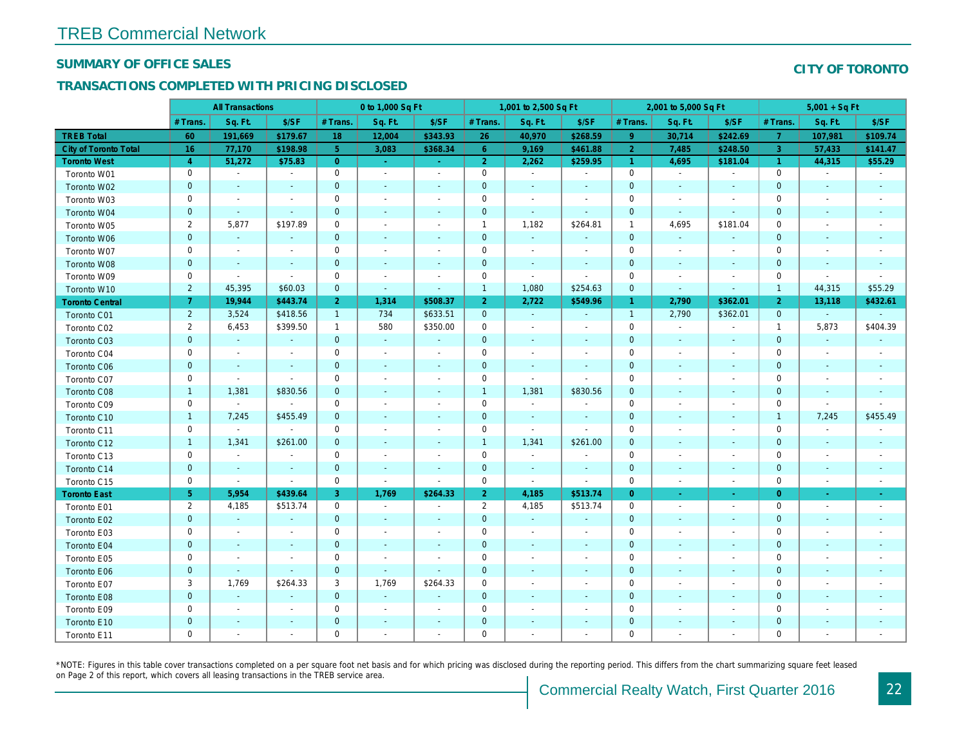#### SUMMARY OF OFFICE SALES

#### TRANSACTIONS COMPLETED WITH PRICING DISCLOSED

|                              |                | <b>All Transactions</b>  |                          |                | 0 to 1,000 Sq Ft         |                          |                | 1,001 to 2,500 Sq Ft     |                          |                | 2,001 to 5,000 Sq Ft     |                          |
|------------------------------|----------------|--------------------------|--------------------------|----------------|--------------------------|--------------------------|----------------|--------------------------|--------------------------|----------------|--------------------------|--------------------------|
|                              | # Trans        | Sq. Ft.                  | \$/SF                    | # Trans.       | Sq. Ft.                  | \$/SF                    | # Trans.       | Sq. Ft.                  | \$/SF                    | # Trans.       | Sq. Ft.                  | \$/SF                    |
| <b>TREB Total</b>            | 60             | 191,669                  | \$179.67                 | 18             | 12,004                   | \$343.93                 | 26             | 40,970                   | \$268.59                 | 9              | 30,714                   | \$242.69                 |
| <b>City of Toronto Total</b> | 16             | 77,170                   | \$198.98                 | 5 <sup>1</sup> | 3,083                    | \$368.34                 | $6^{\circ}$    | 9,169                    | \$461.88                 | $\overline{2}$ | 7,485                    | \$248.5                  |
| <b>Toronto West</b>          | $\overline{4}$ | 51,272                   | \$75.83                  | $\overline{0}$ | $\omega$                 | $\sim$                   | $\overline{2}$ | 2,262                    | \$259.95                 | $\mathbf{1}$   | 4,695                    | \$181.04                 |
| Toronto W01                  | $\mathbf 0$    | $\sim$                   | $\blacksquare$           | $\mathbf 0$    | $\tilde{\phantom{a}}$    | $\blacksquare$           | $\mathbf 0$    | $\sim$                   | $\blacksquare$           | $\mathbf 0$    | $\blacksquare$           | $\blacksquare$           |
| Toronto W02                  | $\mathbf 0$    | $\sim$                   | $\blacksquare$           | $\mathbf 0$    | $\blacksquare$           | $\blacksquare$           | $\mathbf 0$    | $\blacksquare$           |                          | $\mathbf 0$    | $\blacksquare$           | $\blacksquare$           |
| Toronto W03                  | $\pmb{0}$      | $\blacksquare$           | $\blacksquare$           | 0              | $\blacksquare$           | $\blacksquare$           | 0              | $\blacksquare$           | $\blacksquare$           | 0              | $\blacksquare$           | $\sim$                   |
| Toronto W04                  | $\mathbf 0$    | $\sim$                   | $\omega$                 | $\mathbf 0$    | $\sim$                   | $\sim$                   | $\mathbf 0$    | $\sim$                   | $\sim$                   | $\mathbf 0$    | $\sim$                   | $\sim$                   |
| Toronto W05                  | $\overline{2}$ | 5,877                    | \$197.89                 | $\mathbf 0$    | $\sim$                   | $\blacksquare$           | $\overline{1}$ | 1,182                    | \$264.81                 | $\mathbf{1}$   | 4,695                    | \$181.04                 |
| Toronto W06                  | $\mathbf 0$    | $\blacksquare$           | $\blacksquare$           | $\mathbf 0$    | $\blacksquare$           | $\sim$                   | $\mathbf 0$    | $\blacksquare$           |                          | $\mathbf 0$    | $\blacksquare$           | $\overline{\phantom{a}}$ |
| Toronto W07                  | 0              | $\blacksquare$           | $\overline{\phantom{a}}$ | 0              | $\sim$                   | $\blacksquare$           | 0              | $\blacksquare$           | $\overline{\phantom{a}}$ | 0              | $\sim$                   | $\sim$                   |
| Toronto W08                  | $\mathbf 0$    | $\blacksquare$           | $\sim$                   | $\mathbf 0$    | $\sim$                   | $\blacksquare$           | $\mathbf 0$    | $\blacksquare$           | $\sim$                   | $\mathbf 0$    | $\blacksquare$           | $\sim$                   |
| Toronto W09                  | $\mathbf 0$    | $\blacksquare$           | $\blacksquare$           | $\mathbf 0$    | $\sim$                   | $\blacksquare$           | 0              | $\blacksquare$           | $\blacksquare$           | $\mathbf 0$    | $\sim$                   | $\overline{\phantom{a}}$ |
| Toronto W10                  | $\overline{2}$ | 45,395                   | \$60.03                  | $\mathbf{0}$   | $\blacksquare$           | $\overline{\phantom{a}}$ | $\overline{1}$ | 1,080                    | \$254.63                 | $\mathbf 0$    | $\blacksquare$           | $\blacksquare$           |
| <b>Toronto Central</b>       | $\overline{7}$ | 19,944                   | \$443.74                 | 2 <sup>1</sup> | 1,314                    | \$508.37                 | $\overline{2}$ | 2,722                    | \$549.96                 | $\mathbf{1}$   | 2,790                    | \$362.0                  |
| Toronto C01                  | $\overline{2}$ | 3,524                    | \$418.56                 | $\mathbf{1}$   | 734                      | \$633.51                 | $\mathbf{0}$   | $\sim$                   | $\sim$                   | $\mathbf{1}$   | 2,790                    | \$362.0'                 |
| Toronto C02                  | $\overline{2}$ | 6,453                    | \$399.50                 | $\mathbf{1}$   | 580                      | \$350.00                 | 0              | $\blacksquare$           | $\blacksquare$           | $\mathbf 0$    | $\sim$                   | $\sim$                   |
| Toronto C03                  | $\mathbf 0$    | $\blacksquare$           | $\blacksquare$           | $\mathbf{0}$   | $\blacksquare$           | $\blacksquare$           | $\pmb{0}$      | $\blacksquare$           |                          | $\mathbf 0$    | $\blacksquare$           | $\blacksquare$           |
| Toronto C04                  | $\pmb{0}$      | $\blacksquare$           | $\blacksquare$           | $\mathbf 0$    | $\blacksquare$           | $\overline{a}$           | $\pmb{0}$      | $\blacksquare$           |                          | $\mathbf 0$    | $\blacksquare$           | $\overline{\phantom{a}}$ |
| <b>Toronto C06</b>           | $\pmb{0}$      | $\blacksquare$           | $\blacksquare$           | $\mathbf 0$    | $\blacksquare$           | $\blacksquare$           | $\pmb{0}$      | $\blacksquare$           | $\blacksquare$           | $\pmb{0}$      | $\blacksquare$           | $\blacksquare$           |
| Toronto C07                  | $\mathbf 0$    | $\blacksquare$           | $\blacksquare$           | $\mathbf 0$    | $\blacksquare$           | $\blacksquare$           | $\mathsf{O}$   | $\blacksquare$           | $\sim$                   | $\pmb{0}$      |                          | $\blacksquare$           |
| Toronto C08                  | $\mathbf{1}$   | 1,381                    | \$830.56                 | $\mathbf{0}$   | ä,                       | $\blacksquare$           | $\overline{1}$ | 1,381                    | \$830.56                 | $\mathbf 0$    | $\blacksquare$           | $\blacksquare$           |
| Toronto C09                  | $\pmb{0}$      | $\blacksquare$           | $\blacksquare$           | $\mathbf 0$    | $\sim$                   | $\blacksquare$           | $\pmb{0}$      | $\blacksquare$           |                          | $\mathbf 0$    | $\overline{\phantom{a}}$ | $\overline{\phantom{a}}$ |
| Toronto C10                  | $\mathbf{1}$   | 7,245                    | \$455.49                 | $\mathbf 0$    | $\blacksquare$           | $\blacksquare$           | $\pmb{0}$      | $\blacksquare$           | $\overline{\phantom{a}}$ | $\mathbf 0$    | $\blacksquare$           | $\blacksquare$           |
| Toronto C11                  | $\mathbf 0$    | $\blacksquare$           | $\blacksquare$           | $\mathbf 0$    | $\sim$                   | $\blacksquare$           | $\mathbf 0$    | $\blacksquare$           | $\blacksquare$           | $\mathbf 0$    | $\blacksquare$           | $\blacksquare$           |
| Toronto C12                  | $\mathbf{1}$   | 1,341                    | \$261.00                 | $\mathbf{0}$   | $\sim$                   | $\sim$                   | $\overline{1}$ | 1,341                    | \$261.00                 | $\mathbf 0$    | $\sim$                   | $\sim$                   |
| Toronto C13                  | $\pmb{0}$      | $\blacksquare$           | $\blacksquare$           | 0              | $\tilde{\phantom{a}}$    | $\blacksquare$           | $\pmb{0}$      | $\blacksquare$           | $\overline{\phantom{a}}$ | 0              | $\overline{\phantom{a}}$ | $\blacksquare$           |
| Toronto C14                  | $\mathbf 0$    | $\sim$                   | $\sim$                   | $\mathbf 0$    | $\blacksquare$           | $\blacksquare$           | $\mathbf 0$    | $\sim$                   | $\overline{\phantom{a}}$ | $\pmb{0}$      | $\sim$                   | $\overline{\phantom{a}}$ |
| Toronto C15                  | $\mathbf 0$    | $\blacksquare$           | $\sim$                   | $\mathbf 0$    | $\sim$                   | $\blacksquare$           | 0              | $\blacksquare$           | $\blacksquare$           | $\mathbf 0$    | $\overline{\phantom{a}}$ | $\sim$                   |
| <b>Toronto East</b>          | 5 <sub>1</sub> | 5,954                    | \$439.64                 | 3              | 1,769                    | \$264.33                 | 2 <sup>1</sup> | 4,185                    | \$513.74                 | $\overline{0}$ | $\blacksquare$           | $\sim$                   |
| Toronto E01                  | $\overline{2}$ | 4,185                    | \$513.74                 | $\mathbf 0$    | $\blacksquare$           | $\blacksquare$           | $\overline{2}$ | 4,185                    | \$513.74                 | 0              | $\blacksquare$           | $\sim$                   |
| Toronto E02                  | $\pmb{0}$      | $\sim$                   | $\sim$                   | $\mathbf 0$    | $\blacksquare$           | $\blacksquare$           | $\pmb{0}$      | $\sim$                   |                          | $\mathbf 0$    | $\sim$                   | $\blacksquare$           |
| Toronto E03                  | 0              | $\overline{\phantom{a}}$ | $\overline{\phantom{a}}$ | $\mathbf 0$    | $\blacksquare$           | $\blacksquare$           | 0              | $\blacksquare$           | $\overline{\phantom{a}}$ | $\mathbf 0$    | $\blacksquare$           | $\sim$                   |
| Toronto E04                  | $\mathbf 0$    | $\blacksquare$           | $\sim$                   | $\mathbf{0}$   | $\sim$                   | $\blacksquare$           | $\pmb{0}$      | $\blacksquare$           | $\sim$                   | $\mathbf 0$    | $\blacksquare$           | $\blacksquare$           |
| Toronto E05                  | $\mathbf 0$    | $\blacksquare$           | $\blacksquare$           | $\mathbf 0$    | $\blacksquare$           | $\blacksquare$           | $\pmb{0}$      | $\blacksquare$           | $\blacksquare$           | $\mathbf 0$    | $\overline{\phantom{a}}$ | $\overline{\phantom{a}}$ |
| Toronto E06                  | $\mathbf 0$    | $\blacksquare$           | $\blacksquare$           | $\mathbf{0}$   | $\blacksquare$           | $\overline{\phantom{a}}$ | $\mathbf 0$    | $\blacksquare$           |                          | $\mathbf 0$    |                          |                          |
| Toronto E07                  | 3              | 1,769                    | \$264.33                 | 3              | 1,769                    | \$264.33                 | 0              | $\overline{\phantom{a}}$ | $\blacksquare$           | $\pmb{0}$      | $\blacksquare$           | $\overline{\phantom{a}}$ |
| Toronto E08                  | $\pmb{0}$      | $\blacksquare$           | $\blacksquare$           | $\mathbf{0}$   | $\mathbf{u}$             | ÷,                       | $\pmb{0}$      | $\blacksquare$           | $\sim$                   | $\mathbf 0$    | $\blacksquare$           |                          |
| Toronto E09                  | $\pmb{0}$      | $\blacksquare$           | $\blacksquare$           | $\mathbf 0$    | $\blacksquare$           | $\blacksquare$           | $\pmb{0}$      | $\blacksquare$           | $\blacksquare$           | $\mathbf 0$    | $\blacksquare$           | $\blacksquare$           |
| Toronto E10                  | $\pmb{0}$      | $\overline{\phantom{a}}$ | $\blacksquare$           | $\mathbf 0$    | $\overline{\phantom{a}}$ | $\blacksquare$           | $\mathbf 0$    | $\overline{\phantom{a}}$ |                          | $\mathbf 0$    |                          |                          |
| Toronto E11                  | $\mathbf 0$    | $\blacksquare$           | $\blacksquare$           | $\mathbf 0$    | $\blacksquare$           | $\blacksquare$           | 0              | $\blacksquare$           | $\overline{\phantom{a}}$ | $\mathbf 0$    | $\blacksquare$           | $\blacksquare$           |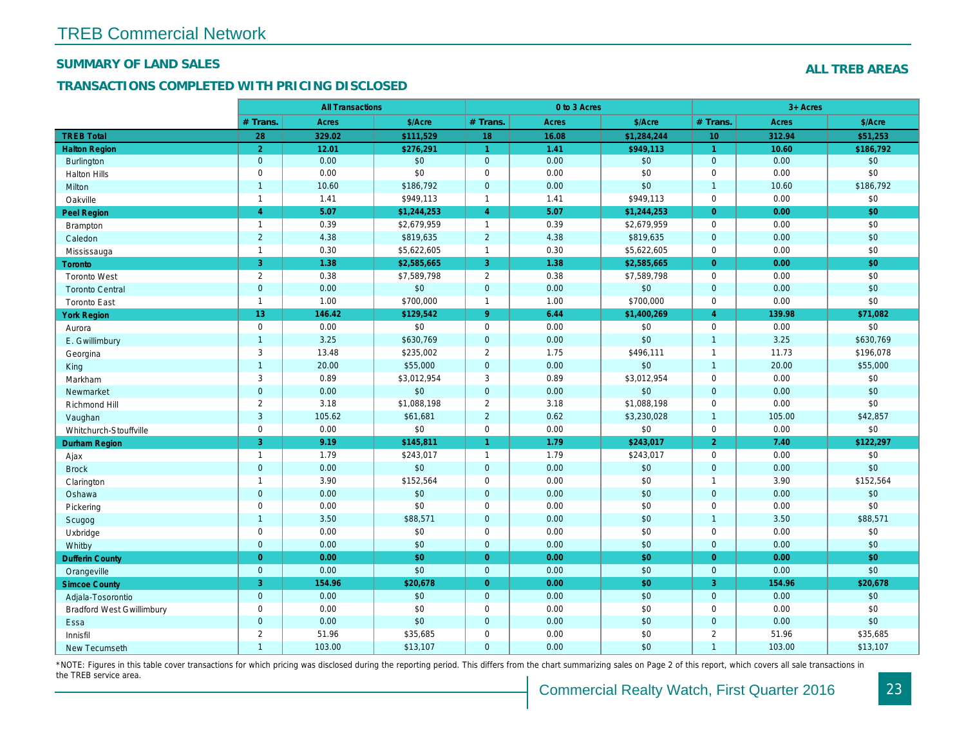#### SUMMARY OF LAND SALES

#### TRANSACTIONS COMPLETED WITH PRICING DISCLOSED

|                                  |                | <b>All Transactions</b> |             |                      | 0 to 3 Acres |                        |                |
|----------------------------------|----------------|-------------------------|-------------|----------------------|--------------|------------------------|----------------|
|                                  | # Trans.       | Acres                   | \$/Acre     | # Trans.             | Acres        | \$/Acre                | # Trans.       |
| <b>TREB Total</b>                | 28             | 329.02                  | \$111,529   | 18                   | 16.08        | $\overline{1,284,244}$ | 10             |
| <b>Halton Region</b>             | $\overline{2}$ | 12.01                   | \$276,291   | $\blacktriangleleft$ | 1.41         | \$949,113              | $\mathbf{1}$   |
| <b>Burlington</b>                | $\mathbf{0}$   | 0.00                    | $$0\,$      | $\mathbf{0}$         | 0.00         | \$0                    | $\mathbf{0}$   |
| <b>Halton Hills</b>              | $\mathbf 0$    | 0.00                    | \$0         | $\mathbf 0$          | 0.00         | \$0                    | 0              |
| Milton                           | $\overline{1}$ | 10.60                   | \$186,792   | $\mathbf{0}$         | 0.00         | \$0                    | $\mathbf{1}$   |
| Oakville                         | $\mathbf{1}$   | 1.41                    | \$949,113   | $\overline{1}$       | 1.41         | \$949,113              | 0              |
| Peel Region                      | $\overline{4}$ | 5.07                    | \$1,244,253 | $\overline{4}$       | 5.07         | \$1,244,253            | $\overline{0}$ |
| <b>Brampton</b>                  | $\overline{1}$ | 0.39                    | \$2,679,959 | $\overline{1}$       | 0.39         | \$2,679,959            | $\mathbf 0$    |
| Caledon                          | $\overline{2}$ | 4.38                    | \$819,635   | $\overline{2}$       | 4.38         | \$819,635              | $\mathbf{0}$   |
| Mississauga                      | $\mathbf{1}$   | 0.30                    | \$5,622,605 | $\overline{1}$       | 0.30         | \$5,622,605            | $\mathbf 0$    |
| Toronto                          | $\overline{3}$ | 1.38                    | \$2,585,665 | $\overline{3}$       | 1.38         | \$2,585,665            | $\Omega$       |
| <b>Toronto West</b>              | $\mathbf 2$    | 0.38                    | \$7,589,798 | $\overline{2}$       | 0.38         | \$7,589,798            | 0              |
| <b>Toronto Central</b>           | $\mathbf{0}$   | 0.00                    | \$0         | $\mathbf{0}$         | 0.00         | \$0                    | $\mathbf{0}$   |
| <b>Toronto East</b>              | $\mathbf{1}$   | 1.00                    | \$700,000   | $\overline{1}$       | 1.00         | \$700,000              | 0              |
| <b>York Region</b>               | 13             | 146.42                  | \$129,542   | $\overline{9}$       | 6.44         | \$1,400,269            | $\overline{4}$ |
| Aurora                           | $\mathsf 0$    | 0.00                    | \$0         | $\mathbf 0$          | 0.00         | \$0                    | 0              |
| E. Gwillimbury                   | $\overline{1}$ | 3.25                    | \$630,769   | $\mathbf 0$          | 0.00         | \$0                    | $\mathbf{1}$   |
| Georgina                         | 3              | 13.48                   | \$235,002   | 2                    | 1.75         | \$496,111              | $\mathbf{1}$   |
| King                             | $\overline{1}$ | 20.00                   | \$55,000    | $\mathbf{0}$         | 0.00         | \$0                    | $\mathbf{1}$   |
| Markham                          | 3              | 0.89                    | \$3,012,954 | 3                    | 0.89         | \$3,012,954            | $\mathbf 0$    |
| Newmarket                        | $\mathbf{0}$   | 0.00                    | \$0         | $\mathbf{0}$         | 0.00         | \$0                    | $\overline{0}$ |
| Richmond Hill                    | $\overline{2}$ | 3.18                    | \$1,088,198 | 2                    | 3.18         | \$1,088,198            | $\mathbf 0$    |
| Vaughan                          | $\mathbf{3}$   | 105.62                  | \$61,681    | 2                    | 0.62         | \$3,230,028            | $\overline{1}$ |
| Whitchurch-Stouffville           | $\mathsf 0$    | 0.00                    | \$0         | $\mathbf 0$          | 0.00         | \$0                    | 0              |
| <b>Durham Region</b>             | 3              | 9.19                    | \$145,811   | 1                    | 1.79         | \$243,017              | $\overline{2}$ |
| Ajax                             | $\mathbf{1}$   | 1.79                    | \$243,017   | $\overline{1}$       | 1.79         | \$243,017              | 0              |
| <b>Brock</b>                     | $\mathbf{0}$   | 0.00                    | \$0         | $\mathbf{0}$         | 0.00         | \$0                    | $\overline{0}$ |
| Clarington                       | $\mathbf{1}$   | 3.90                    | \$152,564   | $\mathbf 0$          | 0.00         | \$0                    | $\mathbf{1}$   |
| Oshawa                           | $\mathbf{0}$   | 0.00                    | \$0         | $\mathbf 0$          | 0.00         | \$0                    | $\overline{0}$ |
| Pickering                        | $\mathbf 0$    | 0.00                    | \$0         | $\mathbf 0$          | 0.00         | \$0                    | 0              |
| Scugog                           | $\overline{1}$ | 3.50                    | \$88,571    | $\mathbf 0$          | 0.00         | \$0                    | $\mathbf{1}$   |
| Uxbridge                         | $\mathbf 0$    | 0.00                    | \$0         | $\mathbf 0$          | 0.00         | \$0                    | 0              |
| Whitby                           | $\mathbf{0}$   | 0.00                    | \$0         | $\overline{0}$       | 0.00         | \$0                    | $\overline{0}$ |
| <b>Dufferin County</b>           | $\overline{0}$ | 0.00                    | \$0         | $\overline{0}$       | 0.00         | \$0                    | $\overline{0}$ |
| Orangeville                      | $\mathbf{0}$   | 0.00                    | \$0         | $\mathbf{0}$         | 0.00         | \$0                    | $\overline{0}$ |
| <b>Simcoe County</b>             | 3              | 154.96                  | \$20,678    | $\overline{0}$       | 0.00         | \$0                    | 3 <sup>1</sup> |
| Adjala-Tosorontio                | $\mathbf 0$    | 0.00                    | \$0         | $\mathbf{0}$         | 0.00         | \$0                    | $\mathbf{0}$   |
| <b>Bradford West Gwillimbury</b> | $\mathbf 0$    | 0.00                    | \$0         | $\mathbf 0$          | 0.00         | \$0                    | 0              |
| Essa                             | $\mathbf{0}$   | 0.00                    | \$0         | $\overline{0}$       | 0.00         | \$0                    | $\mathbf{0}$   |
| Innisfil                         | $\overline{2}$ | 51.96                   | \$35,685    | $\mathbf 0$          | 0.00         | \$0                    | $\overline{2}$ |
| New Tecumseth                    | $\overline{1}$ | 103.00                  | \$13,107    | $\mathbf{0}$         | 0.00         | \$0                    | $\mathbf{1}$   |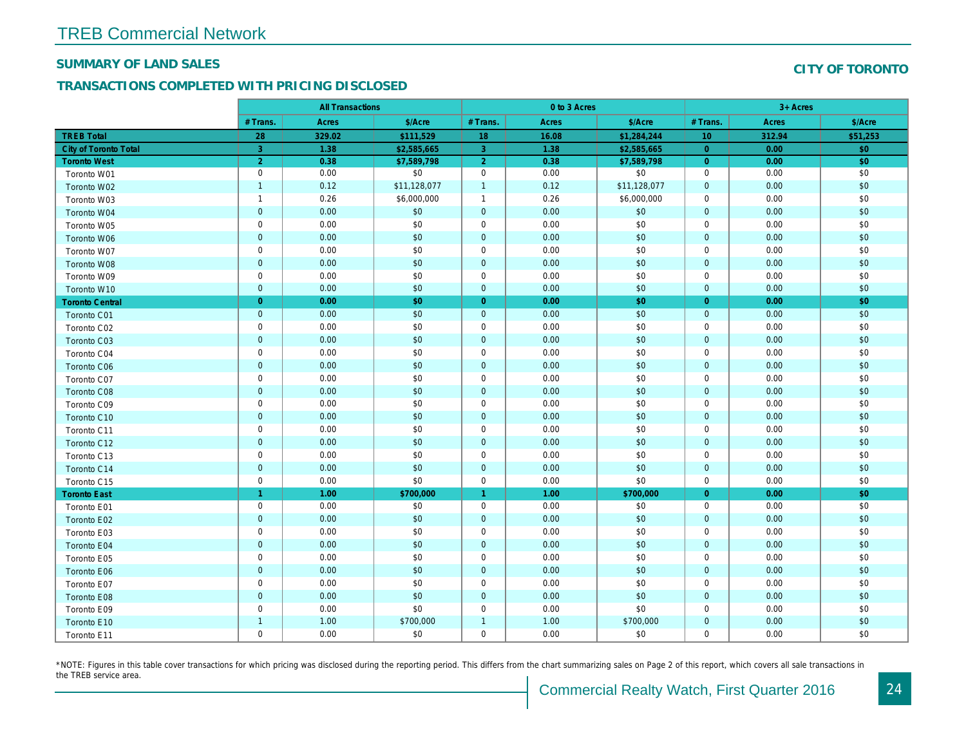#### SUMMARY OF LAND SALES

## TRANSACTIONS COMPLETED WITH PRICING DISCLOSED

|                              |                | <b>All Transactions</b> |              |                | 0 to 3 Acres |              |                 |  |
|------------------------------|----------------|-------------------------|--------------|----------------|--------------|--------------|-----------------|--|
|                              | # Trans.       | Acres                   | \$/Acre      | # Trans.       | Acres        | \$/Acre      | # Trans.        |  |
| <b>TREB Total</b>            | 28             | 329.02                  | \$111,529    | 18             | 16.08        | \$1,284,244  | 10 <sup>°</sup> |  |
| <b>City of Toronto Total</b> | 3              | 1.38                    | \$2,585,665  | $\overline{3}$ | 1.38         | \$2,585,665  | $\overline{0}$  |  |
| <b>Toronto West</b>          | 2              | 0.38                    | \$7,589,798  | $\overline{2}$ | 0.38         | \$7,589,798  | $\overline{0}$  |  |
| Toronto W01                  | $\mathbf 0$    | 0.00                    | \$0          | $\mathbf 0$    | 0.00         | \$0          | $\mathbf 0$     |  |
| Toronto W02                  | $\overline{1}$ | 0.12                    | \$11,128,077 | $\mathbf{1}$   | 0.12         | \$11,128,077 | $\mathbf{0}$    |  |
| Toronto W03                  | $\mathbf{1}$   | 0.26                    | \$6,000,000  | $\overline{1}$ | 0.26         | \$6,000,000  | $\mathbf 0$     |  |
| Toronto W04                  | $\mathbf 0$    | 0.00                    | \$0          | $\mathbf{0}$   | 0.00         | \$0          | $\mathbf{0}$    |  |
| Toronto W05                  | $\mathbf 0$    | 0.00                    | \$0          | $\mathbf 0$    | 0.00         | \$0          | $\mathbf 0$     |  |
| Toronto W06                  | $\mathbf{0}$   | 0.00                    | \$0          | $\mathbf{0}$   | 0.00         | \$0          | $\mathbf{0}$    |  |
| Toronto W07                  | $\mathbf 0$    | 0.00                    | \$0          | $\mathbf 0$    | 0.00         | \$0          | $\mathbf 0$     |  |
| Toronto W08                  | $\mathbf 0$    | 0.00                    | \$0          | $\mathbf{0}$   | 0.00         | \$0          | $\mathbf{0}$    |  |
| Toronto W09                  | $\mathbf 0$    | 0.00                    | \$0          | $\mathbf 0$    | 0.00         | \$0          | $\mathbf 0$     |  |
| Toronto W10                  | $\mathbf 0$    | 0.00                    | \$0          | $\overline{0}$ | 0.00         | \$0          | $\overline{0}$  |  |
| <b>Toronto Central</b>       | $\overline{0}$ | 0.00                    | \$0          | $\overline{0}$ | 0.00         | \$0          | $\overline{0}$  |  |
| Toronto C01                  | $\mathbf 0$    | 0.00                    | \$0          | $\mathbf{0}$   | 0.00         | \$0          | $\mathbf{0}$    |  |
| Toronto C02                  | $\mathbf 0$    | 0.00                    | \$0          | $\mathbf 0$    | 0.00         | \$0          | $\mathbf 0$     |  |
| Toronto C03                  | $\bf 0$        | 0.00                    | \$0          | $\mathbf 0$    | 0.00         | \$0          | $\mathbf{0}$    |  |
| Toronto C04                  | $\mathbf 0$    | 0.00                    | \$0          | $\mathbf 0$    | 0.00         | \$0          | $\mathbf 0$     |  |
| Toronto C06                  | $\bf 0$        | 0.00                    | \$0          | $\mathbf 0$    | 0.00         | \$0          | $\mathbf 0$     |  |
| Toronto C07                  | $\mathbf 0$    | 0.00                    | \$0          | $\mathbf 0$    | 0.00         | \$0          | $\mathbf 0$     |  |
| Toronto C08                  | $\mathbf 0$    | 0.00                    | \$0          | $\bullet$      | 0.00         | \$0          | $\mathbf{0}$    |  |
| Toronto C09                  | $\mathbf 0$    | 0.00                    | \$0          | $\mathbf 0$    | 0.00         | \$0          | $\mathbf 0$     |  |
| Toronto C10                  | $\mathbf{0}$   | 0.00                    | \$0          | $\mathbf{0}$   | 0.00         | \$0          | $\mathbf{0}$    |  |
| Toronto C11                  | $\mathbf 0$    | 0.00                    | \$0          | $\mathbf 0$    | 0.00         | \$0          | $\mathbf 0$     |  |
| Toronto C12                  | $\mathbf 0$    | 0.00                    | \$0          | $\mathbf{0}$   | 0.00         | \$0          | $\mathbf{0}$    |  |
| Toronto C13                  | $\mathsf 0$    | 0.00                    | \$0          | $\mathbf 0$    | 0.00         | \$0          | $\mathbf 0$     |  |
| Toronto C14                  | $\mathbf 0$    | 0.00                    | \$0          | $\overline{0}$ | 0.00         | \$0          | $\mathbf{0}$    |  |
| Toronto C15                  | $\mathbf 0$    | 0.00                    | \$0          | $\mathbf 0$    | 0.00         | \$0          | $\mathbf 0$     |  |
| <b>Toronto East</b>          | $\overline{1}$ | 1.00                    | \$700,000    | 1              | 1.00         | \$700,000    | $\overline{0}$  |  |
| Toronto E01                  | $\mathbf 0$    | 0.00                    | \$0          | $\mathbf 0$    | 0.00         | \$0          | $\mathbf 0$     |  |
| Toronto E02                  | $\mathbf 0$    | 0.00                    | \$0          | $\mathbf{0}$   | 0.00         | \$0          | $\mathbf{0}$    |  |
| Toronto E03                  | $\mathbf 0$    | 0.00                    | \$0          | $\mathbf 0$    | 0.00         | \$0          | $\mathbf 0$     |  |
| Toronto E04                  | $\mathbf 0$    | 0.00                    | \$0          | $\mathbf 0$    | 0.00         | \$0          | $\mathbf 0$     |  |
| Toronto E05                  | $\mathbf 0$    | 0.00                    | \$0          | $\mathbf 0$    | 0.00         | \$0          | $\mathbf 0$     |  |
| Toronto E06                  | $\mathbf 0$    | 0.00                    | \$0          | $\mathbf{0}$   | 0.00         | \$0          | $\mathbf{0}$    |  |
| Toronto E07                  | $\mathbf 0$    | 0.00                    | \$0          | $\mathbf 0$    | 0.00         | \$0          | $\mathbf 0$     |  |
| Toronto E08                  | $\mathbf{0}$   | 0.00                    | \$0          | $\mathbf{0}$   | 0.00         | \$0          | $\mathbf{0}$    |  |
| Toronto E09                  | $\mathbf 0$    | 0.00                    | \$0          | $\mathbf 0$    | 0.00         | \$0          | $\mathbf 0$     |  |
| Toronto E10                  | $\overline{1}$ | 1.00                    | \$700,000    | $\overline{1}$ | 1.00         | \$700,000    | $\mathbf{0}$    |  |
| Toronto E11                  | $\mathbf 0$    | 0.00                    | \$0          | $\mathbf 0$    | 0.00         | \$0          | $\mathbf 0$     |  |